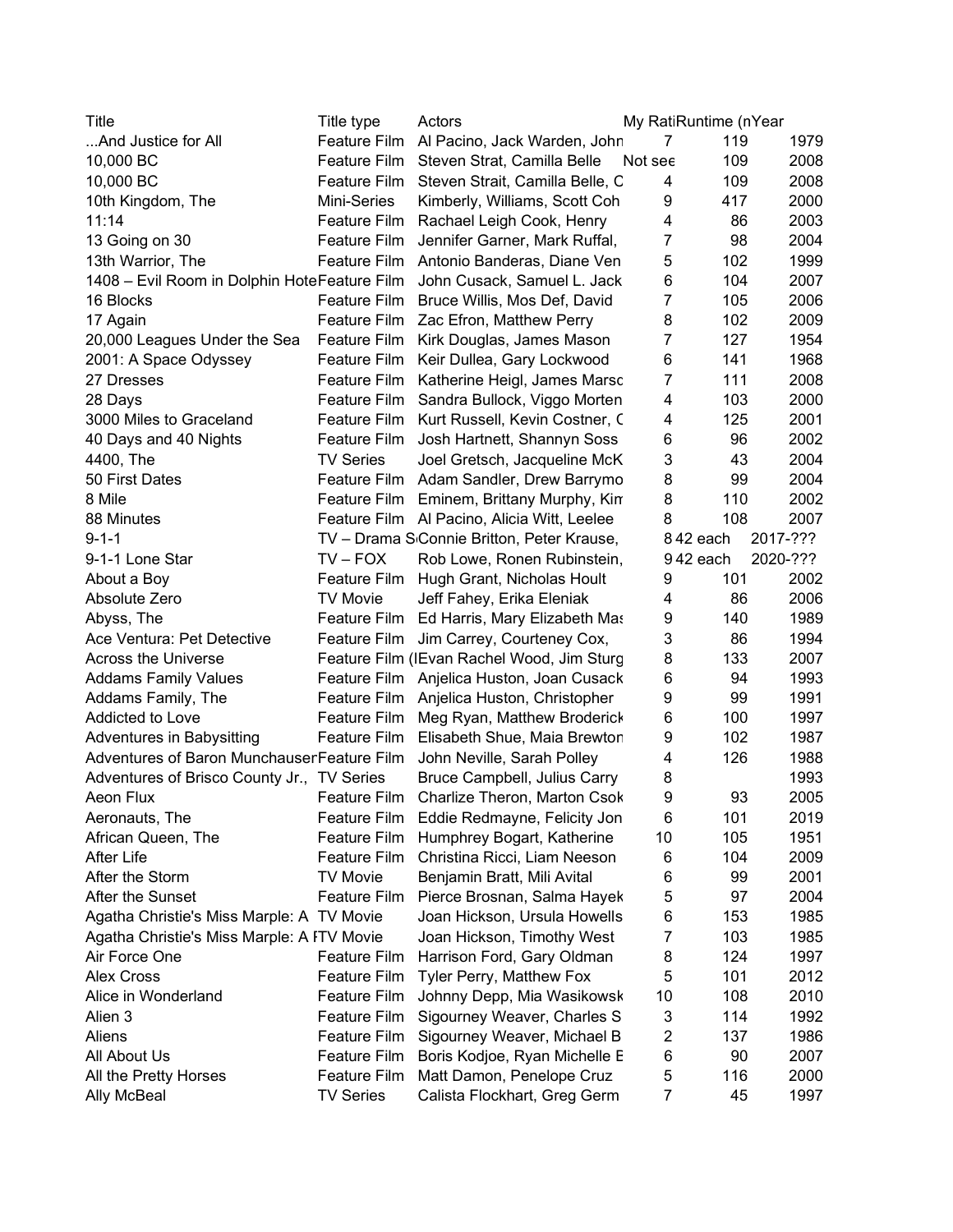| Title                                        | Title type          | Actors                                                  |                | My RatiRuntime (nYear |          |
|----------------------------------------------|---------------------|---------------------------------------------------------|----------------|-----------------------|----------|
| And Justice for All                          | Feature Film        | Al Pacino, Jack Warden, John                            | 7              | 119                   | 1979     |
| 10,000 BC                                    | Feature Film        | Steven Strat, Camilla Belle                             | Not see        | 109                   | 2008     |
| 10,000 BC                                    | Feature Film        | Steven Strait, Camilla Belle, C                         | 4              | 109                   | 2008     |
| 10th Kingdom, The                            | Mini-Series         | Kimberly, Williams, Scott Coh                           | 9              | 417                   | 2000     |
| 11:14                                        | Feature Film        | Rachael Leigh Cook, Henry                               | 4              | 86                    | 2003     |
| 13 Going on 30                               | Feature Film        | Jennifer Garner, Mark Ruffal,                           | 7              | 98                    | 2004     |
| 13th Warrior, The                            | Feature Film        | Antonio Banderas, Diane Ven                             | 5              | 102                   | 1999     |
| 1408 - Evil Room in Dolphin HoteFeature Film |                     | John Cusack, Samuel L. Jack                             | 6              | 104                   | 2007     |
| 16 Blocks                                    | Feature Film        | Bruce Willis, Mos Def, David                            | 7              | 105                   | 2006     |
| 17 Again                                     | Feature Film        | Zac Efron, Matthew Perry                                | 8              | 102                   | 2009     |
| 20,000 Leagues Under the Sea                 | Feature Film        | Kirk Douglas, James Mason                               | $\overline{7}$ | 127                   | 1954     |
| 2001: A Space Odyssey                        | Feature Film        | Keir Dullea, Gary Lockwood                              | 6              | 141                   | 1968     |
| 27 Dresses                                   | Feature Film        | Katherine Heigl, James Marsc                            | $\overline{7}$ | 111                   | 2008     |
| 28 Days                                      | Feature Film        | Sandra Bullock, Viggo Morten                            | 4              | 103                   | 2000     |
| 3000 Miles to Graceland                      | Feature Film        | Kurt Russell, Kevin Costner, C                          | 4              | 125                   | 2001     |
| 40 Days and 40 Nights                        | Feature Film        | Josh Hartnett, Shannyn Soss                             | 6              | 96                    | 2002     |
| 4400, The                                    | <b>TV Series</b>    | Joel Gretsch, Jacqueline McK                            | 3              | 43                    | 2004     |
| 50 First Dates                               | Feature Film        | Adam Sandler, Drew Barrymo                              | 8              | 99                    | 2004     |
| 8 Mile                                       | Feature Film        | Eminem, Brittany Murphy, Kin                            | 8              | 110                   | 2002     |
| 88 Minutes                                   |                     | Feature Film Al Pacino, Alicia Witt, Leelee             | 8              | 108                   | 2007     |
| $9 - 1 - 1$                                  |                     | TV - Drama S <sub>'</sub> Connie Britton, Peter Krause, |                | 842 each              | 2017-??? |
| 9-1-1 Lone Star                              | $TV - FOX$          | Rob Lowe, Ronen Rubinstein,                             |                | 942 each              | 2020-??? |
| About a Boy                                  | Feature Film        | Hugh Grant, Nicholas Hoult                              | 9              | 101                   | 2002     |
| Absolute Zero                                | <b>TV Movie</b>     | Jeff Fahey, Erika Eleniak                               | 4              | 86                    | 2006     |
| Abyss, The                                   | Feature Film        | Ed Harris, Mary Elizabeth Mas                           | 9              | 140                   | 1989     |
| Ace Ventura: Pet Detective                   | Feature Film        | Jim Carrey, Courteney Cox,                              | 3              | 86                    | 1994     |
| <b>Across the Universe</b>                   |                     | Feature Film (IEvan Rachel Wood, Jim Sturg              | 8              | 133                   | 2007     |
| <b>Addams Family Values</b>                  |                     | Feature Film Anjelica Huston, Joan Cusack               | 6              | 94                    | 1993     |
| Addams Family, The                           | Feature Film        | Anjelica Huston, Christopher                            | 9              | 99                    | 1991     |
| Addicted to Love                             | Feature Film        | Meg Ryan, Matthew Broderick                             | 6              | 100                   | 1997     |
| Adventures in Babysitting                    | Feature Film        | Elisabeth Shue, Maia Brewtor                            | 9              | 102                   | 1987     |
| Adventures of Baron MunchauserFeature Film   |                     | John Neville, Sarah Polley                              | 4              | 126                   | 1988     |
| Adventures of Brisco County Jr., TV Series   |                     | Bruce Campbell, Julius Carry                            | 8              |                       | 1993     |
| Aeon Flux                                    | Feature Film        | Charlize Theron, Marton Csok                            | 9              | 93                    | 2005     |
| Aeronauts, The                               | Feature Film        | Eddie Redmayne, Felicity Jon                            | 6              | 101                   | 2019     |
| African Queen, The                           | <b>Feature Film</b> | Humphrey Bogart, Katherine                              | 10             | 105                   | 1951     |
| After Life                                   | Feature Film        | Christina Ricci, Liam Neeson                            | 6              | 104                   | 2009     |
| After the Storm                              | <b>TV Movie</b>     | Benjamin Bratt, Mili Avital                             | 6              | 99                    | 2001     |
| After the Sunset                             | Feature Film        | Pierce Brosnan, Salma Hayek                             | 5              | 97                    | 2004     |
| Agatha Christie's Miss Marple: A TV Movie    |                     | Joan Hickson, Ursula Howells                            | 6              | 153                   | 1985     |
| Agatha Christie's Miss Marple: A ITV Movie   |                     | Joan Hickson, Timothy West                              | 7              | 103                   | 1985     |
| Air Force One                                | <b>Feature Film</b> | Harrison Ford, Gary Oldman                              | 8              | 124                   | 1997     |
| <b>Alex Cross</b>                            |                     |                                                         |                |                       | 2012     |
|                                              | Feature Film        | Tyler Perry, Matthew Fox                                | 5              | 101                   |          |
| Alice in Wonderland                          | Feature Film        | Johnny Depp, Mia Wasikowsk                              | 10             | 108                   | 2010     |
| Alien 3                                      | Feature Film        | Sigourney Weaver, Charles S                             | 3              | 114                   | 1992     |
| Aliens                                       | <b>Feature Film</b> | Sigourney Weaver, Michael B                             | 2              | 137                   | 1986     |
| All About Us                                 | Feature Film        | Boris Kodjoe, Ryan Michelle E                           | 6              | 90                    | 2007     |
| All the Pretty Horses                        | Feature Film        | Matt Damon, Penelope Cruz                               | 5              | 116                   | 2000     |
| Ally McBeal                                  | <b>TV Series</b>    | Calista Flockhart, Greg Germ                            | 7              | 45                    | 1997     |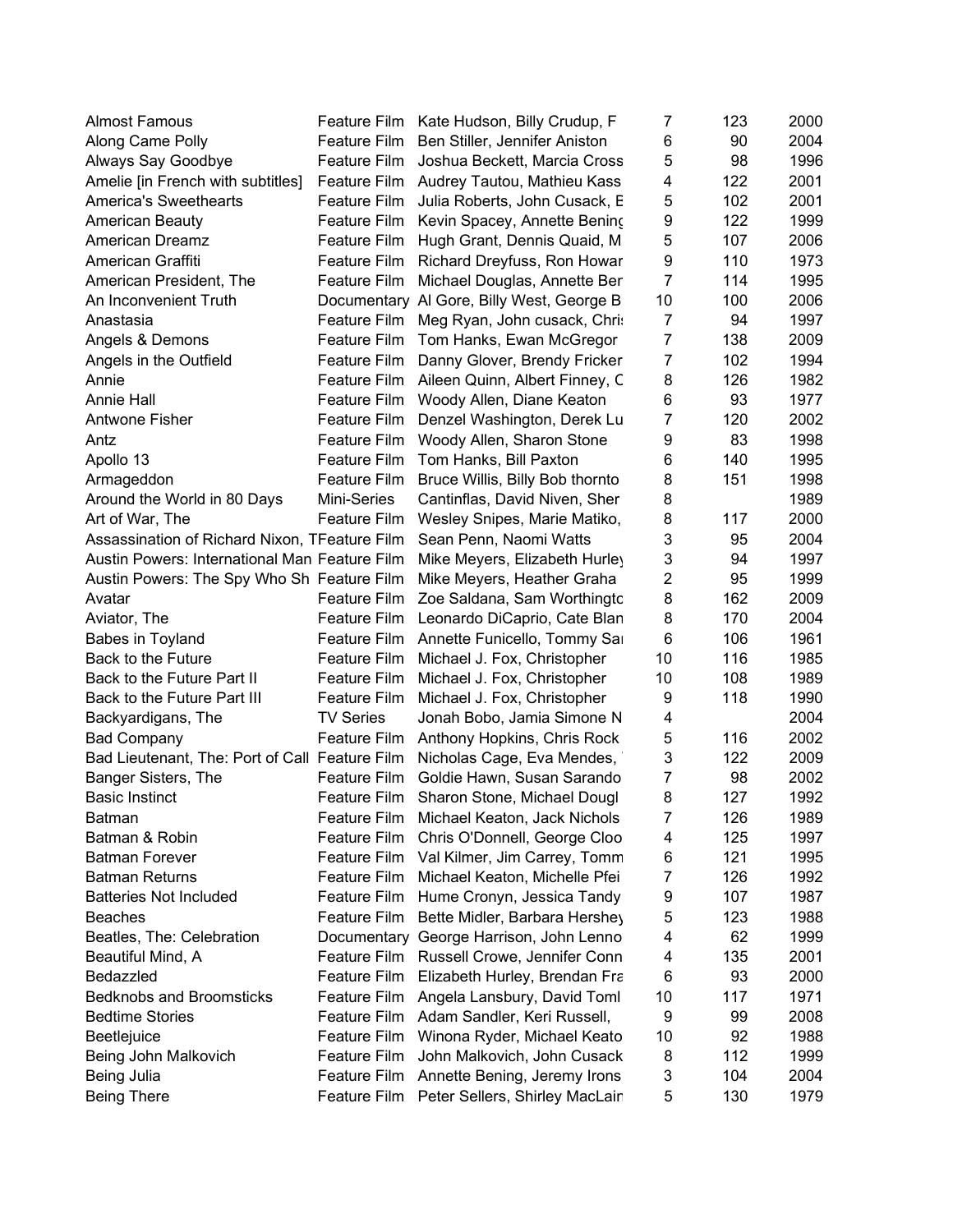| <b>Almost Famous</b>                           |                     | Feature Film Kate Hudson, Billy Crudup, F | 7              | 123 | 2000 |
|------------------------------------------------|---------------------|-------------------------------------------|----------------|-----|------|
| Along Came Polly                               | Feature Film        | Ben Stiller, Jennifer Aniston             | 6              | 90  | 2004 |
| Always Say Goodbye                             | Feature Film        | Joshua Beckett, Marcia Cross              | 5              | 98  | 1996 |
| Amelie [in French with subtitles]              | Feature Film        | Audrey Tautou, Mathieu Kass               | 4              | 122 | 2001 |
| <b>America's Sweethearts</b>                   | Feature Film        | Julia Roberts, John Cusack, E             | 5              | 102 | 2001 |
| American Beauty                                |                     | Feature Film Kevin Spacey, Annette Bening | 9              | 122 | 1999 |
| American Dreamz                                | Feature Film        | Hugh Grant, Dennis Quaid, M.              | 5              | 107 | 2006 |
| American Graffiti                              | Feature Film        | Richard Dreyfuss, Ron Howar               | 9              | 110 | 1973 |
| American President, The                        | Feature Film        | Michael Douglas, Annette Ber              | 7              | 114 | 1995 |
| An Inconvenient Truth                          |                     | Documentary Al Gore, Billy West, George B | 10             | 100 | 2006 |
| Anastasia                                      | Feature Film        | Meg Ryan, John cusack, Chri               | $\overline{7}$ | 94  | 1997 |
| Angels & Demons                                | Feature Film        | Tom Hanks, Ewan McGregor                  | $\overline{7}$ | 138 | 2009 |
| Angels in the Outfield                         | Feature Film        | Danny Glover, Brendy Fricker              | $\overline{7}$ | 102 | 1994 |
| Annie                                          | Feature Film        | Aileen Quinn, Albert Finney, C            | 8              | 126 | 1982 |
| <b>Annie Hall</b>                              | Feature Film        | Woody Allen, Diane Keaton                 | 6              | 93  | 1977 |
| Antwone Fisher                                 | Feature Film        | Denzel Washington, Derek Lu               | $\overline{7}$ | 120 | 2002 |
| Antz                                           | <b>Feature Film</b> | Woody Allen, Sharon Stone                 | 9              | 83  | 1998 |
| Apollo 13                                      | Feature Film        | Tom Hanks, Bill Paxton                    | 6              | 140 | 1995 |
| Armageddon                                     | Feature Film        | Bruce Willis, Billy Bob thornto           | 8              | 151 | 1998 |
| Around the World in 80 Days                    | Mini-Series         | Cantinflas, David Niven, Sher             | 8              |     | 1989 |
| Art of War, The                                | Feature Film        | Wesley Snipes, Marie Matiko,              | 8              | 117 | 2000 |
| Assassination of Richard Nixon, TFeature Film  |                     | Sean Penn, Naomi Watts                    | 3              | 95  | 2004 |
| Austin Powers: International Man Feature Film  |                     | Mike Meyers, Elizabeth Hurley             | 3              | 94  | 1997 |
| Austin Powers: The Spy Who Sh Feature Film     |                     | Mike Meyers, Heather Graha                | $\overline{2}$ | 95  | 1999 |
| Avatar                                         | Feature Film        |                                           | 8              | 162 | 2009 |
|                                                |                     | Zoe Saldana, Sam Worthingtc               | 8              |     | 2004 |
| Aviator, The                                   | Feature Film        | Leonardo DiCaprio, Cate Blan              |                | 170 |      |
| Babes in Toyland                               | Feature Film        | Annette Funicello, Tommy Sa               | 6              | 106 | 1961 |
| Back to the Future                             | Feature Film        | Michael J. Fox, Christopher               | 10             | 116 | 1985 |
| Back to the Future Part II                     | Feature Film        | Michael J. Fox, Christopher               | 10             | 108 | 1989 |
| Back to the Future Part III                    | Feature Film        | Michael J. Fox, Christopher               | 9              | 118 | 1990 |
| Backyardigans, The                             | <b>TV Series</b>    | Jonah Bobo, Jamia Simone N                | 4              |     | 2004 |
| <b>Bad Company</b>                             | Feature Film        | Anthony Hopkins, Chris Rock               | 5              | 116 | 2002 |
| Bad Lieutenant, The: Port of Call Feature Film |                     | Nicholas Cage, Eva Mendes,                | 3              | 122 | 2009 |
| Banger Sisters, The                            | Feature Film        | Goldie Hawn, Susan Sarando                | 7              | 98  | 2002 |
| <b>Basic Instinct</b>                          | <b>Feature Film</b> | Sharon Stone, Michael Dougl               | 8              | 127 | 1992 |
| Batman                                         |                     | Feature Film Michael Keaton, Jack Nichols | 7              | 126 | 1989 |
| Batman & Robin                                 | Feature Film        | Chris O'Donnell, George Cloo              | 4              | 125 | 1997 |
| <b>Batman Forever</b>                          | Feature Film        | Val Kilmer, Jim Carrey, Tomm              | 6              | 121 | 1995 |
| <b>Batman Returns</b>                          | Feature Film        | Michael Keaton, Michelle Pfei             | 7              | 126 | 1992 |
| <b>Batteries Not Included</b>                  | <b>Feature Film</b> | Hume Cronyn, Jessica Tandy                | 9              | 107 | 1987 |
| <b>Beaches</b>                                 | <b>Feature Film</b> | Bette Midler, Barbara Hershey             | 5              | 123 | 1988 |
| Beatles, The: Celebration                      |                     | Documentary George Harrison, John Lenno   | 4              | 62  | 1999 |
| Beautiful Mind, A                              |                     | Feature Film Russell Crowe, Jennifer Conn | 4              | 135 | 2001 |
| Bedazzled                                      | Feature Film        | Elizabeth Hurley, Brendan Fra             | 6              | 93  | 2000 |
| <b>Bedknobs and Broomsticks</b>                | Feature Film        | Angela Lansbury, David Toml               | 10             | 117 | 1971 |
| <b>Bedtime Stories</b>                         | Feature Film        | Adam Sandler, Keri Russell,               | 9              | 99  | 2008 |
| Beetlejuice                                    | <b>Feature Film</b> | Winona Ryder, Michael Keato               | 10             | 92  | 1988 |
| Being John Malkovich                           | <b>Feature Film</b> | John Malkovich, John Cusack               | 8              | 112 | 1999 |
| Being Julia                                    | Feature Film        | Annette Bening, Jeremy Irons              | 3              | 104 | 2004 |
| <b>Being There</b>                             | Feature Film        | Peter Sellers, Shirley MacLair            | 5              | 130 | 1979 |
|                                                |                     |                                           |                |     |      |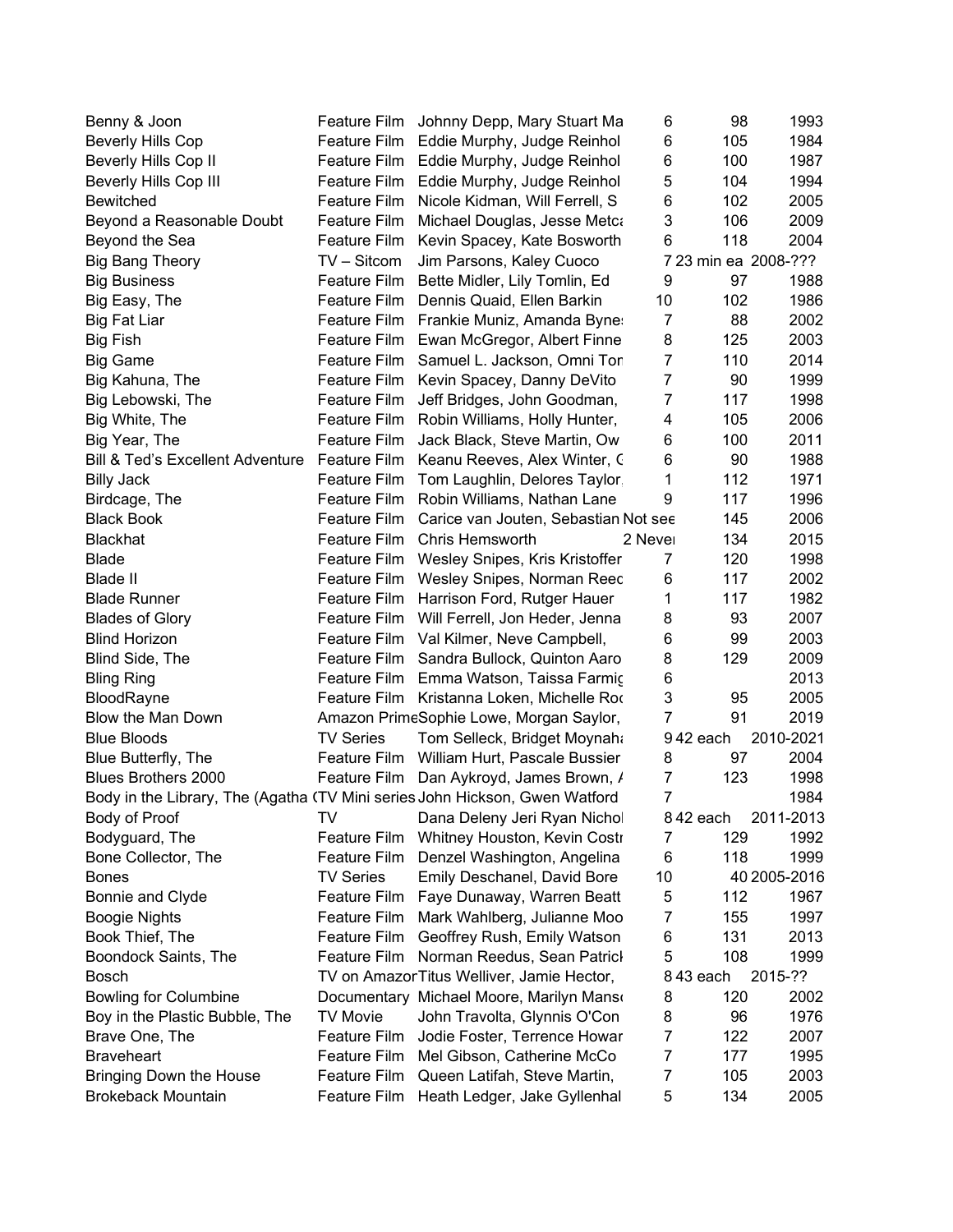| Benny & Joon                                                                |                     | Feature Film Johnny Depp, Mary Stuart Ma   | 6              | 98                   | 1993         |
|-----------------------------------------------------------------------------|---------------------|--------------------------------------------|----------------|----------------------|--------------|
| <b>Beverly Hills Cop</b>                                                    | Feature Film        | Eddie Murphy, Judge Reinhol                | 6              | 105                  | 1984         |
| Beverly Hills Cop II                                                        | Feature Film        | Eddie Murphy, Judge Reinhol                | 6              | 100                  | 1987         |
| Beverly Hills Cop III                                                       | <b>Feature Film</b> | Eddie Murphy, Judge Reinhol                | 5              | 104                  | 1994         |
| <b>Bewitched</b>                                                            | Feature Film        | Nicole Kidman, Will Ferrell, S             | 6              | 102                  | 2005         |
| Beyond a Reasonable Doubt                                                   | Feature Film        | Michael Douglas, Jesse Metca               | 3              | 106                  | 2009         |
| Beyond the Sea                                                              | Feature Film        | Kevin Spacey, Kate Bosworth                | 6              | 118                  | 2004         |
| <b>Big Bang Theory</b>                                                      | TV – Sitcom         | Jim Parsons, Kaley Cuoco                   |                | 7 23 min ea 2008-??? |              |
| <b>Big Business</b>                                                         | Feature Film        | Bette Midler, Lily Tomlin, Ed              | 9              | 97                   | 1988         |
| Big Easy, The                                                               | Feature Film        | Dennis Quaid, Ellen Barkin                 | 10             | 102                  | 1986         |
| <b>Big Fat Liar</b>                                                         | Feature Film        | Frankie Muniz, Amanda Byne:                | 7              | 88                   | 2002         |
| <b>Big Fish</b>                                                             | Feature Film        | Ewan McGregor, Albert Finne                | 8              | 125                  | 2003         |
| <b>Big Game</b>                                                             | Feature Film        | Samuel L. Jackson, Omni Tor                | $\overline{7}$ | 110                  | 2014         |
| Big Kahuna, The                                                             | Feature Film        | Kevin Spacey, Danny DeVito                 | 7              | 90                   | 1999         |
| Big Lebowski, The                                                           | Feature Film        | Jeff Bridges, John Goodman,                | 7              | 117                  | 1998         |
| Big White, The                                                              | <b>Feature Film</b> | Robin Williams, Holly Hunter,              | 4              | 105                  | 2006         |
| Big Year, The                                                               | Feature Film        | Jack Black, Steve Martin, Ow               | 6              | 100                  | 2011         |
| Bill & Ted's Excellent Adventure Feature Film                               |                     | Keanu Reeves, Alex Winter, C               | 6              | 90                   | 1988         |
| <b>Billy Jack</b>                                                           | Feature Film        | Tom Laughlin, Delores Taylor               | 1              | 112                  | 1971         |
|                                                                             |                     | Feature Film Robin Williams, Nathan Lane   | 9              | 117                  | 1996         |
| Birdcage, The<br><b>Black Book</b>                                          | Feature Film        | Carice van Jouten, Sebastian Not see       |                | 145                  | 2006         |
|                                                                             |                     |                                            | 2 Never        |                      |              |
| <b>Blackhat</b>                                                             | Feature Film        | <b>Chris Hemsworth</b>                     |                | 134                  | 2015         |
| <b>Blade</b>                                                                | Feature Film        | Wesley Snipes, Kris Kristoffer             | 7              | 120                  | 1998         |
| <b>Blade II</b>                                                             | Feature Film        | Wesley Snipes, Norman Reec                 | 6              | 117                  | 2002         |
| <b>Blade Runner</b>                                                         | Feature Film        | Harrison Ford, Rutger Hauer                | 1              | 117                  | 1982         |
| <b>Blades of Glory</b>                                                      | Feature Film        | Will Ferrell, Jon Heder, Jenna             | 8              | 93                   | 2007         |
| <b>Blind Horizon</b>                                                        | Feature Film        | Val Kilmer, Neve Campbell,                 | 6              | 99                   | 2003         |
| Blind Side, The                                                             | Feature Film        | Sandra Bullock, Quinton Aaro               | 8              | 129                  | 2009         |
| <b>Bling Ring</b>                                                           |                     | Feature Film Emma Watson, Taissa Farmiç    | 6              |                      | 2013         |
| BloodRayne                                                                  |                     | Feature Film Kristanna Loken, Michelle Rod | 3              | 95                   | 2005         |
| Blow the Man Down                                                           |                     | Amazon PrimeSophie Lowe, Morgan Saylor,    | $\overline{7}$ | 91                   | 2019         |
| <b>Blue Bloods</b>                                                          | <b>TV Series</b>    | Tom Selleck, Bridget Moynaha               |                | 942 each             | 2010-2021    |
| Blue Butterfly, The                                                         | Feature Film        | William Hurt, Pascale Bussier              | 8              | 97                   | 2004         |
| Blues Brothers 2000                                                         | Feature Film        | Dan Aykroyd, James Brown, /                | 7              | 123                  | 1998         |
| Body in the Library, The (Agatha (TV Mini series John Hickson, Gwen Watford |                     |                                            | $\overline{7}$ |                      | 1984         |
| Body of Proof                                                               | TV                  | Dana Deleny Jeri Ryan Nichol               |                | 842 each             | 2011-2013    |
| Bodyguard, The                                                              | Feature Film        | Whitney Houston, Kevin Costi               | 7              | 129                  | 1992         |
| Bone Collector, The                                                         | Feature Film        | Denzel Washington, Angelina                | 6              | 118                  | 1999         |
| <b>Bones</b>                                                                | <b>TV Series</b>    | Emily Deschanel, David Bore                | 10             |                      | 40 2005-2016 |
| Bonnie and Clyde                                                            | Feature Film        | Faye Dunaway, Warren Beatt                 | 5              | 112                  | 1967         |
| <b>Boogie Nights</b>                                                        | <b>Feature Film</b> | Mark Wahlberg, Julianne Moo                | 7              | 155                  | 1997         |
| Book Thief, The                                                             | <b>Feature Film</b> | Geoffrey Rush, Emily Watson                | 6              | 131                  | 2013         |
| Boondock Saints, The                                                        | Feature Film        | Norman Reedus, Sean Patricl                | 5              | 108                  | 1999         |
| Bosch                                                                       |                     | TV on Amazor Titus Welliver, Jamie Hector, |                | 843 each             | 2015-??      |
| <b>Bowling for Columbine</b>                                                |                     | Documentary Michael Moore, Marilyn Manso   | 8              | 120                  | 2002         |
| Boy in the Plastic Bubble, The                                              | <b>TV Movie</b>     | John Travolta, Glynnis O'Con               | 8              | 96                   | 1976         |
| Brave One, The                                                              | Feature Film        | Jodie Foster, Terrence Howar               | 7              | 122                  | 2007         |
| <b>Braveheart</b>                                                           | Feature Film        | Mel Gibson, Catherine McCo                 | 7              | 177                  | 1995         |
| Bringing Down the House                                                     | Feature Film        | Queen Latifah, Steve Martin,               | 7              | 105                  | 2003         |
| <b>Brokeback Mountain</b>                                                   | <b>Feature Film</b> | Heath Ledger, Jake Gyllenhal               | 5              | 134                  | 2005         |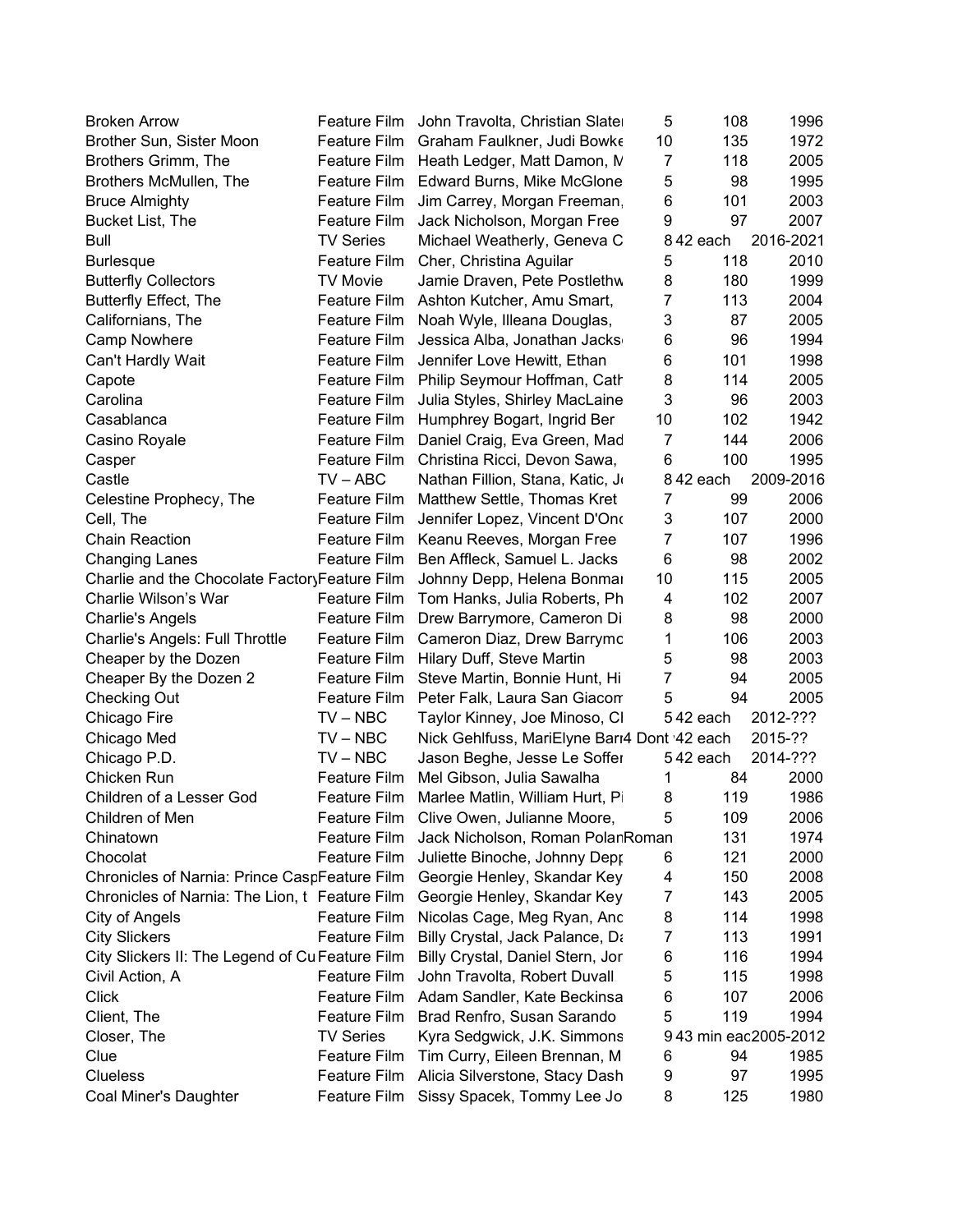| <b>Broken Arrow</b>                             | Feature Film        | John Travolta, Christian Slate               | 5              | 108      | 1996                 |
|-------------------------------------------------|---------------------|----------------------------------------------|----------------|----------|----------------------|
| Brother Sun, Sister Moon                        | Feature Film        | Graham Faulkner, Judi Bowke                  | 10             | 135      | 1972                 |
| Brothers Grimm, The                             | Feature Film        | Heath Ledger, Matt Damon, M                  | 7              | 118      | 2005                 |
| Brothers McMullen, The                          | Feature Film        | Edward Burns, Mike McGlone                   | 5              | 98       | 1995                 |
| <b>Bruce Almighty</b>                           | Feature Film        | Jim Carrey, Morgan Freeman.                  | 6              | 101      | 2003                 |
| Bucket List, The                                | Feature Film        | Jack Nicholson, Morgan Free                  | 9              | 97       | 2007                 |
| Bull                                            | <b>TV Series</b>    | Michael Weatherly, Geneva C                  |                | 842 each | 2016-2021            |
| <b>Burlesque</b>                                | Feature Film        | Cher, Christina Aguilar                      | 5              | 118      | 2010                 |
| <b>Butterfly Collectors</b>                     | <b>TV Movie</b>     | Jamie Draven, Pete Postlethw                 | 8              | 180      | 1999                 |
| <b>Butterfly Effect, The</b>                    | Feature Film        | Ashton Kutcher, Amu Smart,                   | $\overline{7}$ | 113      | 2004                 |
| Californians, The                               | Feature Film        | Noah Wyle, Illeana Douglas,                  | 3              | 87       | 2005                 |
| <b>Camp Nowhere</b>                             | Feature Film        | Jessica Alba, Jonathan Jacks                 | 6              | 96       | 1994                 |
| Can't Hardly Wait                               | Feature Film        | Jennifer Love Hewitt, Ethan                  | 6              | 101      | 1998                 |
| Capote                                          | Feature Film        | Philip Seymour Hoffman, Cath                 | 8              | 114      | 2005                 |
| Carolina                                        | Feature Film        | Julia Styles, Shirley MacLaine               | 3              | 96       | 2003                 |
| Casablanca                                      | Feature Film        | Humphrey Bogart, Ingrid Ber                  | 10             | 102      | 1942                 |
| Casino Royale                                   | Feature Film        | Daniel Craig, Eva Green, Mad                 | $\overline{7}$ | 144      | 2006                 |
| Casper                                          | Feature Film        | Christina Ricci, Devon Sawa,                 | 6              | 100      | 1995                 |
| Castle                                          | $TV - ABC$          | Nathan Fillion, Stana, Katic, J              |                | 842 each | 2009-2016            |
| Celestine Prophecy, The                         | Feature Film        | Matthew Settle, Thomas Kret                  | 7              | 99       | 2006                 |
| Cell, The                                       | Feature Film        | Jennifer Lopez, Vincent D'Ono                | 3              | 107      | 2000                 |
| <b>Chain Reaction</b>                           | Feature Film        | Keanu Reeves, Morgan Free                    | $\overline{7}$ | 107      | 1996                 |
| <b>Changing Lanes</b>                           | <b>Feature Film</b> | Ben Affleck, Samuel L. Jacks                 | 6              | 98       | 2002                 |
| Charlie and the Chocolate FactoryFeature Film   |                     | Johnny Depp, Helena Bonmai                   | 10             | 115      | 2005                 |
| Charlie Wilson's War                            | Feature Film        | Tom Hanks, Julia Roberts, Ph                 | 4              | 102      | 2007                 |
| <b>Charlie's Angels</b>                         | Feature Film        | Drew Barrymore, Cameron Di                   | 8              | 98       | 2000                 |
| Charlie's Angels: Full Throttle                 | Feature Film        | Cameron Diaz, Drew Barrymc                   | 1              | 106      | 2003                 |
| Cheaper by the Dozen                            | Feature Film        | Hilary Duff, Steve Martin                    | 5              | 98       | 2003                 |
| Cheaper By the Dozen 2                          | Feature Film        | Steve Martin, Bonnie Hunt, Hi                | $\overline{7}$ | 94       | 2005                 |
| <b>Checking Out</b>                             | Feature Film        | Peter Falk, Laura San Giacon                 | 5              | 94       | 2005                 |
| Chicago Fire                                    | $TV - NBC$          | Taylor Kinney, Joe Minoso, Cl                |                | 542 each | 2012-???             |
| Chicago Med                                     | $TV - NBC$          | Nick Gehlfuss, MariElyne Barı4 Dont '42 each |                |          | 2015-??              |
| Chicago P.D.                                    | $TV - NBC$          | Jason Beghe, Jesse Le Soffer                 |                | 542 each | 2014-???             |
| Chicken Run                                     | Feature Film        | Mel Gibson, Julia Sawalha                    | 1              | 84       | 2000                 |
| Children of a Lesser God                        | <b>Feature Film</b> | Marlee Matlin, William Hurt, P.              | 8              | 119      | 1986                 |
| Children of Men                                 |                     | Feature Film Clive Owen, Julianne Moore,     | 5              | 109      | 2006                 |
| Chinatown                                       | Feature Film        | Jack Nicholson, Roman PolarRoman             |                | 131      | 1974                 |
| Chocolat                                        | Feature Film        | Juliette Binoche, Johnny Depp                |                | 121      | 2000                 |
| Chronicles of Narnia: Prince CaspFeature Film   |                     | Georgie Henley, Skandar Key                  | 6<br>4         | 150      | 2008                 |
| Chronicles of Narnia: The Lion, t Feature Film  |                     |                                              |                | 143      | 2005                 |
| City of Angels                                  | Feature Film        | Georgie Henley, Skandar Key                  | 7              | 114      |                      |
|                                                 | <b>Feature Film</b> | Nicolas Cage, Meg Ryan, Anc                  | 8<br>7         | 113      | 1998                 |
| <b>City Slickers</b>                            |                     | Billy Crystal, Jack Palance, Da              |                |          | 1991                 |
| City Slickers II: The Legend of Cu Feature Film |                     | Billy Crystal, Daniel Stern, Jor             | 6              | 116      | 1994                 |
| Civil Action, A                                 | Feature Film        | John Travolta, Robert Duvall                 | 5              | 115      | 1998                 |
| <b>Click</b>                                    | Feature Film        | Adam Sandler, Kate Beckinsa                  | 6              | 107      | 2006                 |
| Client, The                                     | Feature Film        | Brad Renfro, Susan Sarando                   | 5              | 119      | 1994                 |
| Closer, The                                     | <b>TV Series</b>    | Kyra Sedgwick, J.K. Simmons                  |                |          | 943 min eac2005-2012 |
| Clue                                            | <b>Feature Film</b> | Tim Curry, Eileen Brennan, M                 | 6              | 94       | 1985                 |
| <b>Clueless</b>                                 | Feature Film        | Alicia Silverstone, Stacy Dash               | 9              | 97       | 1995                 |
| Coal Miner's Daughter                           | Feature Film        | Sissy Spacek, Tommy Lee Jo                   | 8              | 125      | 1980                 |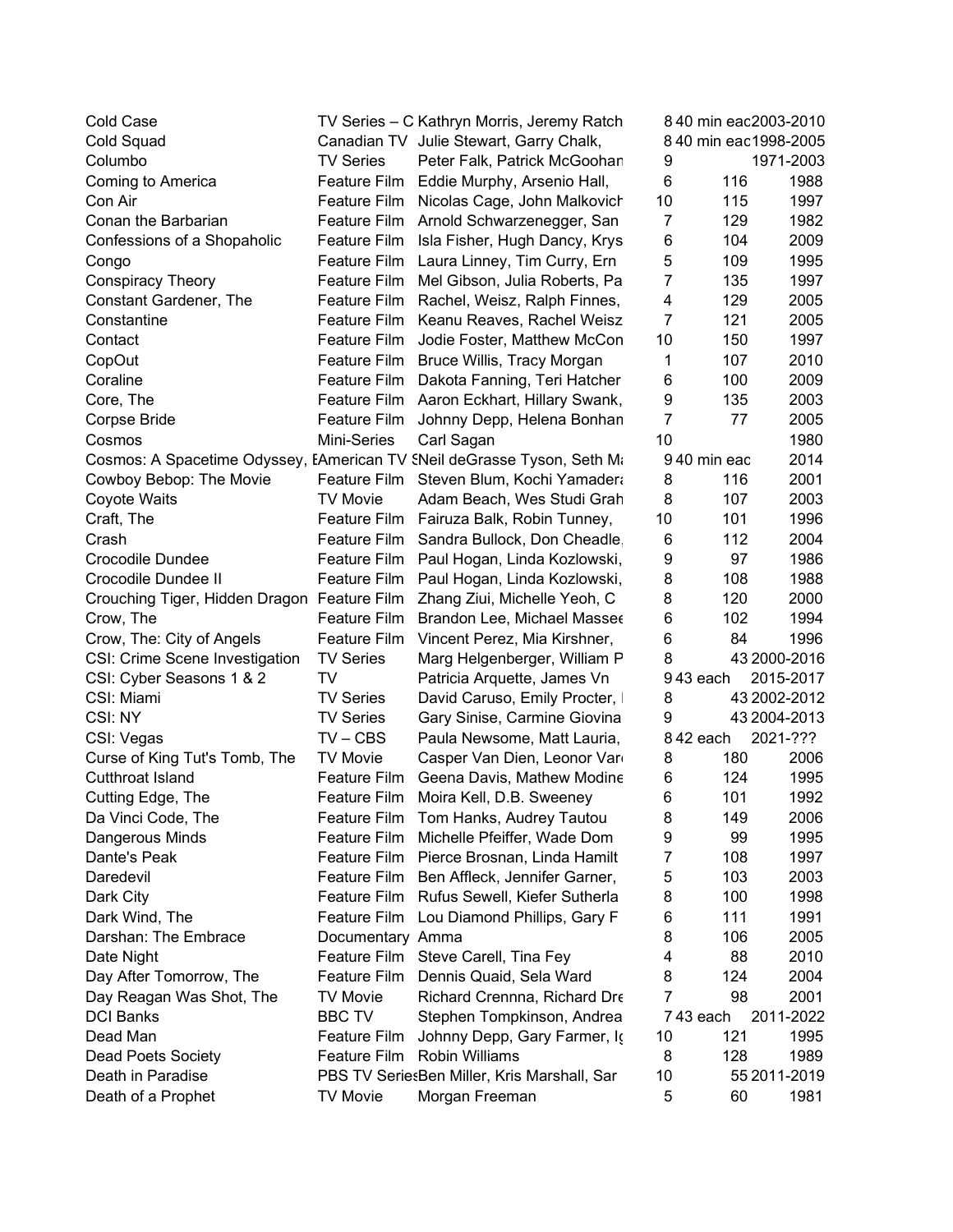| <b>Cold Case</b>                                                        |                     | TV Series - C Kathryn Morris, Jeremy Ratch  |                |             | 840 min eac2003-2010  |
|-------------------------------------------------------------------------|---------------------|---------------------------------------------|----------------|-------------|-----------------------|
| Cold Squad                                                              |                     | Canadian TV Julie Stewart, Garry Chalk,     |                |             | 8 40 min eac1998-2005 |
| Columbo                                                                 | <b>TV Series</b>    | Peter Falk, Patrick McGoohar                | 9              |             | 1971-2003             |
| Coming to America                                                       | Feature Film        | Eddie Murphy, Arsenio Hall,                 | 6              | 116         | 1988                  |
| Con Air                                                                 | Feature Film        | Nicolas Cage, John Malkovich                | 10             | 115         | 1997                  |
| Conan the Barbarian                                                     |                     | Feature Film Arnold Schwarzenegger, San     | 7              | 129         | 1982                  |
| Confessions of a Shopaholic                                             | Feature Film        | Isla Fisher, Hugh Dancy, Krys               | 6              | 104         | 2009                  |
| Congo                                                                   | Feature Film        | Laura Linney, Tim Curry, Ern                | 5              | 109         | 1995                  |
| <b>Conspiracy Theory</b>                                                | Feature Film        | Mel Gibson, Julia Roberts, Pa               | $\overline{7}$ | 135         | 1997                  |
| Constant Gardener, The                                                  | Feature Film        | Rachel, Weisz, Ralph Finnes,                | 4              | 129         | 2005                  |
| Constantine                                                             | Feature Film        | Keanu Reaves, Rachel Weisz                  | 7              | 121         | 2005                  |
| Contact                                                                 | Feature Film        | Jodie Foster, Matthew McCon                 | 10             | 150         | 1997                  |
| CopOut                                                                  | Feature Film        | Bruce Willis, Tracy Morgan                  | 1              | 107         | 2010                  |
| Coraline                                                                | Feature Film        | Dakota Fanning, Teri Hatcher                | 6              | 100         | 2009                  |
| Core, The                                                               | Feature Film        | Aaron Eckhart, Hillary Swank,               | 9              | 135         | 2003                  |
| Corpse Bride                                                            | Feature Film        | Johnny Depp, Helena Bonhan                  | $\overline{7}$ | 77          | 2005                  |
| Cosmos                                                                  | <b>Mini-Series</b>  | Carl Sagan                                  | 10             |             | 1980                  |
| Cosmos: A Spacetime Odyssey, EAmerican TV SNeil deGrasse Tyson, Seth Ma |                     |                                             |                | 940 min eac | 2014                  |
| Cowboy Bebop: The Movie                                                 | Feature Film        | Steven Blum, Kochi Yamadera                 | 8              | 116         | 2001                  |
| Coyote Waits                                                            | <b>TV Movie</b>     | Adam Beach, Wes Studi Grah                  | 8              | 107         | 2003                  |
| Craft, The                                                              |                     | Feature Film Fairuza Balk, Robin Tunney,    | 10             | 101         | 1996                  |
| Crash                                                                   | Feature Film        | Sandra Bullock, Don Cheadle                 | 6              | 112         | 2004                  |
| <b>Crocodile Dundee</b>                                                 | Feature Film        | Paul Hogan, Linda Kozlowski,                | 9              | 97          | 1986                  |
| Crocodile Dundee II                                                     | Feature Film        | Paul Hogan, Linda Kozlowski,                | 8              | 108         | 1988                  |
| Crouching Tiger, Hidden Dragon Feature Film                             |                     | Zhang Ziui, Michelle Yeoh, C                | 8              | 120         | 2000                  |
| Crow, The                                                               | Feature Film        | Brandon Lee, Michael Masser                 | 6              | 102         | 1994                  |
| Crow, The: City of Angels                                               | Feature Film        | Vincent Perez, Mia Kirshner,                | 6              | 84          | 1996                  |
| CSI: Crime Scene Investigation                                          | <b>TV Series</b>    | Marg Helgenberger, William P                | 8              |             | 43 2000-2016          |
| CSI: Cyber Seasons 1 & 2                                                | <b>TV</b>           | Patricia Arquette, James Vn                 |                | 943 each    | 2015-2017             |
| CSI: Miami                                                              | <b>TV Series</b>    | David Caruso, Emily Procter,                | 8              |             | 43 2002-2012          |
| CSI: NY                                                                 | <b>TV Series</b>    | Gary Sinise, Carmine Giovina                | 9              |             | 43 2004-2013          |
| CSI: Vegas                                                              | $TV - CBS$          | Paula Newsome, Matt Lauria,                 |                | 842 each    | 2021-???              |
| Curse of King Tut's Tomb, The                                           | <b>TV Movie</b>     | Casper Van Dien, Leonor Var                 | 8              | 180         | 2006                  |
| <b>Cutthroat Island</b>                                                 | Feature Film        | Geena Davis, Mathew Modine                  | 6              | 124         | 1995                  |
| Cutting Edge, The                                                       | <b>Feature Film</b> | Moira Kell, D.B. Sweeney                    | 6              | 101         | 1992                  |
| Da Vinci Code, The                                                      | Feature Film        | Tom Hanks, Audrey Tautou                    | 8              | 149         | 2006                  |
| Dangerous Minds                                                         | Feature Film        | Michelle Pfeiffer, Wade Dom                 | 9              | 99          | 1995                  |
| Dante's Peak                                                            | Feature Film        | Pierce Brosnan, Linda Hamilt                | 7              | 108         | 1997                  |
| Daredevil                                                               | Feature Film        | Ben Affleck, Jennifer Garner,               | 5              | 103         | 2003                  |
| Dark City                                                               | Feature Film        | Rufus Sewell, Kiefer Sutherla               | 8              | 100         | 1998                  |
| Dark Wind, The                                                          | <b>Feature Film</b> | Lou Diamond Phillips, Gary F                | 6              | 111         | 1991                  |
| Darshan: The Embrace                                                    | Documentary Amma    |                                             | 8              | 106         | 2005                  |
| Date Night                                                              |                     | Feature Film Steve Carell, Tina Fey         | 4              | 88          | 2010                  |
| Day After Tomorrow, The                                                 | Feature Film        | Dennis Quaid, Sela Ward                     | 8              | 124         | 2004                  |
| Day Reagan Was Shot, The                                                | <b>TV Movie</b>     | Richard Crennna, Richard Dre                | $\overline{7}$ | 98          | 2001                  |
| <b>DCI Banks</b>                                                        | <b>BBC TV</b>       | Stephen Tompkinson, Andrea                  |                | 743 each    | 2011-2022             |
| Dead Man                                                                | <b>Feature Film</b> | Johnny Depp, Gary Farmer, Io                | 10             | 121         | 1995                  |
| <b>Dead Poets Society</b>                                               | Feature Film        | <b>Robin Williams</b>                       | 8              | 128         | 1989                  |
| Death in Paradise                                                       |                     | PBS TV SeriesBen Miller, Kris Marshall, Sar | 10             |             | 55 2011-2019          |
| Death of a Prophet                                                      | <b>TV Movie</b>     | Morgan Freeman                              | 5              | 60          | 1981                  |
|                                                                         |                     |                                             |                |             |                       |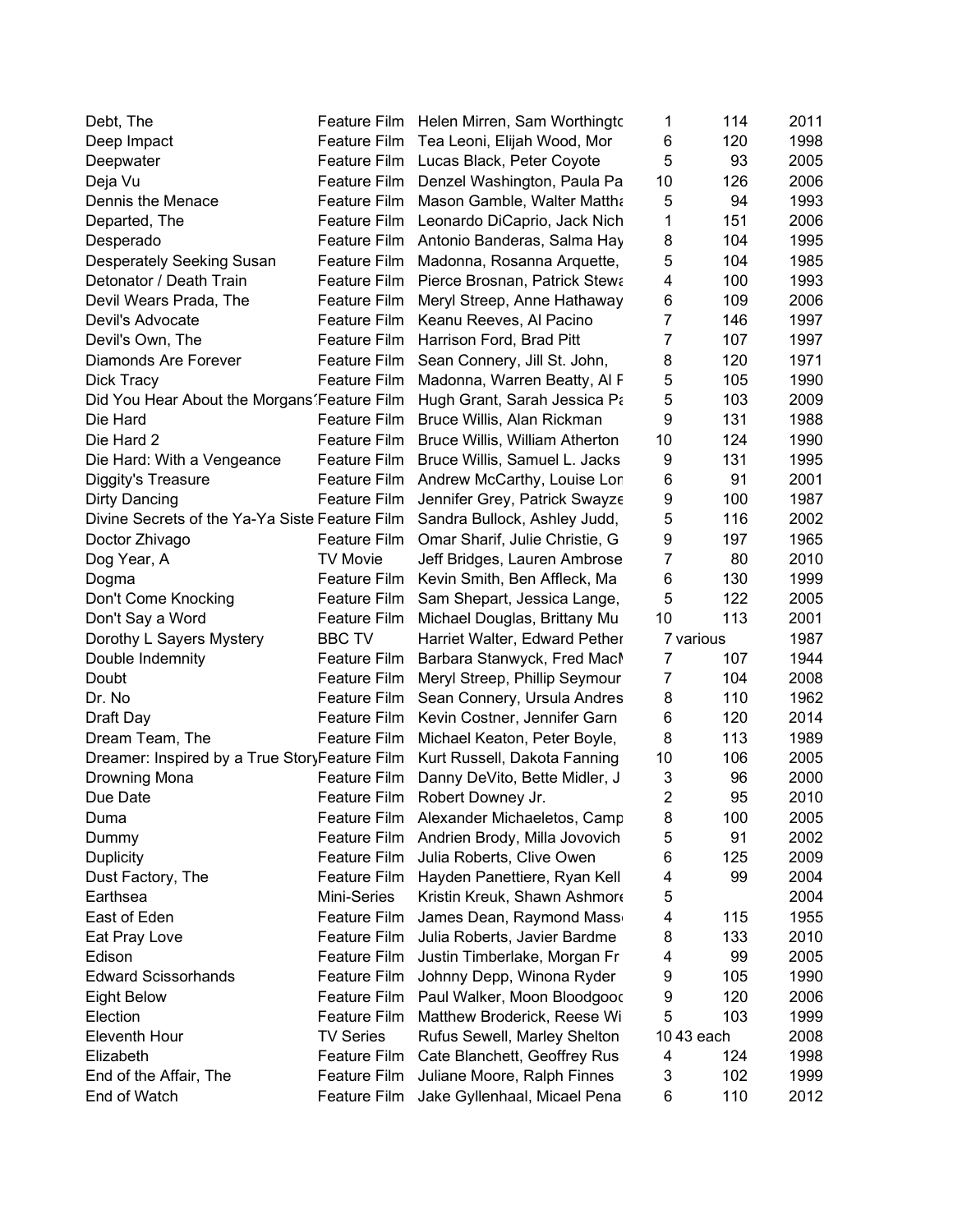| Debt, The                                      |                     | Feature Film Helen Mirren, Sam Worthingto  | 1              | 114       | 2011 |
|------------------------------------------------|---------------------|--------------------------------------------|----------------|-----------|------|
| Deep Impact                                    | Feature Film        | Tea Leoni, Elijah Wood, Mor                | 6              | 120       | 1998 |
| Deepwater                                      | Feature Film        | Lucas Black, Peter Coyote                  | 5              | 93        | 2005 |
| Deja Vu                                        | Feature Film        | Denzel Washington, Paula Pa                | 10             | 126       | 2006 |
| Dennis the Menace                              | Feature Film        | Mason Gamble, Walter Mattha                | 5              | 94        | 1993 |
| Departed, The                                  | Feature Film        | Leonardo DiCaprio, Jack Nich               | 1              | 151       | 2006 |
| Desperado                                      |                     | Feature Film Antonio Banderas, Salma Hay   | 8              | 104       | 1995 |
| Desperately Seeking Susan                      | Feature Film        | Madonna, Rosanna Arquette,                 | 5              | 104       | 1985 |
| Detonator / Death Train                        | Feature Film        | Pierce Brosnan, Patrick Stewa              | 4              | 100       | 1993 |
| Devil Wears Prada, The                         | Feature Film        | Meryl Streep, Anne Hathaway                | 6              | 109       | 2006 |
| Devil's Advocate                               | Feature Film        | Keanu Reeves, Al Pacino                    | $\overline{7}$ | 146       | 1997 |
| Devil's Own, The                               | Feature Film        | Harrison Ford, Brad Pitt                   | $\overline{7}$ | 107       | 1997 |
| Diamonds Are Forever                           | Feature Film        | Sean Connery, Jill St. John,               | 8              | 120       | 1971 |
| Dick Tracy                                     | Feature Film        | Madonna, Warren Beatty, Al F               | 5              | 105       | 1990 |
| Did You Hear About the Morgans' Feature Film   |                     | Hugh Grant, Sarah Jessica Pa               | 5              | 103       | 2009 |
| Die Hard                                       | <b>Feature Film</b> | Bruce Willis, Alan Rickman                 | 9              | 131       | 1988 |
| Die Hard 2                                     | <b>Feature Film</b> | Bruce Willis, William Atherton             | 10             | 124       | 1990 |
| Die Hard: With a Vengeance                     | Feature Film        | Bruce Willis, Samuel L. Jacks              | 9              | 131       | 1995 |
| Diggity's Treasure                             | Feature Film        | Andrew McCarthy, Louise Lor                | 6              | 91        | 2001 |
| <b>Dirty Dancing</b>                           | Feature Film        | Jennifer Grey, Patrick Swayze              | 9              | 100       | 1987 |
| Divine Secrets of the Ya-Ya Siste Feature Film |                     | Sandra Bullock, Ashley Judd,               | 5              | 116       | 2002 |
| Doctor Zhivago                                 | <b>Feature Film</b> | Omar Sharif, Julie Christie, G             | 9              | 197       | 1965 |
| Dog Year, A                                    | <b>TV Movie</b>     | Jeff Bridges, Lauren Ambrose               | $\overline{7}$ | 80        | 2010 |
| Dogma                                          | Feature Film        | Kevin Smith, Ben Affleck, Ma               | 6              | 130       | 1999 |
| Don't Come Knocking                            | Feature Film        | Sam Shepart, Jessica Lange,                | 5              | 122       | 2005 |
| Don't Say a Word                               | Feature Film        | Michael Douglas, Brittany Mu               | 10             | 113       | 2001 |
| Dorothy L Sayers Mystery                       | <b>BBC TV</b>       | Harriet Walter, Edward Pether              |                | 7 various | 1987 |
| Double Indemnity                               | Feature Film        | Barbara Stanwyck, Fred Macl                | $\overline{7}$ | 107       | 1944 |
| Doubt                                          | Feature Film        | Meryl Streep, Phillip Seymour              | $\overline{7}$ | 104       | 2008 |
| Dr. No                                         | Feature Film        | Sean Connery, Ursula Andres                | 8              | 110       | 1962 |
| Draft Day                                      | Feature Film        | Kevin Costner, Jennifer Garn               | 6              | 120       | 2014 |
| Dream Team, The                                | Feature Film        | Michael Keaton, Peter Boyle,               | 8              | 113       | 1989 |
| Dreamer: Inspired by a True StoryFeature Film  |                     | Kurt Russell, Dakota Fanning               | 10             | 106       | 2005 |
| Drowning Mona                                  | Feature Film        | Danny DeVito, Bette Midler, J              | 3              | 96        | 2000 |
| Due Date                                       | Feature Film        | Robert Downey Jr.                          | $\overline{2}$ | 95        | 2010 |
| Duma                                           |                     | Feature Film Alexander Michaeletos, Camp   | 8              | 100       | 2005 |
| Dummy                                          |                     | Feature Film Andrien Brody, Milla Jovovich | 5              | 91        | 2002 |
| <b>Duplicity</b>                               | Feature Film        | Julia Roberts, Clive Owen                  | 6              | 125       | 2009 |
| Dust Factory, The                              | Feature Film        | Hayden Panettiere, Ryan Kell               | 4              | 99        | 2004 |
| Earthsea                                       | Mini-Series         | Kristin Kreuk, Shawn Ashmor                | 5              |           | 2004 |
| East of Eden                                   | Feature Film        | James Dean, Raymond Mass                   | 4              | 115       | 1955 |
| Eat Pray Love                                  | <b>Feature Film</b> | Julia Roberts, Javier Bardme               | 8              | 133       | 2010 |
| Edison                                         | Feature Film        | Justin Timberlake, Morgan Fr               | 4              | 99        | 2005 |
| <b>Edward Scissorhands</b>                     | Feature Film        | Johnny Depp, Winona Ryder                  | 9              | 105       | 1990 |
| <b>Eight Below</b>                             | Feature Film        | Paul Walker, Moon Bloodgood                | 9              | 120       | 2006 |
| Election                                       | <b>Feature Film</b> | Matthew Broderick, Reese Wi                | 5              | 103       | 1999 |
| <b>Eleventh Hour</b>                           | <b>TV Series</b>    | Rufus Sewell, Marley Shelton               |                | 1043 each | 2008 |
| Elizabeth                                      | Feature Film        | Cate Blanchett, Geoffrey Rus               | 4              | 124       | 1998 |
| End of the Affair, The                         | <b>Feature Film</b> | Juliane Moore, Ralph Finnes                | 3              | 102       | 1999 |
| End of Watch                                   | Feature Film        | Jake Gyllenhaal, Micael Pena               | 6              | 110       | 2012 |
|                                                |                     |                                            |                |           |      |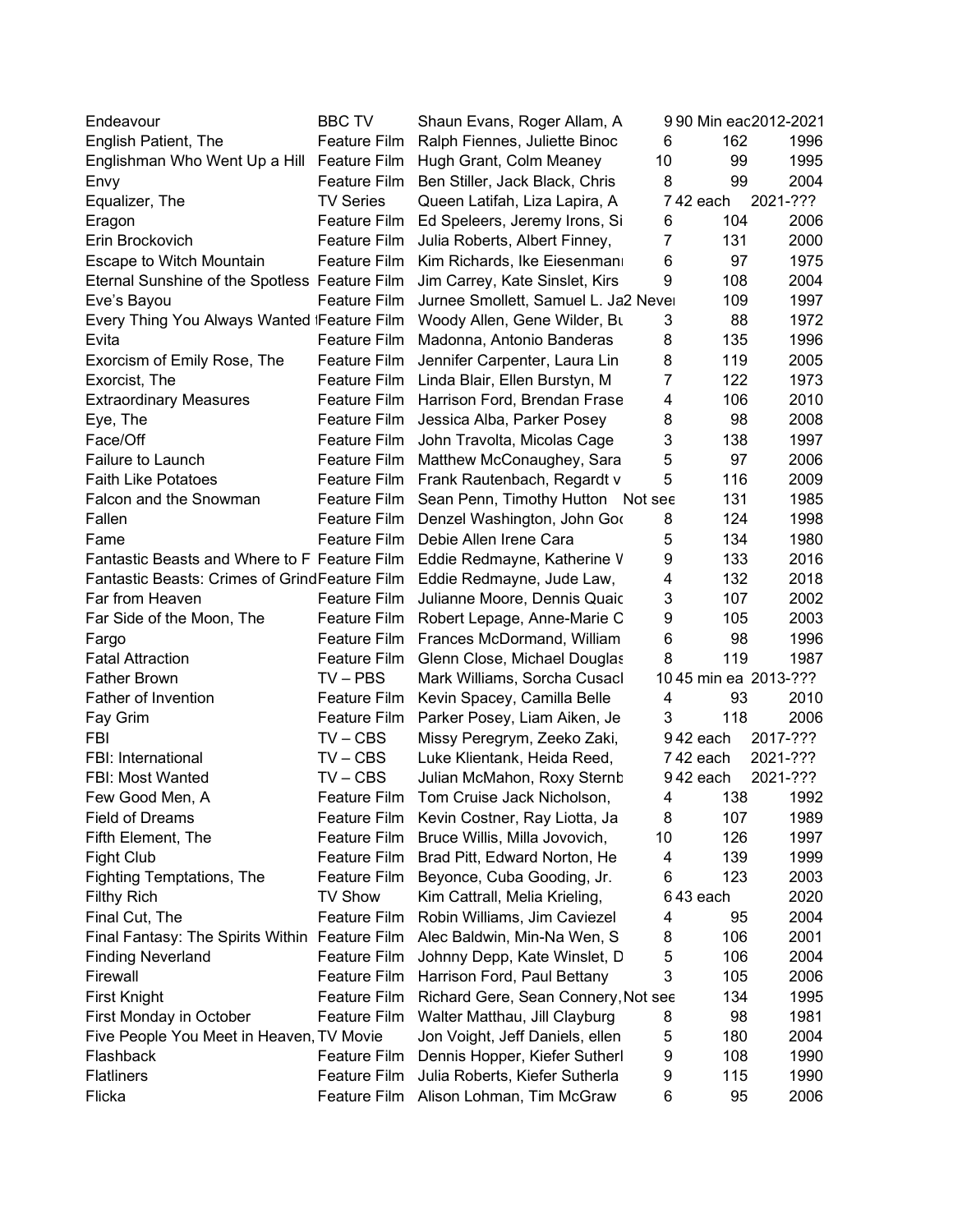| Shaun Evans, Roger Allam, A                                                                 | 9 90 Min eac2012-2021 |
|---------------------------------------------------------------------------------------------|-----------------------|
| English Patient, The<br>Feature Film<br>162<br>Ralph Fiennes, Juliette Binoc<br>6           | 1996                  |
| 10<br>99<br>Englishman Who Went Up a Hill Feature Film<br>Hugh Grant, Colm Meaney           | 1995                  |
| 8<br>99<br>Feature Film<br>Ben Stiller, Jack Black, Chris<br>Envy                           | 2004                  |
| 742 each<br>Equalizer, The<br><b>TV Series</b><br>Queen Latifah, Liza Lapira, A             | 2021-???              |
| 104<br>Feature Film Ed Speleers, Jeremy Irons, Si<br>6<br>Eragon                            | 2006                  |
| 7<br>131<br>Erin Brockovich<br>Feature Film<br>Julia Roberts, Albert Finney,                | 2000                  |
| 6<br>97<br>Escape to Witch Mountain<br>Feature Film<br>Kim Richards, Ike Eiesenman          | 1975                  |
| 9<br>108<br>Eternal Sunshine of the Spotless Feature Film<br>Jim Carrey, Kate Sinslet, Kirs | 2004                  |
| <b>Feature Film</b><br>Jurnee Smollett, Samuel L. Ja2 Never<br>109<br>Eve's Bayou           | 1997                  |
| Every Thing You Always Wanted Feature Film<br>3<br>88<br>Woody Allen, Gene Wilder, Bu       | 1972                  |
| Feature Film<br>8<br>135<br>Evita<br>Madonna, Antonio Banderas                              | 1996                  |
| 8<br>Feature Film<br>Jennifer Carpenter, Laura Lin<br>119<br>Exorcism of Emily Rose, The    | 2005                  |
| 7<br>122<br>Exorcist, The<br>Feature Film<br>Linda Blair, Ellen Burstyn, M                  | 1973                  |
| Feature Film<br>Harrison Ford, Brendan Frase<br>4<br>106<br><b>Extraordinary Measures</b>   | 2010                  |
| Feature Film<br>8<br>98<br>Eye, The<br>Jessica Alba, Parker Posey                           | 2008                  |
| 3<br>Face/Off<br>Feature Film<br>138<br>John Travolta, Micolas Cage                         | 1997                  |
| 5<br>97<br>Failure to Launch<br>Feature Film<br>Matthew McConaughey, Sara                   | 2006                  |
| 5<br><b>Faith Like Potatoes</b><br>116<br>Feature Film<br>Frank Rautenbach, Regardt v       | 2009                  |
| Falcon and the Snowman<br>131<br>Feature Film<br>Sean Penn, Timothy Hutton Not see          | 1985                  |
| Fallen<br>8<br>124<br>Feature Film<br>Denzel Washington, John Gor                           | 1998                  |
| Debie Allen Irene Cara<br>5<br>134<br>Fame<br>Feature Film                                  | 1980                  |
| 9<br>Fantastic Beasts and Where to F Feature Film<br>133<br>Eddie Redmayne, Katherine V     | 2016                  |
| Fantastic Beasts: Crimes of GrindFeature Film<br>132<br>Eddie Redmayne, Jude Law,<br>4      | 2018                  |
| 3<br>Far from Heaven<br>Feature Film<br>107<br>Julianne Moore, Dennis Quaic                 | 2002                  |
| Feature Film<br>9<br>105<br>Far Side of the Moon, The<br>Robert Lepage, Anne-Marie C        | 2003                  |
| 6<br>Feature Film<br>98<br>Frances McDormand, William<br>Fargo                              | 1996                  |
| 8<br><b>Fatal Attraction</b><br>Feature Film<br>119<br>Glenn Close, Michael Douglas         | 1987                  |
| <b>Father Brown</b><br>10 45 min ea 2013-???<br>$TV - PBS$<br>Mark Williams, Sorcha Cusacl  |                       |
| Father of Invention<br>Feature Film<br>4<br>93<br>Kevin Spacey, Camilla Belle               | 2010                  |
| 3<br>118<br>Fay Grim<br>Feature Film<br>Parker Posey, Liam Aiken, Je                        | 2006                  |
| $TV - CBS$<br>942 each<br>FBI<br>Missy Peregrym, Zeeko Zaki,                                | 2017-???              |
| $TV - CBS$<br>FBI: International<br>Luke Klientank, Heida Reed,<br>742 each                 | 2021-???              |
| FBI: Most Wanted<br>942 each<br>$TV - CBS$<br>Julian McMahon, Roxy Sternt                   | 2021-???              |
| 138<br>Few Good Men, A<br>Feature Film<br>Tom Cruise Jack Nicholson,<br>4                   | 1992                  |
| 107<br><b>Field of Dreams</b><br>Kevin Costner, Ray Liotta, Ja<br>8<br>Feature Film         | 1989                  |
| 126<br>Fifth Element, The<br>Feature Film<br>Bruce Willis, Milla Jovovich,<br>10            | 1997                  |
| 139<br><b>Fight Club</b><br>Feature Film<br>Brad Pitt, Edward Norton, He<br>4               | 1999                  |
| 123<br>Feature Film<br><b>Fighting Temptations, The</b><br>Beyonce, Cuba Gooding, Jr.<br>6  | 2003                  |
| <b>TV Show</b><br>643 each<br><b>Filthy Rich</b><br>Kim Cattrall, Melia Krieling,           | 2020                  |
| Feature Film<br>Final Cut, The<br>Robin Williams, Jim Caviezel<br>95<br>4                   | 2004                  |
| 106<br>Final Fantasy: The Spirits Within Feature Film<br>Alec Baldwin, Min-Na Wen, S<br>8   | 2001                  |
| 106<br>Feature Film<br>Johnny Depp, Kate Winslet, D<br>5<br><b>Finding Neverland</b>        | 2004                  |
| 3<br>Firewall<br>Feature Film<br>Harrison Ford, Paul Bettany<br>105                         | 2006                  |
| <b>First Knight</b><br>Feature Film<br>Richard Gere, Sean Connery, Not see<br>134           | 1995                  |
| First Monday in October<br>Feature Film<br>Walter Matthau, Jill Clayburg<br>8<br>98         | 1981                  |
| 180<br>Five People You Meet in Heaven, TV Movie<br>Jon Voight, Jeff Daniels, ellen<br>5     | 2004                  |
| Flashback<br><b>Feature Film</b><br>Dennis Hopper, Kiefer Sutherl<br>9<br>108               | 1990                  |
| <b>Flatliners</b><br><b>Feature Film</b><br>Julia Roberts, Kiefer Sutherla<br>9<br>115      | 1990                  |
| Alison Lohman, Tim McGraw<br>95<br>Flicka<br>Feature Film<br>6                              | 2006                  |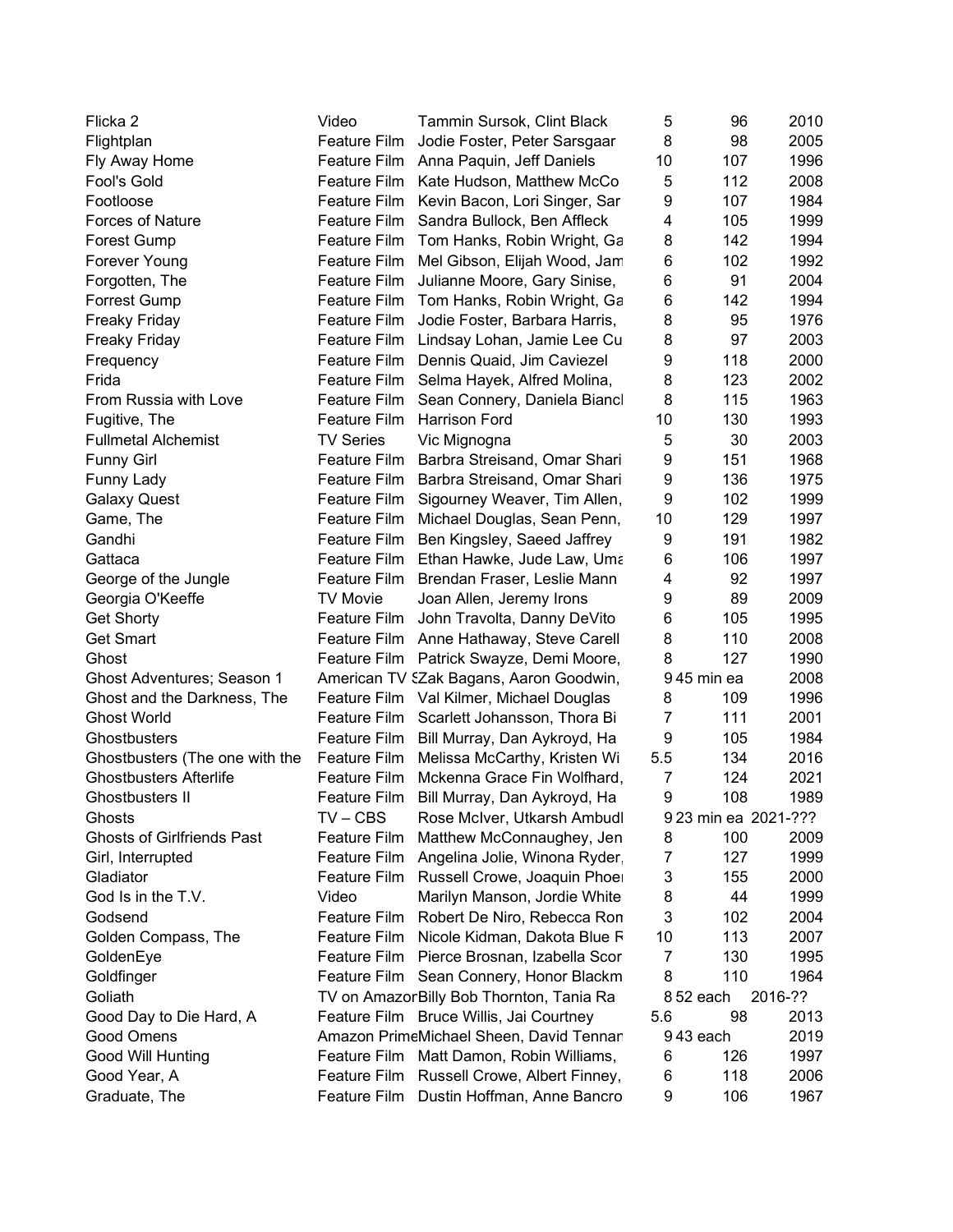| Flicka <sub>2</sub>               | Video            | Tammin Sursok, Clint Black                | 5              | 96                   | 2010    |
|-----------------------------------|------------------|-------------------------------------------|----------------|----------------------|---------|
| Flightplan                        | Feature Film     | Jodie Foster, Peter Sarsgaar              | 8              | 98                   | 2005    |
| Fly Away Home                     | Feature Film     | Anna Paquin, Jeff Daniels                 | 10             | 107                  | 1996    |
| Fool's Gold                       | Feature Film     | Kate Hudson, Matthew McCo                 | 5              | 112                  | 2008    |
| Footloose                         | Feature Film     | Kevin Bacon, Lori Singer, Sar             | 9              | 107                  | 1984    |
| Forces of Nature                  | Feature Film     | Sandra Bullock, Ben Affleck               | 4              | 105                  | 1999    |
| <b>Forest Gump</b>                |                  | Feature Film Tom Hanks, Robin Wright, Ga  | 8              | 142                  | 1994    |
| Forever Young                     | Feature Film     | Mel Gibson, Elijah Wood, Jam              | 6              | 102                  | 1992    |
| Forgotten, The                    | Feature Film     | Julianne Moore, Gary Sinise,              | 6              | 91                   | 2004    |
| <b>Forrest Gump</b>               | Feature Film     | Tom Hanks, Robin Wright, Ga               | 6              | 142                  | 1994    |
| <b>Freaky Friday</b>              | Feature Film     | Jodie Foster, Barbara Harris,             | 8              | 95                   | 1976    |
| <b>Freaky Friday</b>              | Feature Film     | Lindsay Lohan, Jamie Lee Cu               | 8              | 97                   | 2003    |
| Frequency                         | Feature Film     | Dennis Quaid, Jim Caviezel                | 9              | 118                  | 2000    |
| Frida                             | Feature Film     | Selma Hayek, Alfred Molina,               | 8              | 123                  | 2002    |
| From Russia with Love             | Feature Film     | Sean Connery, Daniela Biancl              | 8              | 115                  | 1963    |
| Fugitive, The                     | Feature Film     | Harrison Ford                             | 10             | 130                  | 1993    |
| <b>Fullmetal Alchemist</b>        | <b>TV Series</b> | Vic Mignogna                              | 5              | 30                   | 2003    |
| <b>Funny Girl</b>                 | Feature Film     | Barbra Streisand, Omar Shari              | 9              | 151                  | 1968    |
| Funny Lady                        | Feature Film     | Barbra Streisand, Omar Shari              | 9              | 136                  | 1975    |
| <b>Galaxy Quest</b>               | Feature Film     | Sigourney Weaver, Tim Allen,              | 9              | 102                  | 1999    |
| Game, The                         | Feature Film     | Michael Douglas, Sean Penn,               | 10             | 129                  | 1997    |
| Gandhi                            | Feature Film     | Ben Kingsley, Saeed Jaffrey               | 9              | 191                  | 1982    |
| Gattaca                           | Feature Film     | Ethan Hawke, Jude Law, Uma                | 6              | 106                  | 1997    |
| George of the Jungle              | Feature Film     | Brendan Fraser, Leslie Mann               | 4              | 92                   | 1997    |
| Georgia O'Keeffe                  | <b>TV Movie</b>  | Joan Allen, Jeremy Irons                  | 9              | 89                   | 2009    |
| <b>Get Shorty</b>                 | Feature Film     | John Travolta, Danny DeVito               | 6              | 105                  | 1995    |
| <b>Get Smart</b>                  | Feature Film     | Anne Hathaway, Steve Carell               | 8              | 110                  | 2008    |
| Ghost                             | Feature Film     | Patrick Swayze, Demi Moore,               | 8              | 127                  | 1990    |
| Ghost Adventures; Season 1        |                  | American TV SZak Bagans, Aaron Goodwin,   |                | 945 min ea           | 2008    |
| Ghost and the Darkness, The       |                  | Feature Film Val Kilmer, Michael Douglas  | 8              | 109                  | 1996    |
| <b>Ghost World</b>                |                  | Feature Film Scarlett Johansson, Thora Bi | $\overline{7}$ | 111                  | 2001    |
| Ghostbusters                      | Feature Film     | Bill Murray, Dan Aykroyd, Ha              | 9              | 105                  | 1984    |
| Ghostbusters (The one with the    | Feature Film     | Melissa McCarthy, Kristen Wi              | 5.5            | 134                  | 2016    |
| <b>Ghostbusters Afterlife</b>     | Feature Film     | Mckenna Grace Fin Wolfhard.               | 7              | 124                  | 2021    |
| Ghostbusters II                   | Feature Film     | Bill Murray, Dan Aykroyd, Ha              | 9              | 108                  | 1989    |
| Ghosts                            | $TV - CBS$       | Rose McIver, Utkarsh Ambudl               |                | 9 23 min ea 2021-??? |         |
| <b>Ghosts of Girlfriends Past</b> | Feature Film     | Matthew McConnaughey, Jen                 | 8              | 100                  | 2009    |
| Girl, Interrupted                 | Feature Film     | Angelina Jolie, Winona Ryder              | 7              | 127                  | 1999    |
| Gladiator                         | Feature Film     | Russell Crowe, Joaquin Phoe               | 3              | 155                  | 2000    |
| God Is in the T.V.                | Video            | Marilyn Manson, Jordie White              | 8              | 44                   | 1999    |
| Godsend                           | Feature Film     | Robert De Niro, Rebecca Ron               | 3              | 102                  | 2004    |
| Golden Compass, The               | Feature Film     | Nicole Kidman, Dakota Blue F              | 10             | 113                  | 2007    |
| GoldenEye                         | Feature Film     | Pierce Brosnan, Izabella Scor             | 7              | 130                  | 1995    |
| Goldfinger                        |                  | Feature Film Sean Connery, Honor Blackm   | 8              | 110                  | 1964    |
| Goliath                           |                  | TV on AmazorBilly Bob Thornton, Tania Ra  |                | 852 each             | 2016-?? |
| Good Day to Die Hard, A           |                  | Feature Film Bruce Willis, Jai Courtney   | 5.6            | 98                   | 2013    |
| Good Omens                        |                  | Amazon PrimeMichael Sheen, David Tennar   |                | 943 each             | 2019    |
| Good Will Hunting                 | Feature Film     | Matt Damon, Robin Williams,               | 6              | 126                  | 1997    |
| Good Year, A                      | Feature Film     | Russell Crowe, Albert Finney,             | 6              | 118                  | 2006    |
| Graduate, The                     | Feature Film     | Dustin Hoffman, Anne Bancro               | 9              | 106                  | 1967    |
|                                   |                  |                                           |                |                      |         |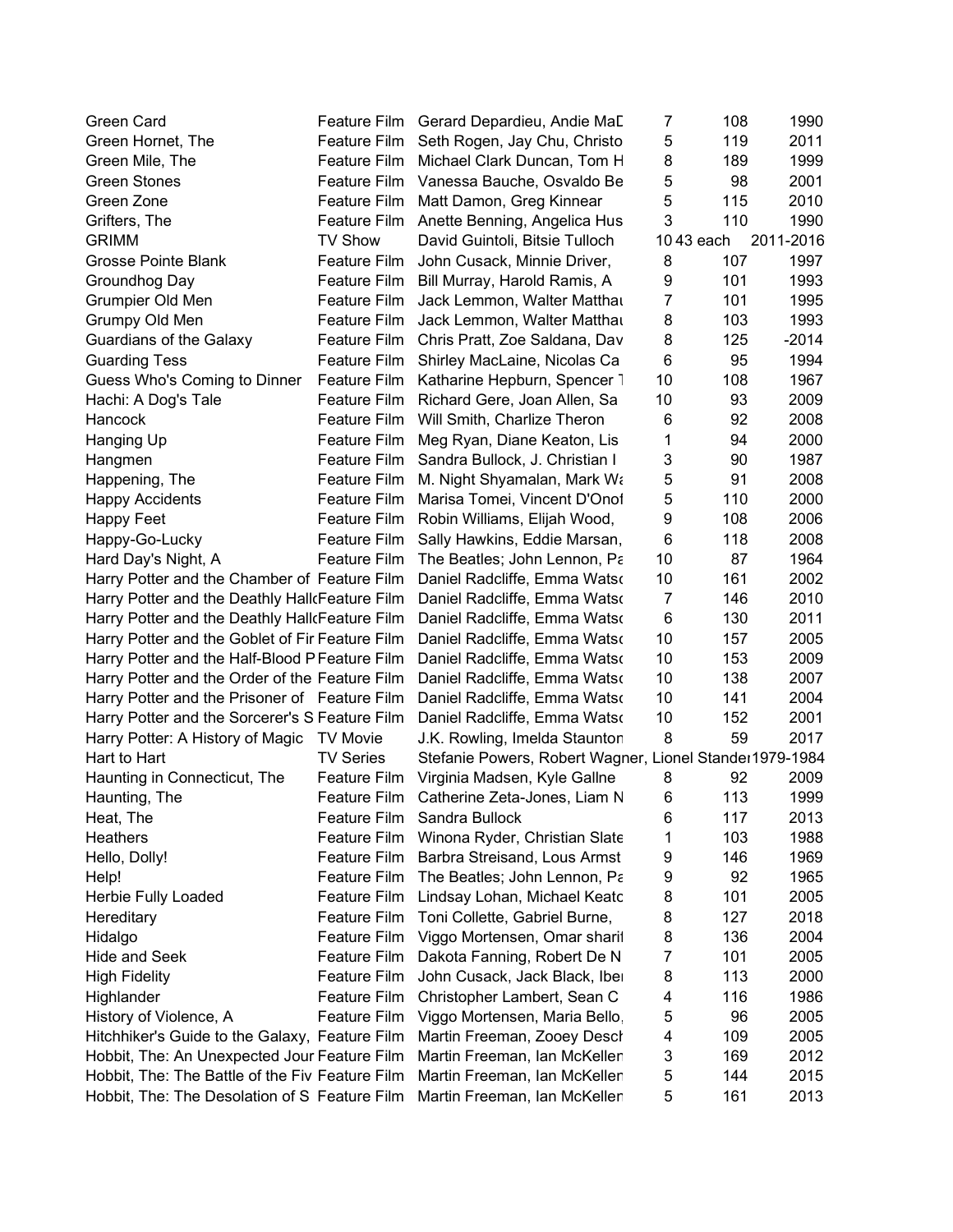| Green Card                                      |                     | Feature Film Gerard Depardieu, Andie MaD                | 7              | 108       | 1990      |
|-------------------------------------------------|---------------------|---------------------------------------------------------|----------------|-----------|-----------|
| Green Hornet, The                               | Feature Film        | Seth Rogen, Jay Chu, Christo                            | 5              | 119       | 2011      |
| Green Mile, The                                 | <b>Feature Film</b> | Michael Clark Duncan, Tom H                             | 8              | 189       | 1999      |
| <b>Green Stones</b>                             | Feature Film        | Vanessa Bauche, Osvaldo Be                              | 5              | 98        | 2001      |
| Green Zone                                      | Feature Film        | Matt Damon, Greg Kinnear                                | 5              | 115       | 2010      |
| Grifters, The                                   | Feature Film        | Anette Benning, Angelica Hus                            | 3              | 110       | 1990      |
| <b>GRIMM</b>                                    | <b>TV Show</b>      | David Guintoli, Bitsie Tulloch                          |                | 1043 each | 2011-2016 |
| Grosse Pointe Blank                             | Feature Film        | John Cusack, Minnie Driver,                             | 8              | 107       | 1997      |
| Groundhog Day                                   | Feature Film        | Bill Murray, Harold Ramis, A                            | 9              | 101       | 1993      |
| Grumpier Old Men                                | <b>Feature Film</b> | Jack Lemmon, Walter Matthal                             | $\overline{7}$ | 101       | 1995      |
| Grumpy Old Men                                  | Feature Film        | Jack Lemmon, Walter Matthal                             | 8              | 103       | 1993      |
| Guardians of the Galaxy                         | Feature Film        | Chris Pratt, Zoe Saldana, Dav                           | 8              | 125       | $-2014$   |
| <b>Guarding Tess</b>                            | Feature Film        | Shirley MacLaine, Nicolas Ca                            | 6              | 95        | 1994      |
| Guess Who's Coming to Dinner                    | Feature Film        | Katharine Hepburn, Spencer                              | 10             | 108       | 1967      |
| Hachi: A Dog's Tale                             | <b>Feature Film</b> | Richard Gere, Joan Allen, Sa                            | 10             | 93        | 2009      |
| Hancock                                         | <b>Feature Film</b> | Will Smith, Charlize Theron                             | 6              | 92        | 2008      |
| Hanging Up                                      | <b>Feature Film</b> | Meg Ryan, Diane Keaton, Lis                             | 1              | 94        | 2000      |
| Hangmen                                         | <b>Feature Film</b> | Sandra Bullock, J. Christian I                          | 3              | 90        | 1987      |
| Happening, The                                  | Feature Film        | M. Night Shyamalan, Mark Wa                             | 5              | 91        | 2008      |
| <b>Happy Accidents</b>                          | Feature Film        | Marisa Tomei, Vincent D'Onol                            | 5              | 110       | 2000      |
| Happy Feet                                      | Feature Film        | Robin Williams, Elijah Wood,                            | 9              | 108       | 2006      |
| Happy-Go-Lucky                                  | Feature Film        | Sally Hawkins, Eddie Marsan,                            | 6              | 118       | 2008      |
| Hard Day's Night, A                             | <b>Feature Film</b> | The Beatles; John Lennon, Pa                            | 10             | 87        | 1964      |
| Harry Potter and the Chamber of Feature Film    |                     | Daniel Radcliffe, Emma Watso                            | 10             | 161       | 2002      |
| Harry Potter and the Deathly Hall Feature Film  |                     | Daniel Radcliffe, Emma Watso                            | 7              | 146       | 2010      |
| Harry Potter and the Deathly Hall Feature Film  |                     | Daniel Radcliffe, Emma Watso                            | $\,6$          | 130       | 2011      |
| Harry Potter and the Goblet of Fir Feature Film |                     | Daniel Radcliffe, Emma Watso                            | 10             | 157       | 2005      |
| Harry Potter and the Half-Blood P Feature Film  |                     | Daniel Radcliffe, Emma Watso                            | 10             | 153       | 2009      |
| Harry Potter and the Order of the Feature Film  |                     | Daniel Radcliffe, Emma Watso                            | 10             | 138       | 2007      |
| Harry Potter and the Prisoner of Feature Film   |                     | Daniel Radcliffe, Emma Watso                            | 10             | 141       | 2004      |
| Harry Potter and the Sorcerer's S Feature Film  |                     | Daniel Radcliffe, Emma Watso                            | 10             | 152       | 2001      |
| Harry Potter: A History of Magic                | TV Movie            | J.K. Rowling, Imelda Stauntor                           | 8              | 59        | 2017      |
| Hart to Hart                                    | <b>TV Series</b>    | Stefanie Powers, Robert Wagner, Lionel Stander1979-1984 |                |           |           |
| Haunting in Connecticut, The                    | <b>Feature Film</b> | Virginia Madsen, Kyle Gallne                            | 8              | 92        | 2009      |
| Haunting, The                                   | Feature Film        | Catherine Zeta-Jones, Liam N                            | 6              | 113       | 1999      |
| Heat, The                                       | Feature Film        | Sandra Bullock                                          | 6              | 117       | 2013      |
| Heathers                                        | Feature Film        | Winona Ryder, Christian Slate                           | 1              | 103       | 1988      |
| Hello, Dolly!                                   | <b>Feature Film</b> | Barbra Streisand, Lous Armst                            | 9              | 146       | 1969      |
| Help!                                           | <b>Feature Film</b> | The Beatles; John Lennon, Pa                            | 9              | 92        | 1965      |
| Herbie Fully Loaded                             | <b>Feature Film</b> | Lindsay Lohan, Michael Keatc                            | 8              | 101       | 2005      |
| Hereditary                                      | <b>Feature Film</b> | Toni Collette, Gabriel Burne,                           | 8              | 127       | 2018      |
| Hidalgo                                         | <b>Feature Film</b> | Viggo Mortensen, Omar sharit                            | 8              | 136       | 2004      |
| <b>Hide and Seek</b>                            | Feature Film        | Dakota Fanning, Robert De N                             | 7              | 101       | 2005      |
| <b>High Fidelity</b>                            | Feature Film        | John Cusack, Jack Black, Ibe                            | 8              | 113       | 2000      |
| Highlander                                      | Feature Film        | Christopher Lambert, Sean C                             | 4              | 116       | 1986      |
| History of Violence, A                          | <b>Feature Film</b> | Viggo Mortensen, Maria Bello                            | 5              | 96        | 2005      |
| Hitchhiker's Guide to the Galaxy, Feature Film  |                     | Martin Freeman, Zooey Descl                             | 4              | 109       | 2005      |
| Hobbit, The: An Unexpected Jour Feature Film    |                     | Martin Freeman, Ian McKeller                            | 3              | 169       | 2012      |
| Hobbit, The: The Battle of the Fiv Feature Film |                     | Martin Freeman, Ian McKeller                            | 5              | 144       | 2015      |
| Hobbit, The: The Desolation of S Feature Film   |                     | Martin Freeman, Ian McKeller                            | 5              | 161       | 2013      |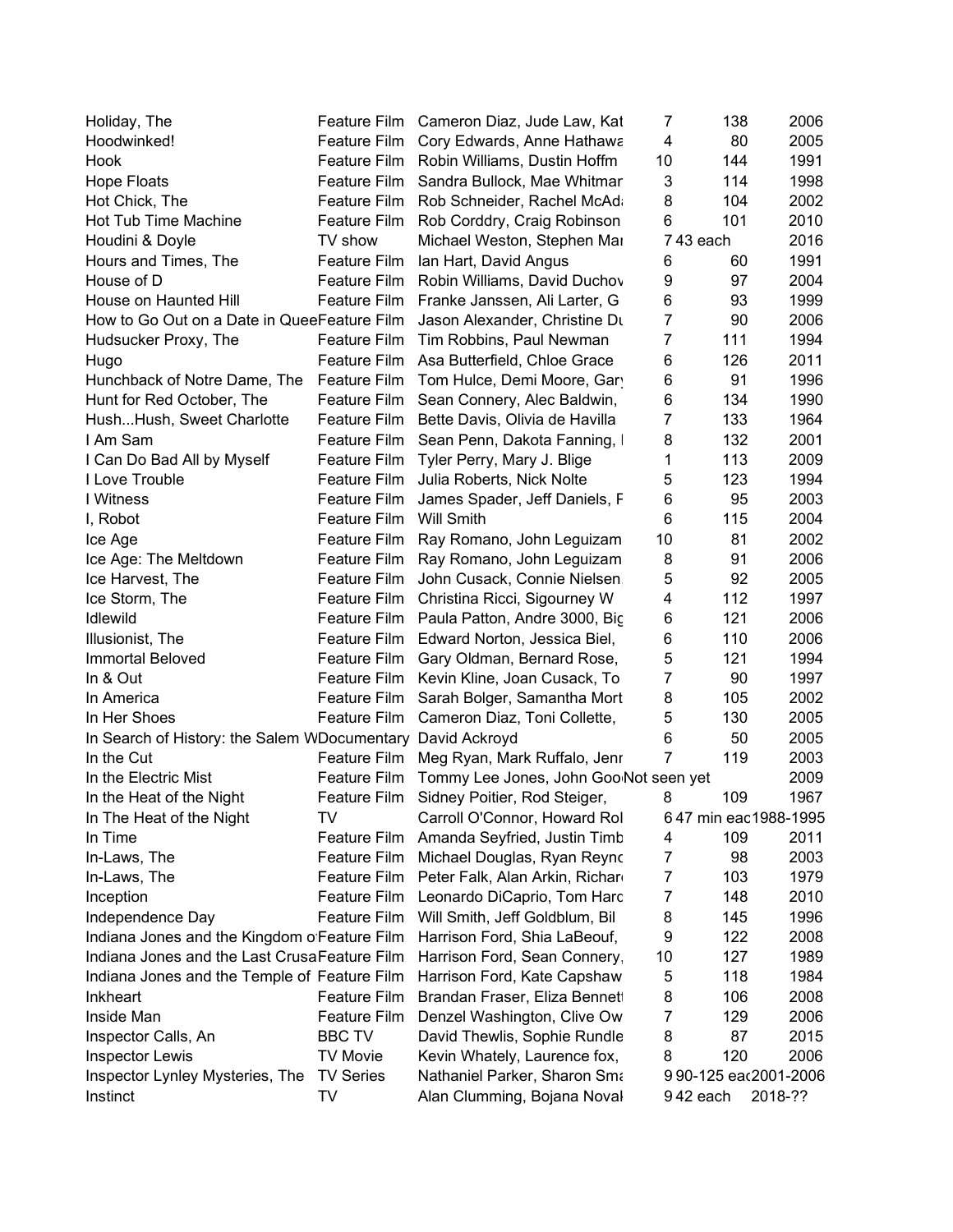| Holiday, The                                               |                     | Feature Film Cameron Diaz, Jude Law, Kat                 | 7              | 138                  | 2006    |
|------------------------------------------------------------|---------------------|----------------------------------------------------------|----------------|----------------------|---------|
| Hoodwinked!                                                | Feature Film        | Cory Edwards, Anne Hathawa                               | 4              | 80                   | 2005    |
| Hook                                                       | Feature Film        | Robin Williams, Dustin Hoffm                             | 10             | 144                  | 1991    |
| <b>Hope Floats</b>                                         | Feature Film        | Sandra Bullock, Mae Whitmar                              | 3              | 114                  | 1998    |
| Hot Chick, The                                             | Feature Film        | Rob Schneider, Rachel McAd                               | 8              | 104                  | 2002    |
| Hot Tub Time Machine                                       | Feature Film        | Rob Corddry, Craig Robinson                              | 6              | 101                  | 2010    |
| Houdini & Doyle                                            | TV show             | Michael Weston, Stephen Mar                              |                | 743 each             | 2016    |
| Hours and Times, The                                       | Feature Film        | Ian Hart, David Angus                                    | 6              | 60                   | 1991    |
| House of D                                                 | Feature Film        | Robin Williams, David Duchov                             | 9              | 97                   | 2004    |
| House on Haunted Hill                                      | Feature Film        | Franke Janssen, Ali Larter, G                            | 6              | 93                   | 1999    |
| How to Go Out on a Date in QueeFeature Film                |                     | Jason Alexander, Christine Du                            | $\overline{7}$ | 90                   | 2006    |
| Hudsucker Proxy, The                                       | Feature Film        | Tim Robbins, Paul Newman                                 | $\overline{7}$ | 111                  | 1994    |
| Hugo                                                       |                     | Feature Film Asa Butterfield, Chloe Grace                | 6              | 126                  | 2011    |
| Hunchback of Notre Dame, The                               |                     | Feature Film Tom Hulce, Demi Moore, Gar                  | 6              | 91                   | 1996    |
| Hunt for Red October, The                                  | Feature Film        | Sean Connery, Alec Baldwin,                              | 6              | 134                  | 1990    |
| HushHush, Sweet Charlotte                                  | <b>Feature Film</b> | Bette Davis, Olivia de Havilla                           | 7              | 133                  | 1964    |
| I Am Sam                                                   | Feature Film        | Sean Penn, Dakota Fanning,                               | 8              | 132                  | 2001    |
| I Can Do Bad All by Myself                                 | <b>Feature Film</b> | Tyler Perry, Mary J. Blige                               | 1              | 113                  | 2009    |
| I Love Trouble                                             | Feature Film        | Julia Roberts, Nick Nolte                                | 5              | 123                  | 1994    |
| I Witness                                                  | Feature Film        | James Spader, Jeff Daniels, F                            | 6              | 95                   | 2003    |
| I, Robot                                                   | Feature Film        | <b>Will Smith</b>                                        | 6              | 115                  | 2004    |
|                                                            | Feature Film        | Ray Romano, John Leguizam                                | 10             | 81                   | 2002    |
| Ice Age<br>Ice Age: The Meltdown                           | Feature Film        |                                                          | 8              | 91                   | 2006    |
|                                                            |                     | Ray Romano, John Leguizam<br>John Cusack, Connie Nielsen | 5              | 92                   | 2005    |
| Ice Harvest, The                                           | Feature Film        |                                                          | 4              | 112                  | 1997    |
| Ice Storm, The                                             | Feature Film        | Christina Ricci, Sigourney W                             |                |                      |         |
| <b>Idlewild</b>                                            | Feature Film        | Paula Patton, Andre 3000, Bic                            | 6              | 121                  | 2006    |
| Illusionist, The                                           | Feature Film        | Edward Norton, Jessica Biel,                             | 6              | 110                  | 2006    |
| <b>Immortal Beloved</b>                                    | Feature Film        | Gary Oldman, Bernard Rose,                               | 5              | 121                  | 1994    |
| In & Out                                                   |                     | Feature Film Kevin Kline, Joan Cusack, To                | 7              | 90                   | 1997    |
| In America                                                 | Feature Film        | Sarah Bolger, Samantha Mort                              | 8              | 105                  | 2002    |
| In Her Shoes                                               | Feature Film        | Cameron Diaz, Toni Collette,                             | 5              | 130                  | 2005    |
| In Search of History: the Salem WDocumentary David Ackroyd |                     |                                                          | 6              | 50                   | 2005    |
| In the Cut                                                 | Feature Film        | Meg Ryan, Mark Ruffalo, Jenr                             | 7              | 119                  | 2003    |
| In the Electric Mist                                       | Feature Film        | Tommy Lee Jones, John Goo Not seen yet                   |                |                      | 2009    |
| In the Heat of the Night                                   | Feature Film        | Sidney Poitier, Rod Steiger,                             | 8              | 109                  | 1967    |
| In The Heat of the Night                                   | TV                  | Carroll O'Connor, Howard Rol                             |                | 647 min eac1988-1995 |         |
| In Time                                                    | Feature Film        | Amanda Seyfried, Justin Timb                             | 4              | 109                  | 2011    |
| In-Laws, The                                               | Feature Film        | Michael Douglas, Ryan Reyno                              | 7              | 98                   | 2003    |
| In-Laws, The                                               | <b>Feature Film</b> | Peter Falk, Alan Arkin, Richar                           | 7              | 103                  | 1979    |
| Inception                                                  | <b>Feature Film</b> | Leonardo DiCaprio, Tom Harc                              | 7              | 148                  | 2010    |
| Independence Day                                           | Feature Film        | Will Smith, Jeff Goldblum, Bil                           | 8              | 145                  | 1996    |
| Indiana Jones and the Kingdom o Feature Film               |                     | Harrison Ford, Shia LaBeouf,                             | 9              | 122                  | 2008    |
| Indiana Jones and the Last CrusaFeature Film               |                     | Harrison Ford, Sean Connery,                             | 10             | 127                  | 1989    |
| Indiana Jones and the Temple of Feature Film               |                     | Harrison Ford, Kate Capshaw                              | 5              | 118                  | 1984    |
| <b>Inkheart</b>                                            | Feature Film        | Brandan Fraser, Eliza Bennet                             | 8              | 106                  | 2008    |
| Inside Man                                                 | Feature Film        | Denzel Washington, Clive Ow                              | 7              | 129                  | 2006    |
| Inspector Calls, An                                        | <b>BBC TV</b>       | David Thewlis, Sophie Rundle                             | 8              | 87                   | 2015    |
| <b>Inspector Lewis</b>                                     | <b>TV Movie</b>     | Kevin Whately, Laurence fox,                             | 8              | 120                  | 2006    |
| Inspector Lynley Mysteries, The                            | <b>TV Series</b>    | Nathaniel Parker, Sharon Sma                             |                | 990-125 eac2001-2006 |         |
| Instinct                                                   | TV                  | Alan Clumming, Bojana Noval                              |                | 942 each             | 2018-?? |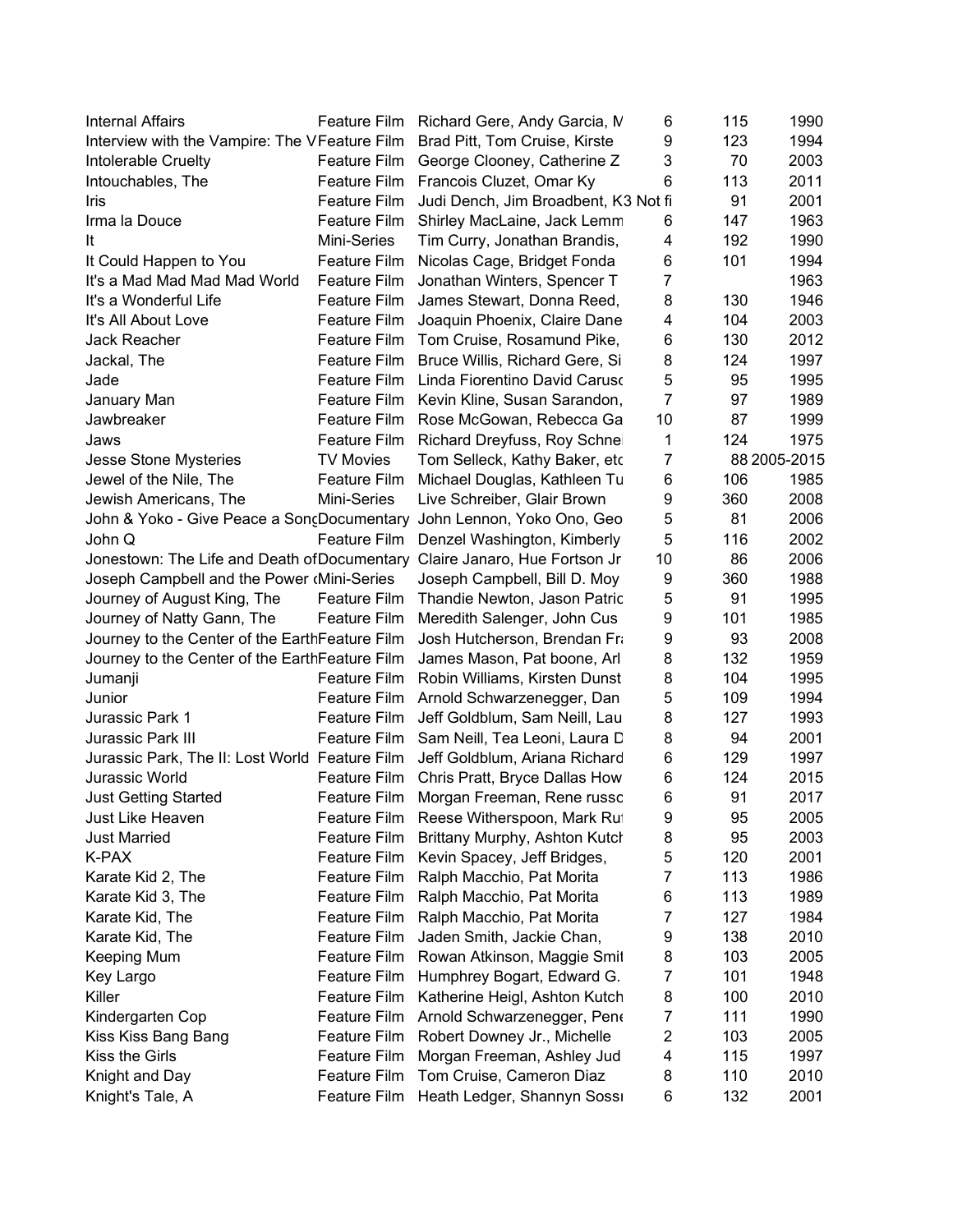| <b>Internal Affairs</b>                                                    |                     | Feature Film Richard Gere, Andy Garcia, M  | 6              | 115 | 1990         |
|----------------------------------------------------------------------------|---------------------|--------------------------------------------|----------------|-----|--------------|
| Interview with the Vampire: The VFeature Film                              |                     | Brad Pitt, Tom Cruise, Kirste              | 9              | 123 | 1994         |
| Intolerable Cruelty                                                        | Feature Film        | George Clooney, Catherine Z                | 3              | 70  | 2003         |
| Intouchables, The                                                          | Feature Film        | Francois Cluzet, Omar Ky                   | 6              | 113 | 2011         |
| Iris                                                                       | Feature Film        | Judi Dench, Jim Broadbent, K3 Not fi       |                | 91  | 2001         |
| Irma la Douce                                                              | Feature Film        | Shirley MacLaine, Jack Lemm                | 6              | 147 | 1963         |
| It                                                                         | Mini-Series         | Tim Curry, Jonathan Brandis,               | 4              | 192 | 1990         |
| It Could Happen to You                                                     | Feature Film        | Nicolas Cage, Bridget Fonda                | 6              | 101 | 1994         |
| It's a Mad Mad Mad Mad World                                               | Feature Film        | Jonathan Winters, Spencer T                | 7              |     | 1963         |
| It's a Wonderful Life                                                      | Feature Film        | James Stewart, Donna Reed,                 | 8              | 130 | 1946         |
| It's All About Love                                                        | Feature Film        | Joaquin Phoenix, Claire Dane               | 4              | 104 | 2003         |
| Jack Reacher                                                               | Feature Film        | Tom Cruise, Rosamund Pike,                 | 6              | 130 | 2012         |
| Jackal, The                                                                | Feature Film        | Bruce Willis, Richard Gere, Si             | 8              | 124 | 1997         |
| Jade                                                                       |                     | Feature Film Linda Fiorentino David Caruso | 5              | 95  | 1995         |
| January Man                                                                | Feature Film        | Kevin Kline, Susan Sarandon,               | $\overline{7}$ | 97  | 1989         |
| Jawbreaker                                                                 | Feature Film        | Rose McGowan, Rebecca Ga                   | 10             | 87  | 1999         |
| Jaws                                                                       | Feature Film        | Richard Dreyfuss, Roy Schne                | 1              | 124 | 1975         |
| Jesse Stone Mysteries                                                      | <b>TV Movies</b>    | Tom Selleck, Kathy Baker, etc              | 7              |     | 88 2005-2015 |
| Jewel of the Nile, The                                                     | Feature Film        | Michael Douglas, Kathleen Tu               | 6              | 106 | 1985         |
| Jewish Americans, The                                                      | Mini-Series         | Live Schreiber, Glair Brown                | 9              | 360 | 2008         |
| John & Yoko - Give Peace a SongDocumentary John Lennon, Yoko Ono, Geo      |                     |                                            | 5              | 81  | 2006         |
| John Q                                                                     |                     | Feature Film Denzel Washington, Kimberly   | 5              | 116 | 2002         |
| Jonestown: The Life and Death of Documentary Claire Janaro, Hue Fortson Jr |                     |                                            | 10             | 86  | 2006         |
| Joseph Campbell and the Power (Mini-Series                                 |                     | Joseph Campbell, Bill D. Moy               | 9              | 360 | 1988         |
| Journey of August King, The                                                | Feature Film        | Thandie Newton, Jason Patric               | 5              | 91  | 1995         |
| Journey of Natty Gann, The                                                 | Feature Film        | Meredith Salenger, John Cus                | 9              | 101 | 1985         |
| Journey to the Center of the EarthFeature Film                             |                     | Josh Hutcherson, Brendan Fra               | 9              | 93  | 2008         |
| Journey to the Center of the EarthFeature Film                             |                     | James Mason, Pat boone, Arl                | 8              | 132 | 1959         |
| Jumanji                                                                    | Feature Film        | Robin Williams, Kirsten Dunst              | 8              | 104 | 1995         |
| Junior                                                                     |                     | Feature Film Arnold Schwarzenegger, Dan    | 5              | 109 | 1994         |
| Jurassic Park 1                                                            | Feature Film        | Jeff Goldblum, Sam Neill, Lau              | 8              | 127 | 1993         |
| Jurassic Park III                                                          | Feature Film        | Sam Neill, Tea Leoni, Laura D              | 8              | 94  | 2001         |
| Jurassic Park, The II: Lost World Feature Film                             |                     | Jeff Goldblum, Ariana Richard              | 6              | 129 | 1997         |
| Jurassic World                                                             | Feature Film        | Chris Pratt, Bryce Dallas How              | 6              | 124 | 2015         |
| <b>Just Getting Started</b>                                                | Feature Film        | Morgan Freeman, Rene russc                 | 6              | 91  | 2017         |
| Just Like Heaven                                                           | Feature Film        | Reese Witherspoon, Mark Ru                 | 9              | 95  | 2005         |
| <b>Just Married</b>                                                        | Feature Film        | Brittany Murphy, Ashton Kutch              | 8              | 95  | 2003         |
| K-PAX                                                                      | <b>Feature Film</b> | Kevin Spacey, Jeff Bridges,                | 5              | 120 | 2001         |
| Karate Kid 2, The                                                          | Feature Film        | Ralph Macchio, Pat Morita                  | 7              | 113 | 1986         |
| Karate Kid 3, The                                                          | <b>Feature Film</b> | Ralph Macchio, Pat Morita                  | 6              | 113 | 1989         |
| Karate Kid, The                                                            | Feature Film        | Ralph Macchio, Pat Morita                  | 7              | 127 | 1984         |
| Karate Kid, The                                                            | <b>Feature Film</b> | Jaden Smith, Jackie Chan,                  | 9              | 138 | 2010         |
| Keeping Mum                                                                | Feature Film        | Rowan Atkinson, Maggie Smit                | 8              | 103 | 2005         |
| Key Largo                                                                  | Feature Film        | Humphrey Bogart, Edward G.                 | 7              | 101 | 1948         |
| Killer                                                                     | Feature Film        | Katherine Heigl, Ashton Kutch              | 8              | 100 | 2010         |
| Kindergarten Cop                                                           | <b>Feature Film</b> | Arnold Schwarzenegger, Pen                 | 7              | 111 | 1990         |
| Kiss Kiss Bang Bang                                                        | <b>Feature Film</b> | Robert Downey Jr., Michelle                | 2              | 103 | 2005         |
| Kiss the Girls                                                             | Feature Film        | Morgan Freeman, Ashley Jud                 | 4              | 115 | 1997         |
| Knight and Day                                                             | Feature Film        | Tom Cruise, Cameron Diaz                   | 8              | 110 | 2010         |
| Knight's Tale, A                                                           | Feature Film        | Heath Ledger, Shannyn Sossi                | 6              | 132 | 2001         |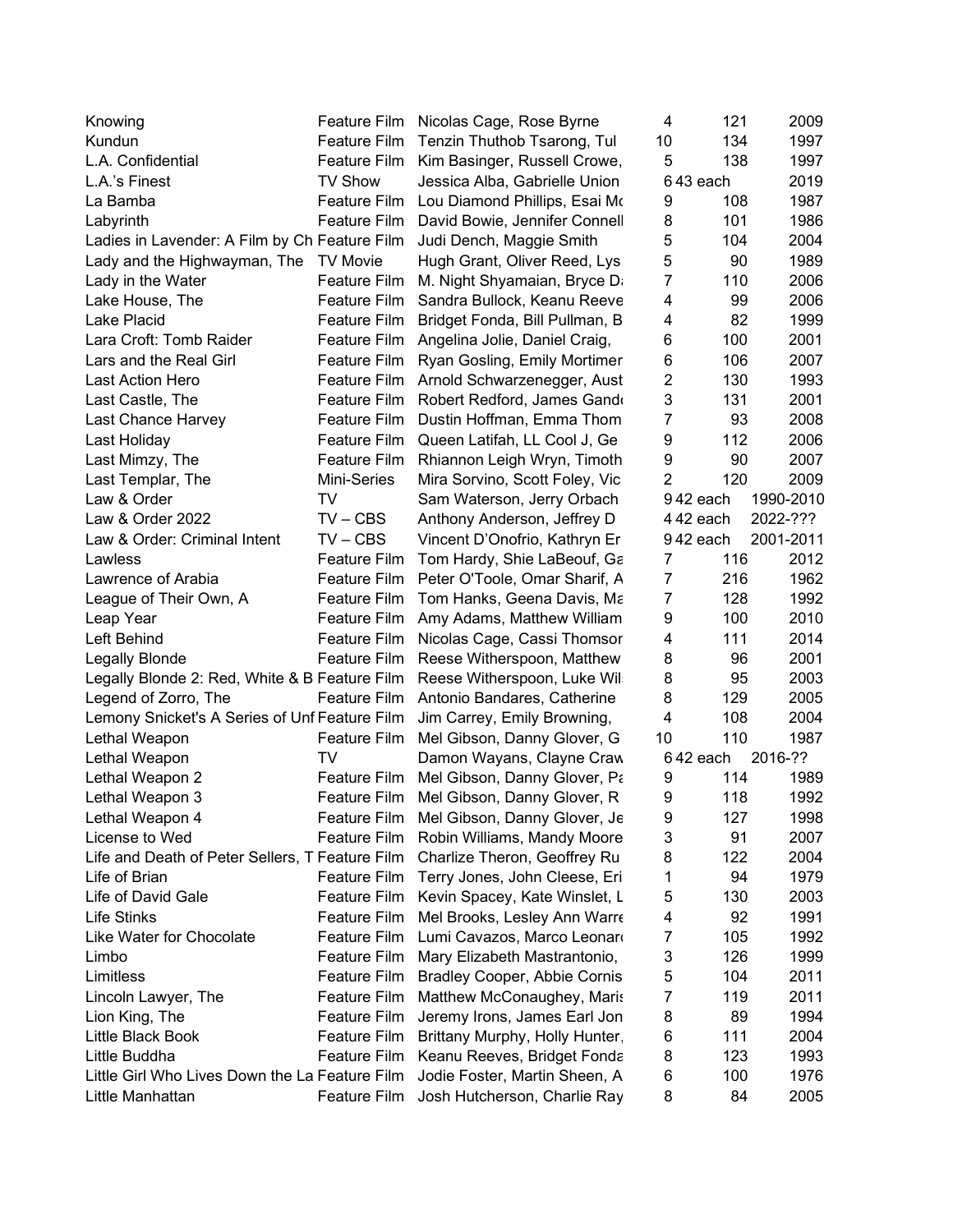| Knowing                                         | Feature Film        | Nicolas Cage, Rose Byrne            | 4              | 121      | 2009      |
|-------------------------------------------------|---------------------|-------------------------------------|----------------|----------|-----------|
| Kundun                                          | <b>Feature Film</b> | Tenzin Thuthob Tsarong, Tul         | 10             | 134      | 1997      |
| L.A. Confidential                               | Feature Film        | Kim Basinger, Russell Crowe,        | 5              | 138      | 1997      |
| L.A.'s Finest                                   | <b>TV Show</b>      | Jessica Alba, Gabrielle Union       |                | 643 each | 2019      |
| La Bamba                                        | Feature Film        | Lou Diamond Phillips, Esai Mo       | 9              | 108      | 1987      |
| Labyrinth                                       | Feature Film        | David Bowie, Jennifer Connell       | 8              | 101      | 1986      |
| Ladies in Lavender: A Film by Ch Feature Film   |                     | Judi Dench, Maggie Smith            | 5              | 104      | 2004      |
| Lady and the Highwayman, The TV Movie           |                     | Hugh Grant, Oliver Reed, Lys        | 5              | 90       | 1989      |
| Lady in the Water                               | <b>Feature Film</b> | M. Night Shyamaian, Bryce Da        | 7              | 110      | 2006      |
| Lake House, The                                 | Feature Film        | Sandra Bullock, Keanu Reeve         | 4              | 99       | 2006      |
| Lake Placid                                     | <b>Feature Film</b> | Bridget Fonda, Bill Pullman, B      | 4              | 82       | 1999      |
| Lara Croft: Tomb Raider                         | Feature Film        | Angelina Jolie, Daniel Craig,       | 6              | 100      | 2001      |
| Lars and the Real Girl                          | Feature Film        | Ryan Gosling, Emily Mortimer        | 6              | 106      | 2007      |
| Last Action Hero                                | Feature Film        | Arnold Schwarzenegger, Aust         | $\overline{c}$ | 130      | 1993      |
| Last Castle, The                                | Feature Film        | Robert Redford, James Gand          | 3              | 131      | 2001      |
| Last Chance Harvey                              | <b>Feature Film</b> | Dustin Hoffman, Emma Thom           | 7              | 93       | 2008      |
| Last Holiday                                    | <b>Feature Film</b> | Queen Latifah, LL Cool J, Ge        | 9              | 112      | 2006      |
| Last Mimzy, The                                 | Feature Film        | Rhiannon Leigh Wryn, Timoth         | 9              | 90       | 2007      |
| Last Templar, The                               | Mini-Series         | Mira Sorvino, Scott Foley, Vic      | $\overline{2}$ | 120      | 2009      |
| Law & Order                                     | TV                  | Sam Waterson, Jerry Orbach          |                | 942 each | 1990-2010 |
| Law & Order 2022                                | $TV - CBS$          | Anthony Anderson, Jeffrey D         |                | 442 each | 2022-???  |
| Law & Order: Criminal Intent                    | $TV - CBS$          | Vincent D'Onofrio, Kathryn Er       |                | 942 each | 2001-2011 |
| Lawless                                         | Feature Film        | Tom Hardy, Shie LaBeouf, Ga         | 7              | 116      | 2012      |
| Lawrence of Arabia                              | Feature Film        | Peter O'Toole, Omar Sharif, A       | $\overline{7}$ | 216      | 1962      |
| League of Their Own, A                          | Feature Film        | Tom Hanks, Geena Davis, Ma          | 7              | 128      | 1992      |
| Leap Year                                       | Feature Film        | Amy Adams, Matthew William          | 9              | 100      | 2010      |
| Left Behind                                     | <b>Feature Film</b> | Nicolas Cage, Cassi Thomsor         | 4              | 111      | 2014      |
| <b>Legally Blonde</b>                           | Feature Film        | Reese Witherspoon, Matthew          | 8              | 96       | 2001      |
| Legally Blonde 2: Red, White & B Feature Film   |                     | Reese Witherspoon, Luke Wil         | 8              | 95       | 2003      |
| Legend of Zorro, The                            | Feature Film        | Antonio Bandares, Catherine         | 8              | 129      | 2005      |
| Lemony Snicket's A Series of Unf Feature Film   |                     | Jim Carrey, Emily Browning,         | 4              | 108      | 2004      |
| Lethal Weapon                                   | Feature Film        | Mel Gibson, Danny Glover, G         | 10             | 110      | 1987      |
| Lethal Weapon                                   | TV                  | Damon Wayans, Clayne Craw           |                | 642 each | 2016-??   |
| Lethal Weapon 2                                 | <b>Feature Film</b> | Mel Gibson, Danny Glover, Pa        | 9              | 114      | 1989      |
| Lethal Weapon 3                                 | <b>Feature Film</b> | Mel Gibson, Danny Glover, R         | 9              | 118      | 1992      |
| Lethal Weapon 4                                 | Feature Film        | Mel Gibson, Danny Glover, Je        | 9              | 127      | 1998      |
| License to Wed                                  | <b>Feature Film</b> | Robin Williams, Mandy Moore         | 3              | 91       | 2007      |
| Life and Death of Peter Sellers, T Feature Film |                     | Charlize Theron, Geoffrey Ru        | 8              | 122      | 2004      |
| Life of Brian                                   | <b>Feature Film</b> | Terry Jones, John Cleese, Eri       | 1              | 94       | 1979      |
| Life of David Gale                              | <b>Feature Film</b> | Kevin Spacey, Kate Winslet, L       | 5              | 130      | 2003      |
| <b>Life Stinks</b>                              | <b>Feature Film</b> | Mel Brooks, Lesley Ann Warre        | 4              | 92       | 1991      |
| Like Water for Chocolate                        | <b>Feature Film</b> | Lumi Cavazos, Marco Leonaro         | 7              | 105      | 1992      |
| Limbo                                           | <b>Feature Film</b> | Mary Elizabeth Mastrantonio,        | 3              | 126      | 1999      |
| Limitless                                       | Feature Film        | <b>Bradley Cooper, Abbie Cornis</b> | 5              | 104      | 2011      |
| Lincoln Lawyer, The                             | Feature Film        | Matthew McConaughey, Maris          | 7              | 119      | 2011      |
| Lion King, The                                  | <b>Feature Film</b> | Jeremy Irons, James Earl Jon        | 8              | 89       | 1994      |
| Little Black Book                               | <b>Feature Film</b> | Brittany Murphy, Holly Hunter       | 6              | 111      | 2004      |
| Little Buddha                                   | <b>Feature Film</b> | Keanu Reeves, Bridget Fonda         | 8              | 123      | 1993      |
| Little Girl Who Lives Down the La Feature Film  |                     | Jodie Foster, Martin Sheen, A       | 6              | 100      | 1976      |
| Little Manhattan                                | <b>Feature Film</b> | Josh Hutcherson, Charlie Ray        | 8              | 84       | 2005      |
|                                                 |                     |                                     |                |          |           |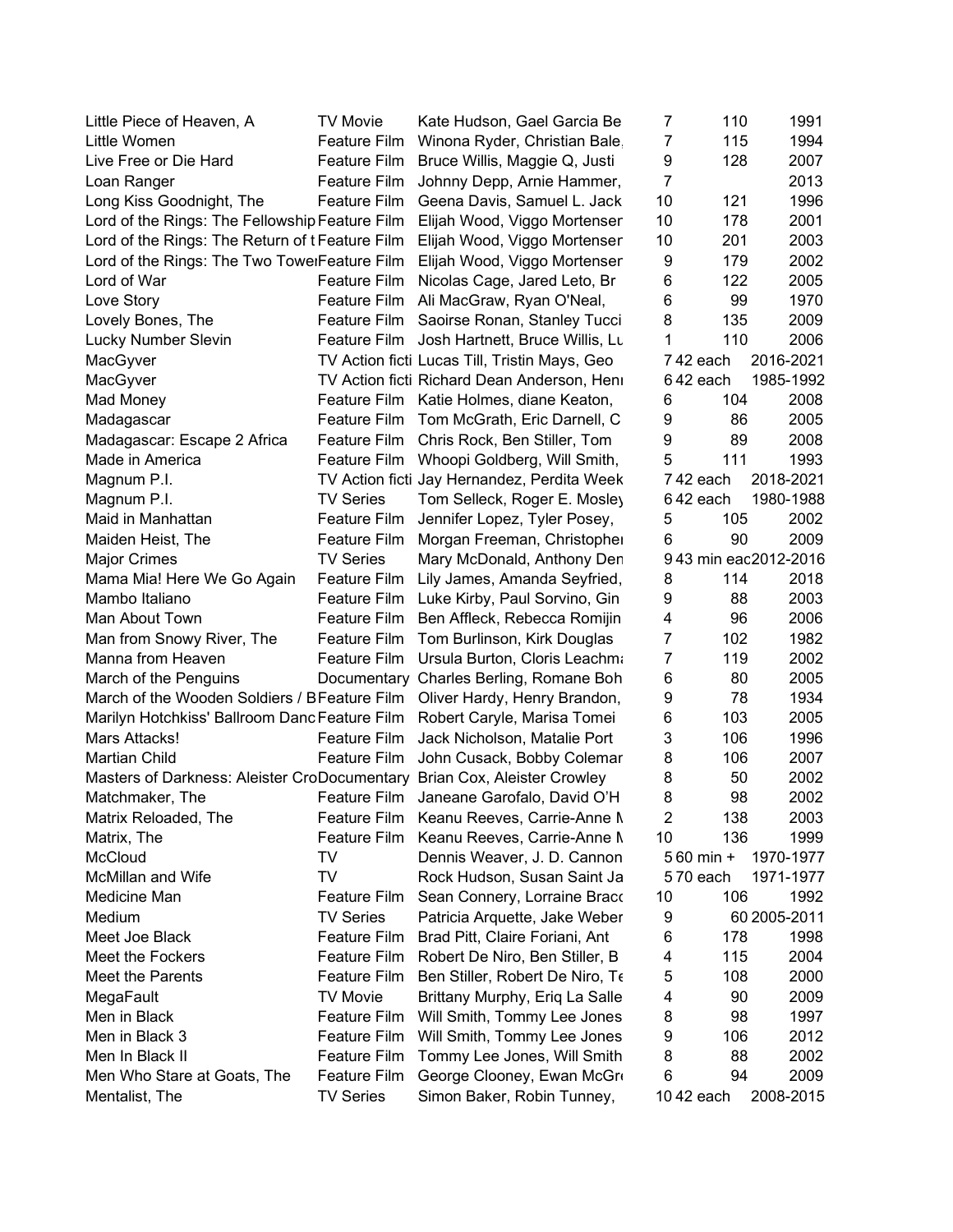| Little Piece of Heaven, A                                                 | <b>TV Movie</b>     | Kate Hudson, Gael Garcia Be                   | 7              | 110        | 1991                 |
|---------------------------------------------------------------------------|---------------------|-----------------------------------------------|----------------|------------|----------------------|
| Little Women                                                              | Feature Film        | Winona Ryder, Christian Bale                  | $\overline{7}$ | 115        | 1994                 |
| Live Free or Die Hard                                                     | Feature Film        | Bruce Willis, Maggie Q, Justi                 | 9              | 128        | 2007                 |
| Loan Ranger                                                               | Feature Film        | Johnny Depp, Arnie Hammer,                    | $\overline{7}$ |            | 2013                 |
| Long Kiss Goodnight, The                                                  | Feature Film        | Geena Davis, Samuel L. Jack                   | 10             | 121        | 1996                 |
| Lord of the Rings: The Fellowship Feature Film                            |                     | Elijah Wood, Viggo Mortenser                  | 10             | 178        | 2001                 |
| Lord of the Rings: The Return of t Feature Film                           |                     | Elijah Wood, Viggo Mortenser                  | 10             | 201        | 2003                 |
| Lord of the Rings: The Two TowelFeature Film                              |                     | Elijah Wood, Viggo Mortenser                  | 9              | 179        | 2002                 |
| Lord of War                                                               | Feature Film        | Nicolas Cage, Jared Leto, Br                  | 6              | 122        | 2005                 |
| Love Story                                                                | Feature Film        | Ali MacGraw, Ryan O'Neal,                     | 6              | 99         | 1970                 |
| Lovely Bones, The                                                         | <b>Feature Film</b> | Saoirse Ronan, Stanley Tucci                  | 8              | 135        | 2009                 |
| Lucky Number Slevin                                                       | Feature Film        | Josh Hartnett, Bruce Willis, Lt               | 1              | 110        | 2006                 |
| MacGyver                                                                  |                     | TV Action ficti Lucas Till, Tristin Mays, Geo |                | 742 each   | 2016-2021            |
| MacGyver                                                                  |                     | TV Action ficti Richard Dean Anderson, Hen    |                | 642 each   | 1985-1992            |
| Mad Money                                                                 |                     | Feature Film Katie Holmes, diane Keaton,      | 6              | 104        | 2008                 |
| Madagascar                                                                | <b>Feature Film</b> | Tom McGrath, Eric Darnell, C                  | 9              | 86         | 2005                 |
| Madagascar: Escape 2 Africa                                               | Feature Film        | Chris Rock, Ben Stiller, Tom                  | 9              | 89         | 2008                 |
| Made in America                                                           |                     | Feature Film Whoopi Goldberg, Will Smith,     | 5              | 111        | 1993                 |
| Magnum P.I.                                                               |                     | TV Action ficti Jay Hernandez, Perdita Week   |                | 742 each   | 2018-2021            |
| Magnum P.I.                                                               | <b>TV Series</b>    | Tom Selleck, Roger E. Mosley                  |                | 642 each   | 1980-1988            |
| Maid in Manhattan                                                         | Feature Film        | Jennifer Lopez, Tyler Posey,                  | 5              | 105        | 2002                 |
| Maiden Heist, The                                                         | Feature Film        | Morgan Freeman, Christopher                   | 6              | 90         | 2009                 |
| <b>Major Crimes</b>                                                       | <b>TV Series</b>    | Mary McDonald, Anthony Der                    |                |            | 943 min eac2012-2016 |
| Mama Mia! Here We Go Again                                                | Feature Film        | Lily James, Amanda Seyfried,                  | 8              | 114        | 2018                 |
| Mambo Italiano                                                            | Feature Film        | Luke Kirby, Paul Sorvino, Gin                 | 9              | 88         | 2003                 |
| Man About Town                                                            | Feature Film        | Ben Affleck, Rebecca Romijin                  | 4              | 96         | 2006                 |
| Man from Snowy River, The                                                 | Feature Film        | Tom Burlinson, Kirk Douglas                   | 7              | 102        | 1982                 |
| Manna from Heaven                                                         | Feature Film        | Ursula Burton, Cloris Leachma                 | $\overline{7}$ | 119        | 2002                 |
| March of the Penguins                                                     |                     | Documentary Charles Berling, Romane Boh       | 6              | 80         | 2005                 |
| March of the Wooden Soldiers / BFeature Film Oliver Hardy, Henry Brandon, |                     |                                               | 9              | 78         | 1934                 |
| Marilyn Hotchkiss' Ballroom Danc Feature Film                             |                     | Robert Caryle, Marisa Tomei                   | 6              | 103        | 2005                 |
| Mars Attacks!                                                             | <b>Feature Film</b> | Jack Nicholson, Matalie Port                  | 3              | 106        | 1996                 |
| <b>Martian Child</b>                                                      | <b>Feature Film</b> | John Cusack, Bobby Colemar                    | 8              | 106        | 2007                 |
| Masters of Darkness: Aleister CroDocumentary Brian Cox, Aleister Crowley  |                     |                                               | 8              | 50         | 2002                 |
| Matchmaker, The                                                           |                     | Feature Film Janeane Garofalo, David O'H      | 8              | 98         | 2002                 |
| Matrix Reloaded, The                                                      |                     | Feature Film Keanu Reeves, Carrie-Anne M      | $\overline{2}$ | 138        | 2003                 |
| Matrix, The                                                               | Feature Film        | Keanu Reeves, Carrie-Anne M                   | 10             | 136        | 1999                 |
| McCloud                                                                   | TV                  | Dennis Weaver, J. D. Cannon                   |                | 560 min +  | 1970-1977            |
| <b>McMillan and Wife</b>                                                  | TV                  | Rock Hudson, Susan Saint Ja                   |                | 570 each   | 1971-1977            |
| Medicine Man                                                              | Feature Film        | Sean Connery, Lorraine Braco                  | 10             | 106        | 1992                 |
| Medium                                                                    | <b>TV Series</b>    | Patricia Arquette, Jake Weber                 | 9              |            | 60 2005-2011         |
| Meet Joe Black                                                            | <b>Feature Film</b> | Brad Pitt, Claire Foriani, Ant                | 6              | 178        | 1998                 |
| Meet the Fockers                                                          | Feature Film        | Robert De Niro, Ben Stiller, B                | 4              | 115        | 2004                 |
| Meet the Parents                                                          | Feature Film        | Ben Stiller, Robert De Niro, Te               | 5              | 108        | 2000                 |
| MegaFault                                                                 | <b>TV Movie</b>     | Brittany Murphy, Eriq La Salle                | 4              | 90         | 2009                 |
| Men in Black                                                              | <b>Feature Film</b> | Will Smith, Tommy Lee Jones                   | 8              | 98         | 1997                 |
| Men in Black 3                                                            | <b>Feature Film</b> | Will Smith, Tommy Lee Jones                   | 9              | 106        | 2012                 |
| Men In Black II                                                           | <b>Feature Film</b> | Tommy Lee Jones, Will Smith                   | 8              | 88         | 2002                 |
| Men Who Stare at Goats, The                                               | Feature Film        | George Clooney, Ewan McGro                    | 6              | 94         | 2009                 |
| Mentalist, The                                                            | <b>TV Series</b>    | Simon Baker, Robin Tunney,                    |                | 10 42 each | 2008-2015            |
|                                                                           |                     |                                               |                |            |                      |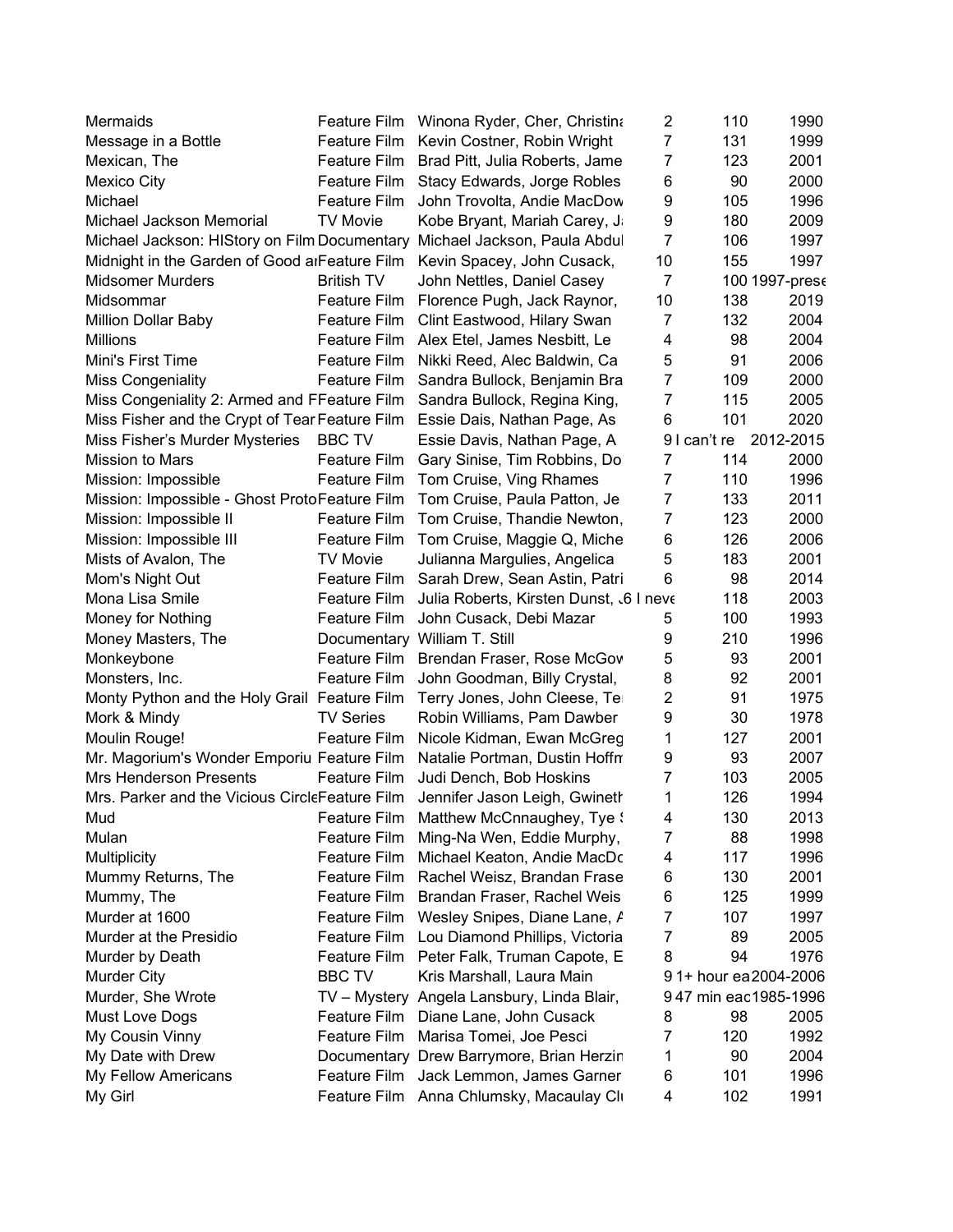| Mermaids                                                                  |                     | Feature Film Winona Ryder, Cher, Christina                 | $\overline{2}$ | 110         | 1990                 |
|---------------------------------------------------------------------------|---------------------|------------------------------------------------------------|----------------|-------------|----------------------|
| Message in a Bottle                                                       | Feature Film        | Kevin Costner, Robin Wright                                | $\overline{7}$ | 131         | 1999                 |
| Mexican, The                                                              | Feature Film        | Brad Pitt, Julia Roberts, Jame                             | 7              | 123         | 2001                 |
| <b>Mexico City</b>                                                        | Feature Film        | Stacy Edwards, Jorge Robles                                | 6              | 90          | 2000                 |
| Michael                                                                   | Feature Film        | John Trovolta, Andie MacDow                                | 9              | 105         | 1996                 |
| Michael Jackson Memorial                                                  | <b>TV Movie</b>     | Kobe Bryant, Mariah Carey, J.                              | 9              | 180         | 2009                 |
| Michael Jackson: HIStory on Film Documentary Michael Jackson, Paula Abdul |                     |                                                            | $\overline{7}$ | 106         | 1997                 |
| Midnight in the Garden of Good arFeature Film                             |                     | Kevin Spacey, John Cusack,                                 | 10             | 155         | 1997                 |
| <b>Midsomer Murders</b>                                                   | <b>British TV</b>   | John Nettles, Daniel Casey                                 | $\overline{7}$ |             | 100 1997-pres        |
| Midsommar                                                                 | Feature Film        | Florence Pugh, Jack Raynor,                                | 10             | 138         | 2019                 |
| <b>Million Dollar Baby</b>                                                | <b>Feature Film</b> | Clint Eastwood, Hilary Swan                                | 7              | 132         | 2004                 |
| Millions                                                                  | Feature Film        | Alex Etel, James Nesbitt, Le                               | 4              | 98          | 2004                 |
| Mini's First Time                                                         | Feature Film        | Nikki Reed, Alec Baldwin, Ca                               | 5              | 91          | 2006                 |
| <b>Miss Congeniality</b>                                                  | <b>Feature Film</b> | Sandra Bullock, Benjamin Bra                               | $\overline{7}$ | 109         | 2000                 |
| Miss Congeniality 2: Armed and FFeature Film                              |                     | Sandra Bullock, Regina King,                               | 7              | 115         | 2005                 |
| Miss Fisher and the Crypt of Tear Feature Film                            |                     | Essie Dais, Nathan Page, As                                | 6              | 101         | 2020                 |
| Miss Fisher's Murder Mysteries                                            | <b>BBC TV</b>       | Essie Davis, Nathan Page, A                                |                | 91 can't re | 2012-2015            |
| Mission to Mars                                                           | <b>Feature Film</b> | Gary Sinise, Tim Robbins, Do                               | 7              | 114         | 2000                 |
| Mission: Impossible                                                       | Feature Film        | Tom Cruise, Ving Rhames                                    | 7              | 110         | 1996                 |
| Mission: Impossible - Ghost ProtoFeature Film                             |                     | Tom Cruise, Paula Patton, Je                               | $\overline{7}$ | 133         | 2011                 |
| Mission: Impossible II                                                    |                     | Feature Film Tom Cruise, Thandie Newton,                   | $\overline{7}$ | 123         | 2000                 |
| Mission: Impossible III                                                   |                     | Feature Film Tom Cruise, Maggie Q, Miche                   | 6              | 126         | 2006                 |
| Mists of Avalon, The                                                      | <b>TV Movie</b>     | Julianna Margulies, Angelica                               | 5              | 183         | 2001                 |
| Mom's Night Out                                                           |                     | Feature Film Sarah Drew, Sean Astin, Patri                 | 6              | 98          | 2014                 |
| Mona Lisa Smile                                                           | Feature Film        | Julia Roberts, Kirsten Dunst, & I neve                     |                | 118         | 2003                 |
| Money for Nothing                                                         | Feature Film        | John Cusack, Debi Mazar                                    | 5              | 100         | 1993                 |
| Money Masters, The                                                        |                     | Documentary William T. Still                               | 9              | 210         | 1996                 |
|                                                                           | Feature Film        |                                                            | 5              | 93          | 2001                 |
| Monkeybone<br>Monsters, Inc.                                              | Feature Film        | Brendan Fraser, Rose McGov<br>John Goodman, Billy Crystal, | 8              | 92          | 2001                 |
| Monty Python and the Holy Grail Feature Film                              |                     |                                                            | 2              | 91          | 1975                 |
|                                                                           | <b>TV Series</b>    | Terry Jones, John Cleese, Te<br>Robin Williams, Pam Dawber | 9              | 30          | 1978                 |
| Mork & Mindy                                                              |                     |                                                            |                |             |                      |
| Moulin Rouge!                                                             | Feature Film        | Nicole Kidman, Ewan McGreg                                 | 1              | 127<br>93   | 2001<br>2007         |
| Mr. Magorium's Wonder Emporiu Feature Film                                |                     | Natalie Portman, Dustin Hoffn                              | 9              |             |                      |
| <b>Mrs Henderson Presents</b>                                             | <b>Feature Film</b> | Judi Dench, Bob Hoskins                                    | 7              | 103         | 2005                 |
| Mrs. Parker and the Vicious CircleFeature Film                            |                     | Jennifer Jason Leigh, Gwineth                              | 1              | 126         | 1994                 |
| Mud                                                                       | Feature Film        | Matthew McCnnaughey, Tye :                                 | 4              | 130         | 2013                 |
| Mulan                                                                     | Feature Film        | Ming-Na Wen, Eddie Murphy,                                 | 7              | 88          | 1998                 |
| Multiplicity                                                              | Feature Film        | Michael Keaton, Andie MacDo                                | 4              | 117         | 1996                 |
| Mummy Returns, The                                                        | Feature Film        | Rachel Weisz, Brandan Frase                                | 6              | 130         | 2001                 |
| Mummy, The                                                                | <b>Feature Film</b> | Brandan Fraser, Rachel Weis                                | 6              | 125         | 1999                 |
| Murder at 1600                                                            | <b>Feature Film</b> | Wesley Snipes, Diane Lane, /                               | 7              | 107         | 1997                 |
| Murder at the Presidio                                                    | <b>Feature Film</b> | Lou Diamond Phillips, Victoria                             | 7              | 89          | 2005                 |
| Murder by Death                                                           | Feature Film        | Peter Falk, Truman Capote, E                               | 8              | 94          | 1976                 |
| <b>Murder City</b>                                                        | <b>BBC TV</b>       | Kris Marshall, Laura Main                                  |                |             | 91+ hour ea2004-2006 |
| Murder, She Wrote                                                         |                     | TV - Mystery Angela Lansbury, Linda Blair,                 |                |             | 947 min eac1985-1996 |
| <b>Must Love Dogs</b>                                                     | Feature Film        | Diane Lane, John Cusack                                    | 8              | 98          | 2005                 |
| My Cousin Vinny                                                           | Feature Film        | Marisa Tomei, Joe Pesci                                    | 7              | 120         | 1992                 |
| My Date with Drew                                                         |                     | Documentary Drew Barrymore, Brian Herzir                   | 1              | 90          | 2004                 |
| My Fellow Americans                                                       |                     | Feature Film Jack Lemmon, James Garner                     | 6              | 101         | 1996                 |
| My Girl                                                                   |                     | Feature Film Anna Chlumsky, Macaulay Cli                   | 4              | 102         | 1991                 |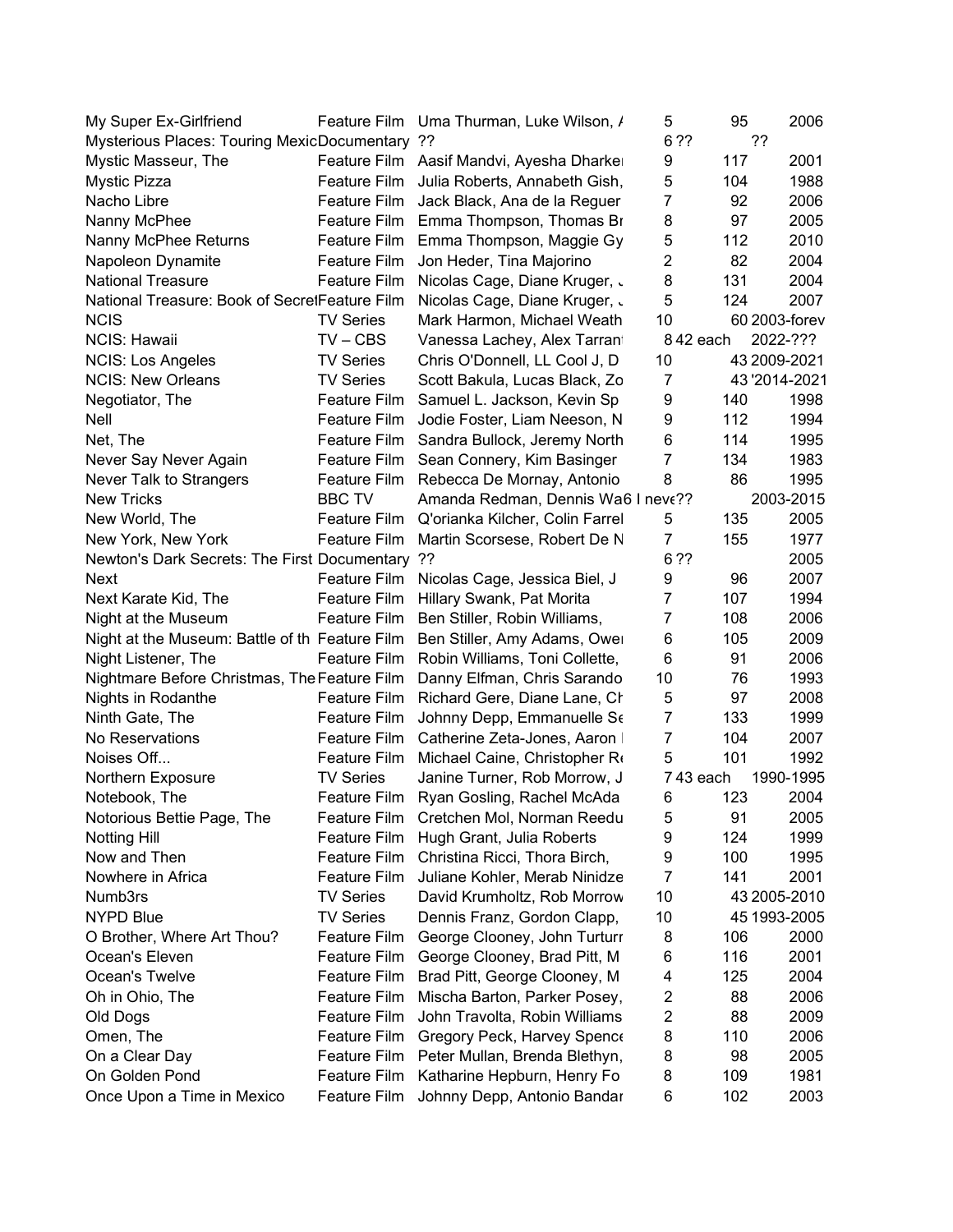| My Super Ex-Girlfriend                          |                     | Feature Film Uma Thurman, Luke Wilson, /     | 5                       | 95  | 2006          |
|-------------------------------------------------|---------------------|----------------------------------------------|-------------------------|-----|---------------|
| Mysterious Places: Touring MexicDocumentary ??  |                     |                                              | 6 ??                    |     | ??            |
| Mystic Masseur, The                             | Feature Film        | Aasif Mandvi, Ayesha Dharke                  | 9                       | 117 | 2001          |
| Mystic Pizza                                    | Feature Film        | Julia Roberts, Annabeth Gish,                | 5                       | 104 | 1988          |
| Nacho Libre                                     | Feature Film        | Jack Black, Ana de la Reguer                 | $\overline{7}$          | 92  | 2006          |
| Nanny McPhee                                    |                     | Feature Film Emma Thompson, Thomas Br        | 8                       | 97  | 2005          |
| Nanny McPhee Returns                            | Feature Film        | Emma Thompson, Maggie Gy                     | 5                       | 112 | 2010          |
| Napoleon Dynamite                               | Feature Film        | Jon Heder, Tina Majorino                     | $\overline{2}$          | 82  | 2004          |
| <b>National Treasure</b>                        | Feature Film        | Nicolas Cage, Diane Kruger, .                | 8                       | 131 | 2004          |
| National Treasure: Book of SecretFeature Film   |                     | Nicolas Cage, Diane Kruger, .                | 5                       | 124 | 2007          |
| <b>NCIS</b>                                     | <b>TV Series</b>    | Mark Harmon, Michael Weath                   | 10                      |     | 60 2003-forev |
| <b>NCIS: Hawaii</b>                             | $TV - CBS$          | Vanessa Lachey, Alex Tarran                  | 842 each                |     | 2022-???      |
| <b>NCIS: Los Angeles</b>                        | <b>TV Series</b>    | Chris O'Donnell, LL Cool J, D                | 10                      |     | 43 2009-2021  |
| <b>NCIS: New Orleans</b>                        | <b>TV Series</b>    | Scott Bakula, Lucas Black, Zo                | $\overline{7}$          |     | 43'2014-2021  |
| Negotiator, The                                 | Feature Film        | Samuel L. Jackson, Kevin Sp                  | 9                       | 140 | 1998          |
| Nell                                            | Feature Film        | Jodie Foster, Liam Neeson, N                 | 9                       | 112 | 1994          |
| Net, The                                        | Feature Film        | Sandra Bullock, Jeremy North                 | 6                       | 114 | 1995          |
| Never Say Never Again                           | Feature Film        | Sean Connery, Kim Basinger                   | $\overline{7}$          | 134 | 1983          |
| Never Talk to Strangers                         | Feature Film        | Rebecca De Mornay, Antonio                   | 8                       | 86  | 1995          |
| <b>New Tricks</b>                               | <b>BBC TV</b>       | Amanda Redman, Dennis Wa6 I neve??           |                         |     | 2003-2015     |
| New World, The                                  |                     | Feature Film Q'orianka Kilcher, Colin Farrel | 5                       | 135 | 2005          |
| New York, New York                              | Feature Film        | Martin Scorsese, Robert De N                 | $\overline{7}$          | 155 | 1977          |
| Newton's Dark Secrets: The First Documentary ?? |                     |                                              | 6 ??                    |     | 2005          |
| Next                                            | Feature Film        | Nicolas Cage, Jessica Biel, J                | 9                       | 96  | 2007          |
| Next Karate Kid, The                            | Feature Film        | Hillary Swank, Pat Morita                    | $\overline{7}$          | 107 | 1994          |
| Night at the Museum                             | Feature Film        | Ben Stiller, Robin Williams,                 | $\overline{7}$          | 108 | 2006          |
| Night at the Museum: Battle of th Feature Film  |                     | Ben Stiller, Amy Adams, Owe                  | 6                       | 105 | 2009          |
| Night Listener, The                             | Feature Film        | Robin Williams, Toni Collette,               | 6                       | 91  | 2006          |
| Nightmare Before Christmas, The Feature Film    |                     | Danny Elfman, Chris Sarando                  | 10                      | 76  | 1993          |
| Nights in Rodanthe                              | Feature Film        | Richard Gere, Diane Lane, Cl                 | 5                       | 97  | 2008          |
| Ninth Gate, The                                 | Feature Film        | Johnny Depp, Emmanuelle Se                   | $\overline{7}$          | 133 | 1999          |
| No Reservations                                 | Feature Film        | Catherine Zeta-Jones, Aaron                  | $\overline{7}$          | 104 | 2007          |
| Noises Off                                      | <b>Feature Film</b> | Michael Caine, Christopher Ro                | 5                       | 101 | 1992          |
| Northern Exposure                               | <b>TV Series</b>    | Janine Turner, Rob Morrow, J                 | 743 each                |     | 1990-1995     |
| Notebook, The                                   | Feature Film        | Ryan Gosling, Rachel McAda                   | 6                       | 123 | 2004          |
| Notorious Bettie Page, The                      | Feature Film        | Cretchen Mol, Norman Reedu                   | 5                       | 91  | 2005          |
| <b>Notting Hill</b>                             | Feature Film        | Hugh Grant, Julia Roberts                    | 9                       | 124 | 1999          |
| Now and Then                                    | Feature Film        | Christina Ricci, Thora Birch,                | 9                       | 100 | 1995          |
| Nowhere in Africa                               | Feature Film        | Juliane Kohler, Merab Ninidze                | $\overline{7}$          | 141 | 2001          |
| Numb3rs                                         | <b>TV Series</b>    | David Krumholtz, Rob Morrow                  | 10                      |     | 43 2005-2010  |
| <b>NYPD Blue</b>                                | <b>TV Series</b>    | Dennis Franz, Gordon Clapp,                  | 10                      |     | 45 1993-2005  |
| O Brother, Where Art Thou?                      | <b>Feature Film</b> | George Clooney, John Turturr                 | 8                       | 106 | 2000          |
| Ocean's Eleven                                  | Feature Film        | George Clooney, Brad Pitt, M                 | 6                       | 116 | 2001          |
| Ocean's Twelve                                  | Feature Film        | Brad Pitt, George Clooney, M                 | 4                       | 125 | 2004          |
| Oh in Ohio, The                                 | Feature Film        | Mischa Barton, Parker Posey,                 | $\overline{\mathbf{c}}$ | 88  | 2006          |
| Old Dogs                                        | <b>Feature Film</b> | John Travolta, Robin Williams                | $\overline{2}$          | 88  | 2009          |
| Omen, The                                       | Feature Film        | Gregory Peck, Harvey Spence                  | 8                       | 110 | 2006          |
| On a Clear Day                                  | Feature Film        | Peter Mullan, Brenda Blethyn,                | 8                       | 98  | 2005          |
| On Golden Pond                                  | Feature Film        | Katharine Hepburn, Henry Fo                  | 8                       | 109 | 1981          |
| Once Upon a Time in Mexico                      | <b>Feature Film</b> | Johnny Depp, Antonio Bandar                  | 6                       | 102 | 2003          |
|                                                 |                     |                                              |                         |     |               |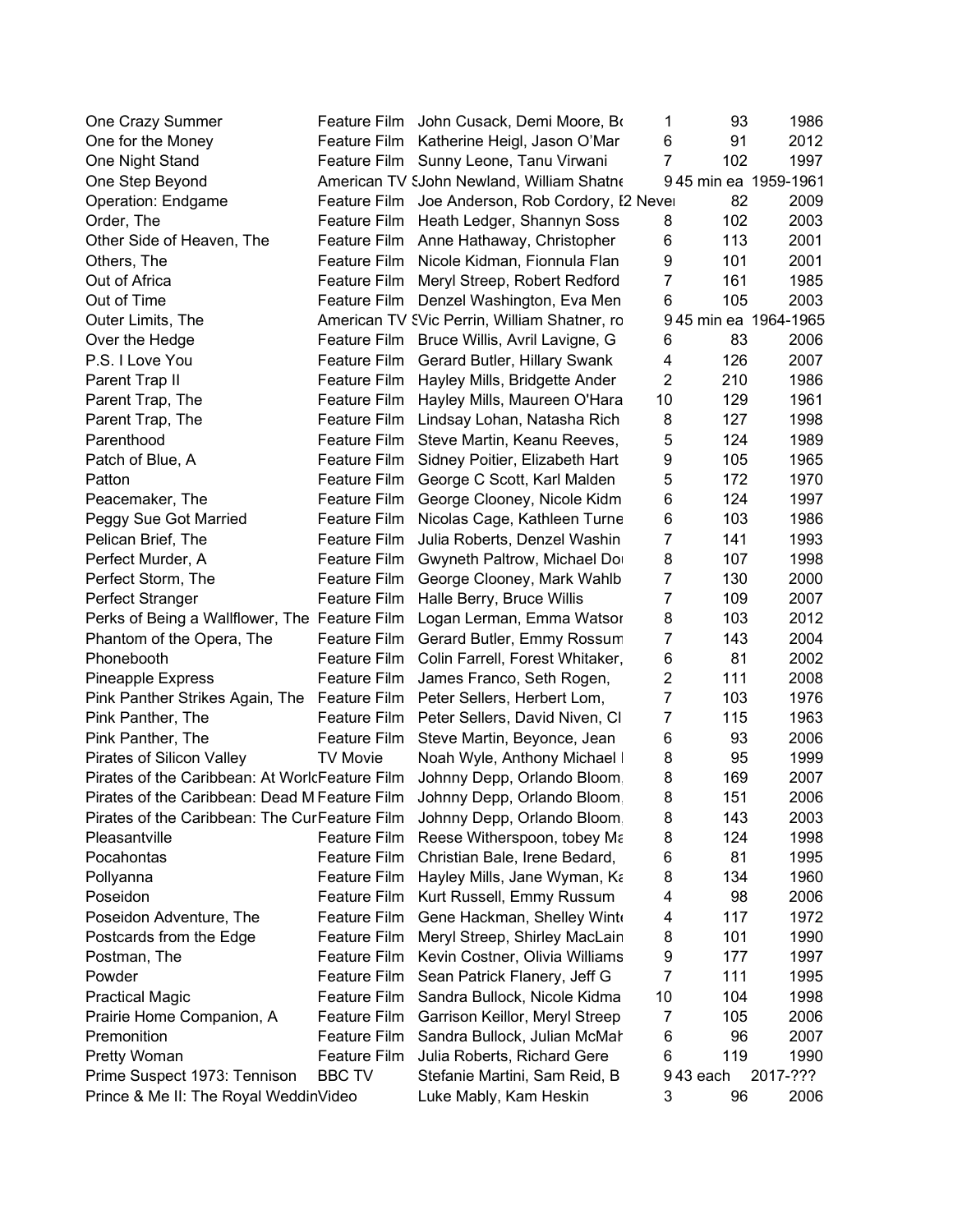| One Crazy Summer                               | Feature Film        | John Cusack, Demi Moore, Bo                      | 1              | 93       | 1986                 |
|------------------------------------------------|---------------------|--------------------------------------------------|----------------|----------|----------------------|
| One for the Money                              | Feature Film        | Katherine Heigl, Jason O'Mar                     | 6              | 91       | 2012                 |
| One Night Stand                                | Feature Film        | Sunny Leone, Tanu Virwani                        | 7              | 102      | 1997                 |
| One Step Beyond                                |                     | American TV SJohn Newland, William Shatne        |                |          | 945 min ea 1959-1961 |
| Operation: Endgame                             |                     | Feature Film Joe Anderson, Rob Cordory, I2 Never |                | 82       | 2009                 |
| Order, The                                     | Feature Film        | Heath Ledger, Shannyn Soss                       | 8              | 102      | 2003                 |
| Other Side of Heaven, The                      |                     | Feature Film Anne Hathaway, Christopher          | 6              | 113      | 2001                 |
| Others, The                                    | Feature Film        | Nicole Kidman, Fionnula Flan                     | 9              | 101      | 2001                 |
| Out of Africa                                  | <b>Feature Film</b> | Meryl Streep, Robert Redford                     | 7              | 161      | 1985                 |
| Out of Time                                    | Feature Film        | Denzel Washington, Eva Men                       | 6              | 105      | 2003                 |
| Outer Limits, The                              |                     | American TV SVic Perrin, William Shatner, ro     |                |          | 945 min ea 1964-1965 |
| Over the Hedge                                 | Feature Film        | Bruce Willis, Avril Lavigne, G                   | 6              | 83       | 2006                 |
| P.S. I Love You                                | Feature Film        | Gerard Butler, Hillary Swank                     | 4              | 126      | 2007                 |
| Parent Trap II                                 | Feature Film        | Hayley Mills, Bridgette Ander                    | $\overline{2}$ | 210      | 1986                 |
| Parent Trap, The                               | Feature Film        | Hayley Mills, Maureen O'Hara                     | 10             | 129      | 1961                 |
| Parent Trap, The                               | Feature Film        | Lindsay Lohan, Natasha Rich                      | 8              | 127      | 1998                 |
| Parenthood                                     | Feature Film        | Steve Martin, Keanu Reeves,                      | 5              | 124      | 1989                 |
| Patch of Blue, A                               | Feature Film        | Sidney Poitier, Elizabeth Hart                   | 9              | 105      | 1965                 |
| Patton                                         | Feature Film        | George C Scott, Karl Malden                      | 5              | 172      | 1970                 |
| Peacemaker, The                                | Feature Film        | George Clooney, Nicole Kidm                      | 6              | 124      | 1997                 |
| Peggy Sue Got Married                          | Feature Film        | Nicolas Cage, Kathleen Turne                     | 6              | 103      | 1986                 |
| Pelican Brief, The                             | Feature Film        | Julia Roberts, Denzel Washin                     | 7              | 141      | 1993                 |
| Perfect Murder, A                              | Feature Film        | Gwyneth Paltrow, Michael Do                      | 8              | 107      | 1998                 |
| Perfect Storm, The                             | <b>Feature Film</b> | George Clooney, Mark Wahlb                       | 7              | 130      | 2000                 |
| Perfect Stranger                               | Feature Film        | Halle Berry, Bruce Willis                        | $\overline{7}$ | 109      | 2007                 |
| Perks of Being a Wallflower, The Feature Film  |                     | Logan Lerman, Emma Watsor                        | 8              | 103      | 2012                 |
| Phantom of the Opera, The                      | Feature Film        | Gerard Butler, Emmy Rossum                       | $\overline{7}$ | 143      | 2004                 |
| Phonebooth                                     | Feature Film        | Colin Farrell, Forest Whitaker,                  | 6              | 81       | 2002                 |
| <b>Pineapple Express</b>                       | Feature Film        | James Franco, Seth Rogen,                        | 2              | 111      | 2008                 |
| Pink Panther Strikes Again, The Feature Film   |                     | Peter Sellers, Herbert Lom,                      | 7              | 103      | 1976                 |
| Pink Panther, The                              | Feature Film        | Peter Sellers, David Niven, CI                   | 7              | 115      | 1963                 |
| Pink Panther, The                              | Feature Film        | Steve Martin, Beyonce, Jean                      | 6              | 93       | 2006                 |
| Pirates of Silicon Valley                      | <b>TV Movie</b>     | Noah Wyle, Anthony Michael                       | 8              | 95       | 1999                 |
| Pirates of the Caribbean: At WorlcFeature Film |                     | Johnny Depp, Orlando Bloom                       | 8              | 169      | 2007                 |
| Pirates of the Caribbean: Dead M Feature Film  |                     | Johnny Depp, Orlando Bloom                       | 8              | 151      | 2006                 |
| Pirates of the Caribbean: The CurFeature Film  |                     | Johnny Depp, Orlando Bloom                       | 8              | 143      | 2003                 |
| Pleasantville                                  | Feature Film        | Reese Witherspoon, tobey Ma                      | 8              | 124      | 1998                 |
| Pocahontas                                     | Feature Film        | Christian Bale, Irene Bedard,                    | 6              | 81       | 1995                 |
| Pollyanna                                      | Feature Film        | Hayley Mills, Jane Wyman, Ka                     | 8              | 134      | 1960                 |
| Poseidon                                       | Feature Film        | Kurt Russell, Emmy Russum                        | 4              | 98       | 2006                 |
| Poseidon Adventure, The                        | <b>Feature Film</b> | Gene Hackman, Shelley Wint                       | 4              | 117      | 1972                 |
| Postcards from the Edge                        | <b>Feature Film</b> | Meryl Streep, Shirley MacLain                    | 8              | 101      | 1990                 |
| Postman, The                                   | Feature Film        | Kevin Costner, Olivia Williams                   | 9              | 177      | 1997                 |
| Powder                                         | Feature Film        | Sean Patrick Flanery, Jeff G                     | 7              | 111      | 1995                 |
| <b>Practical Magic</b>                         | Feature Film        | Sandra Bullock, Nicole Kidma                     | 10             | 104      | 1998                 |
| Prairie Home Companion, A                      | <b>Feature Film</b> | Garrison Keillor, Meryl Streep                   | 7              | 105      | 2006                 |
| Premonition                                    | Feature Film        | Sandra Bullock, Julian McMal                     | 6              | 96       | 2007                 |
| Pretty Woman                                   | Feature Film        | Julia Roberts, Richard Gere                      | 6              | 119      | 1990                 |
| Prime Suspect 1973: Tennison                   | <b>BBC TV</b>       | Stefanie Martini, Sam Reid, B                    |                | 943 each | 2017-???             |
| Prince & Me II: The Royal WeddinVideo          |                     | Luke Mably, Kam Heskin                           | 3              | 96       | 2006                 |
|                                                |                     |                                                  |                |          |                      |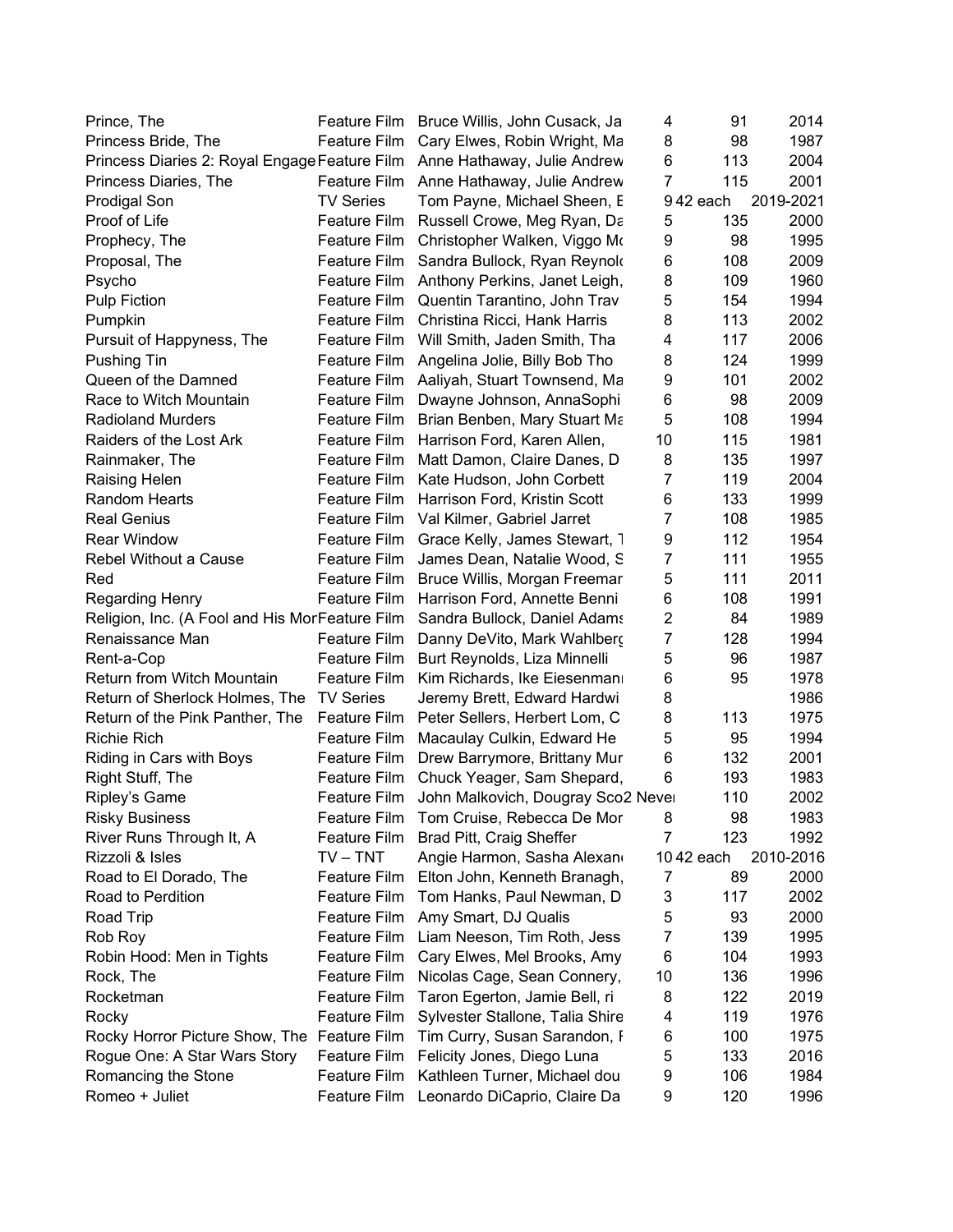| Prince, The                                    |                     | Feature Film Bruce Willis, John Cusack, Ja | 4              | 91        | 2014      |
|------------------------------------------------|---------------------|--------------------------------------------|----------------|-----------|-----------|
| Princess Bride, The                            | Feature Film        | Cary Elwes, Robin Wright, Ma               | 8              | 98        | 1987      |
| Princess Diaries 2: Royal Engage Feature Film  |                     | Anne Hathaway, Julie Andrew                | 6              | 113       | 2004      |
| Princess Diaries, The                          | Feature Film        | Anne Hathaway, Julie Andrew                | $\overline{7}$ | 115       | 2001      |
| <b>Prodigal Son</b>                            | <b>TV Series</b>    | Tom Payne, Michael Sheen, E                |                | 942 each  | 2019-2021 |
| Proof of Life                                  |                     | Feature Film Russell Crowe, Meg Ryan, Da   | 5              | 135       | 2000      |
| Prophecy, The                                  | Feature Film        | Christopher Walken, Viggo Mo               | 9              | 98        | 1995      |
| Proposal, The                                  | Feature Film        | Sandra Bullock, Ryan Reynold               | 6              | 108       | 2009      |
| Psycho                                         | Feature Film        | Anthony Perkins, Janet Leigh,              | 8              | 109       | 1960      |
| <b>Pulp Fiction</b>                            | Feature Film        | Quentin Tarantino, John Trav               | 5              | 154       | 1994      |
| Pumpkin                                        | Feature Film        | Christina Ricci, Hank Harris               | 8              | 113       | 2002      |
| Pursuit of Happyness, The                      | Feature Film        | Will Smith, Jaden Smith, Tha               | 4              | 117       | 2006      |
| <b>Pushing Tin</b>                             |                     | Feature Film Angelina Jolie, Billy Bob Tho | 8              | 124       | 1999      |
| Queen of the Damned                            |                     | Feature Film Aaliyah, Stuart Townsend, Ma  | 9              | 101       | 2002      |
| Race to Witch Mountain                         | Feature Film        | Dwayne Johnson, AnnaSophi                  | 6              | 98        | 2009      |
| <b>Radioland Murders</b>                       | Feature Film        | Brian Benben, Mary Stuart Ma               | 5              | 108       | 1994      |
| Raiders of the Lost Ark                        | Feature Film        | Harrison Ford, Karen Allen,                | 10             | 115       | 1981      |
| Rainmaker, The                                 | <b>Feature Film</b> | Matt Damon, Claire Danes, D                | 8              | 135       | 1997      |
| <b>Raising Helen</b>                           | Feature Film        | Kate Hudson, John Corbett                  | 7              | 119       | 2004      |
| <b>Random Hearts</b>                           | <b>Feature Film</b> | Harrison Ford, Kristin Scott               | 6              | 133       | 1999      |
| <b>Real Genius</b>                             |                     | Feature Film Val Kilmer, Gabriel Jarret    | 7              | 108       | 1985      |
| <b>Rear Window</b>                             | Feature Film        | Grace Kelly, James Stewart, 1              | 9              | 112       | 1954      |
| Rebel Without a Cause                          | Feature Film        | James Dean, Natalie Wood, S                | 7              | 111       | 1955      |
| Red                                            | Feature Film        | Bruce Willis, Morgan Freemar               | 5              | 111       | 2011      |
| <b>Regarding Henry</b>                         | Feature Film        | Harrison Ford, Annette Benni               | 6              | 108       | 1991      |
| Religion, Inc. (A Fool and His MorFeature Film |                     | Sandra Bullock, Daniel Adams               | $\overline{c}$ | 84        | 1989      |
| Renaissance Man                                | Feature Film        | Danny DeVito, Mark Wahlberg                | $\overline{7}$ | 128       | 1994      |
| Rent-a-Cop                                     | Feature Film        | Burt Reynolds, Liza Minnelli               | 5              | 96        | 1987      |
| Return from Witch Mountain                     | Feature Film        | Kim Richards, Ike Eiesenman                | 6              | 95        | 1978      |
| Return of Sherlock Holmes, The TV Series       |                     | Jeremy Brett, Edward Hardwi                | 8              |           | 1986      |
| Return of the Pink Panther, The Feature Film   |                     | Peter Sellers, Herbert Lom, C              | 8              | 113       | 1975      |
| Richie Rich                                    | Feature Film        | Macaulay Culkin, Edward He                 | 5              | 95        | 1994      |
| Riding in Cars with Boys                       | Feature Film        | Drew Barrymore, Brittany Mur               | 6              | 132       | 2001      |
| Right Stuff, The                               | Feature Film        | Chuck Yeager, Sam Shepard,                 | 6              | 193       | 1983      |
| Ripley's Game                                  | Feature Film        | John Malkovich, Dougray Sco2 Never         |                | 110       | 2002      |
| <b>Risky Business</b>                          | Feature Film        | Tom Cruise, Rebecca De Mor                 | 8              | 98        | 1983      |
| River Runs Through It, A                       | Feature Film        | Brad Pitt, Craig Sheffer                   | 7              | 123       | 1992      |
| Rizzoli & Isles                                | $TV - TNT$          | Angie Harmon, Sasha Alexan                 |                | 1042 each | 2010-2016 |
| Road to El Dorado, The                         | <b>Feature Film</b> | Elton John, Kenneth Branagh,               | 7              | 89        | 2000      |
| Road to Perdition                              | <b>Feature Film</b> | Tom Hanks, Paul Newman, D                  | 3              | 117       | 2002      |
| Road Trip                                      | <b>Feature Film</b> | Amy Smart, DJ Qualis                       | 5              | 93        | 2000      |
| Rob Roy                                        | <b>Feature Film</b> | Liam Neeson, Tim Roth, Jess                | 7              | 139       | 1995      |
| Robin Hood: Men in Tights                      | <b>Feature Film</b> | Cary Elwes, Mel Brooks, Amy                | 6              | 104       | 1993      |
| Rock, The                                      | Feature Film        | Nicolas Cage, Sean Connery,                | 10             | 136       | 1996      |
| Rocketman                                      | <b>Feature Film</b> | Taron Egerton, Jamie Bell, ri              | 8              | 122       | 2019      |
| Rocky                                          | <b>Feature Film</b> | Sylvester Stallone, Talia Shire            | 4              | 119       | 1976      |
| Rocky Horror Picture Show, The Feature Film    |                     | Tim Curry, Susan Sarandon, I               | 6              | 100       | 1975      |
| Rogue One: A Star Wars Story                   | Feature Film        | Felicity Jones, Diego Luna                 | 5              | 133       | 2016      |
| Romancing the Stone                            | Feature Film        | Kathleen Turner, Michael dou               | 9              | 106       | 1984      |
| Romeo + Juliet                                 | <b>Feature Film</b> | Leonardo DiCaprio, Claire Da               | 9              | 120       | 1996      |
|                                                |                     |                                            |                |           |           |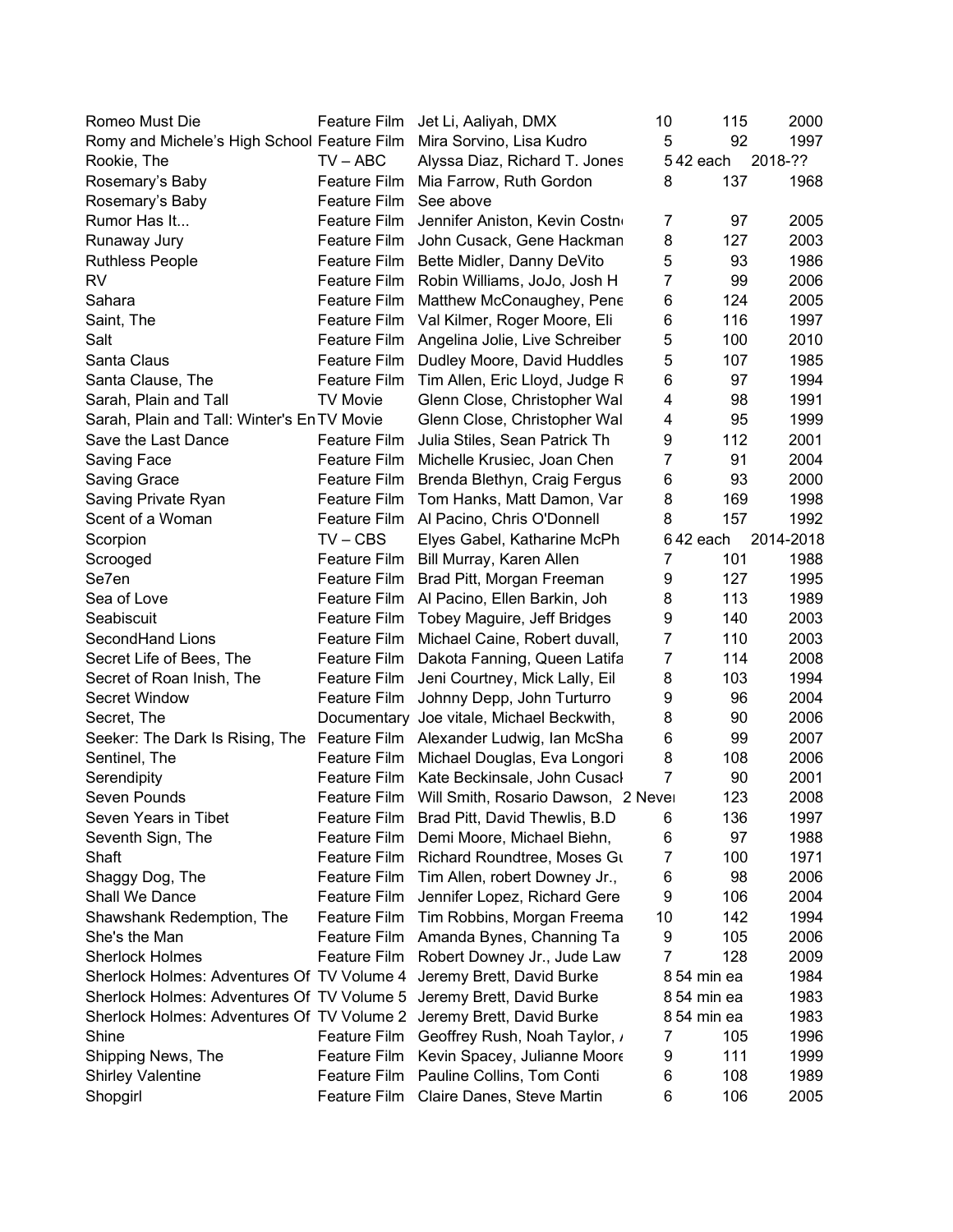| Romeo Must Die                                                           | Feature Film        | Jet Li, Aaliyah, DMX                             | 10             | 115         | 2000      |
|--------------------------------------------------------------------------|---------------------|--------------------------------------------------|----------------|-------------|-----------|
| Romy and Michele's High School Feature Film                              |                     | Mira Sorvino, Lisa Kudro                         | 5              | 92          | 1997      |
| Rookie, The                                                              | $TV - ABC$          | Alyssa Diaz, Richard T. Jones                    |                | 542 each    | 2018-??   |
| Rosemary's Baby                                                          | Feature Film        | Mia Farrow, Ruth Gordon                          | 8              | 137         | 1968      |
| Rosemary's Baby                                                          | Feature Film        | See above                                        |                |             |           |
| Rumor Has It                                                             | Feature Film        | Jennifer Aniston, Kevin Costn                    | 7              | 97          | 2005      |
| Runaway Jury                                                             | Feature Film        | John Cusack, Gene Hackman                        | 8              | 127         | 2003      |
| <b>Ruthless People</b>                                                   | Feature Film        | Bette Midler, Danny DeVito                       | 5              | 93          | 1986      |
| <b>RV</b>                                                                | Feature Film        | Robin Williams, JoJo, Josh H                     | $\overline{7}$ | 99          | 2006      |
| Sahara                                                                   | Feature Film        | Matthew McConaughey, Pene                        | 6              | 124         | 2005      |
| Saint, The                                                               | Feature Film        | Val Kilmer, Roger Moore, Eli                     | 6              | 116         | 1997      |
| Salt                                                                     | Feature Film        | Angelina Jolie, Live Schreiber                   | 5              | 100         | 2010      |
| Santa Claus                                                              | Feature Film        | Dudley Moore, David Huddles                      | 5              | 107         | 1985      |
| Santa Clause, The                                                        | Feature Film        | Tim Allen, Eric Lloyd, Judge R                   | 6              | 97          | 1994      |
| Sarah, Plain and Tall                                                    | <b>TV Movie</b>     | Glenn Close, Christopher Wal                     | 4              | 98          | 1991      |
| Sarah, Plain and Tall: Winter's En TV Movie                              |                     | Glenn Close, Christopher Wal                     | 4              | 95          | 1999      |
| Save the Last Dance                                                      | Feature Film        | Julia Stiles, Sean Patrick Th                    | 9              | 112         | 2001      |
| Saving Face                                                              | Feature Film        | Michelle Krusiec, Joan Chen                      | 7              | 91          | 2004      |
| <b>Saving Grace</b>                                                      | Feature Film        | Brenda Blethyn, Craig Fergus                     | 6              | 93          | 2000      |
| Saving Private Ryan                                                      | Feature Film        | Tom Hanks, Matt Damon, Var                       | 8              | 169         | 1998      |
| Scent of a Woman                                                         |                     | Feature Film Al Pacino, Chris O'Donnell          | 8              | 157         | 1992      |
| Scorpion                                                                 | $TV - CBS$          | Elyes Gabel, Katharine McPh                      |                | 642 each    | 2014-2018 |
|                                                                          |                     | Feature Film Bill Murray, Karen Allen            | 7              | 101         | 1988      |
| Scrooged<br>Se7en                                                        | Feature Film        |                                                  | 9              | 127         | 1995      |
| Sea of Love                                                              |                     | Brad Pitt, Morgan Freeman                        | 8              | 113         | 1989      |
|                                                                          | Feature Film        | Al Pacino, Ellen Barkin, Joh                     |                |             |           |
| Seabiscuit                                                               | Feature Film        | Tobey Maguire, Jeff Bridges                      | 9              | 140         | 2003      |
| SecondHand Lions                                                         | Feature Film        | Michael Caine, Robert duvall,                    | 7              | 110         | 2003      |
| Secret Life of Bees, The                                                 | Feature Film        | Dakota Fanning, Queen Latifa                     | $\overline{7}$ | 114         | 2008      |
| Secret of Roan Inish, The                                                | Feature Film        | Jeni Courtney, Mick Lally, Eil                   | 8              | 103         | 1994      |
| Secret Window                                                            | Feature Film        | Johnny Depp, John Turturro                       | 9              | 96          | 2004      |
| Secret, The                                                              |                     | Documentary Joe vitale, Michael Beckwith,        | 8              | 90          | 2006      |
| Seeker: The Dark Is Rising, The Feature Film Alexander Ludwig, Ian McSha |                     |                                                  | 6              | 99          | 2007      |
| Sentinel, The                                                            | Feature Film        | Michael Douglas, Eva Longori                     | 8              | 108         | 2006      |
| Serendipity                                                              | Feature Film        | Kate Beckinsale, John Cusacl                     | 7              | 90          | 2001      |
| Seven Pounds                                                             |                     | Feature Film Will Smith, Rosario Dawson, 2 Never |                | 123         | 2008      |
| Seven Years in Tibet                                                     | Feature Film        | Brad Pitt, David Thewlis, B.D.                   | 6              | 136         | 1997      |
| Seventh Sign, The                                                        | Feature Film        | Demi Moore, Michael Biehn,                       | 6              | 97          | 1988      |
| Shaft                                                                    | Feature Film        | Richard Roundtree, Moses Gu                      | 7              | 100         | 1971      |
| Shaggy Dog, The                                                          | Feature Film        | Tim Allen, robert Downey Jr.,                    | 6              | 98          | 2006      |
| Shall We Dance                                                           | Feature Film        | Jennifer Lopez, Richard Gere                     | 9              | 106         | 2004      |
| Shawshank Redemption, The                                                | <b>Feature Film</b> | Tim Robbins, Morgan Freema                       | 10             | 142         | 1994      |
| She's the Man                                                            | Feature Film        | Amanda Bynes, Channing Ta                        | 9              | 105         | 2006      |
| <b>Sherlock Holmes</b>                                                   | Feature Film        | Robert Downey Jr., Jude Law                      | 7              | 128         | 2009      |
| Sherlock Holmes: Adventures Of TV Volume 4                               |                     | Jeremy Brett, David Burke                        |                | 8 54 min ea | 1984      |
| Sherlock Holmes: Adventures Of TV Volume 5                               |                     | Jeremy Brett, David Burke                        |                | 8 54 min ea | 1983      |
| Sherlock Holmes: Adventures Of TV Volume 2 Jeremy Brett, David Burke     |                     |                                                  |                | 8 54 min ea | 1983      |
| Shine                                                                    | Feature Film        | Geoffrey Rush, Noah Taylor, ,                    | 7              | 105         | 1996      |
| Shipping News, The                                                       | Feature Film        | Kevin Spacey, Julianne Moore                     | 9              | 111         | 1999      |
| <b>Shirley Valentine</b>                                                 | Feature Film        | Pauline Collins, Tom Conti                       | 6              | 108         | 1989      |
| Shopgirl                                                                 | Feature Film        | Claire Danes, Steve Martin                       | 6              | 106         | 2005      |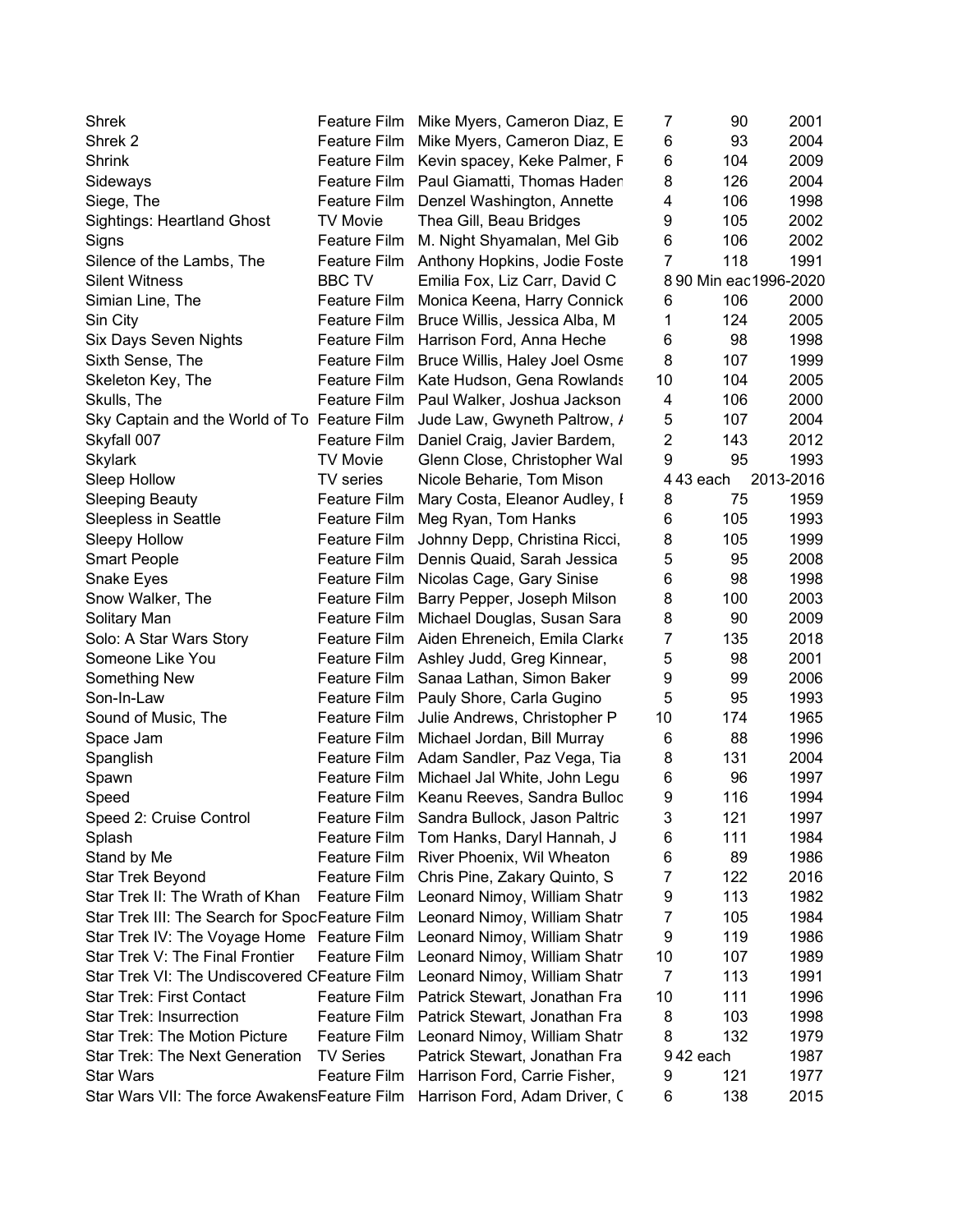| Shrek                                          | <b>Feature Film</b>          | Mike Myers, Cameron Diaz, E    | 7              | 90                    | 2001         |
|------------------------------------------------|------------------------------|--------------------------------|----------------|-----------------------|--------------|
| Shrek <sub>2</sub>                             | <b>Feature Film</b>          | Mike Myers, Cameron Diaz, E    | 6              | 93                    | 2004         |
| <b>Shrink</b>                                  | Feature Film                 | Kevin spacey, Keke Palmer, F   | 6              | 104                   | 2009         |
| Sideways                                       | <b>Feature Film</b>          | Paul Giamatti, Thomas Hader    | 8              | 126                   | 2004         |
| Siege, The                                     | Feature Film                 | Denzel Washington, Annette     | 4              | 106                   | 1998         |
| <b>Sightings: Heartland Ghost</b>              | <b>TV Movie</b>              | Thea Gill, Beau Bridges        | 9              | 105                   | 2002         |
| Signs                                          | Feature Film                 | M. Night Shyamalan, Mel Gib    | 6              | 106                   | 2002         |
| Silence of the Lambs, The                      | Feature Film                 | Anthony Hopkins, Jodie Foste   | $\overline{7}$ | 118                   | 1991         |
| <b>Silent Witness</b>                          | <b>BBC TV</b>                | Emilia Fox, Liz Carr, David C  |                | 8 90 Min eac1996-2020 |              |
| Simian Line, The                               | <b>Feature Film</b>          | Monica Keena, Harry Connick    | 6              | 106                   | 2000         |
| Sin City                                       | <b>Feature Film</b>          | Bruce Willis, Jessica Alba, M. | 1              | 124                   | 2005         |
| Six Days Seven Nights                          | <b>Feature Film</b>          | Harrison Ford, Anna Heche      | 6              | 98                    | 1998         |
| Sixth Sense, The                               | Feature Film                 | Bruce Willis, Haley Joel Osme  | 8              | 107                   | 1999         |
| Skeleton Key, The                              | <b>Feature Film</b>          | Kate Hudson, Gena Rowlands     | 10             | 104                   | 2005         |
| Skulls, The                                    | Feature Film                 | Paul Walker, Joshua Jackson    | 4              | 106                   | 2000         |
| Sky Captain and the World of To Feature Film   |                              | Jude Law, Gwyneth Paltrow, /   | 5              | 107                   | 2004         |
| Skyfall 007                                    | Feature Film                 | Daniel Craig, Javier Bardem,   | $\overline{2}$ | 143                   | 2012         |
| <b>Skylark</b>                                 | <b>TV Movie</b>              | Glenn Close, Christopher Wal   | 9              | 95                    | 1993         |
| Sleep Hollow                                   | <b>TV</b> series             | Nicole Beharie, Tom Mison      |                | 443 each              | 2013-2016    |
| <b>Sleeping Beauty</b>                         | Feature Film                 | Mary Costa, Eleanor Audley, I  | 8              | 75                    | 1959         |
| Sleepless in Seattle                           | Feature Film                 | Meg Ryan, Tom Hanks            | 6              | 105                   | 1993         |
| Sleepy Hollow                                  | <b>Feature Film</b>          | Johnny Depp, Christina Ricci,  | 8              | 105                   | 1999         |
| <b>Smart People</b>                            | <b>Feature Film</b>          | Dennis Quaid, Sarah Jessica    | 5              | 95                    | 2008         |
| Snake Eyes                                     | <b>Feature Film</b>          | Nicolas Cage, Gary Sinise      | 6              | 98                    | 1998         |
| Snow Walker, The                               | <b>Feature Film</b>          | Barry Pepper, Joseph Milson    | 8              | 100                   | 2003         |
|                                                | <b>Feature Film</b>          |                                | 8              | 90                    | 2009         |
| Solitary Man                                   |                              | Michael Douglas, Susan Sara    | $\overline{7}$ |                       |              |
| Solo: A Star Wars Story                        | <b>Feature Film</b>          | Aiden Ehreneich, Emila Clark   |                | 135                   | 2018         |
| Someone Like You                               | Feature Film<br>Feature Film | Ashley Judd, Greg Kinnear,     | 5              | 98<br>99              | 2001<br>2006 |
| Something New                                  |                              | Sanaa Lathan, Simon Baker      | 9<br>5         |                       |              |
| Son-In-Law                                     | Feature Film                 | Pauly Shore, Carla Gugino      |                | 95                    | 1993         |
| Sound of Music, The                            | Feature Film                 | Julie Andrews, Christopher P   | 10             | 174                   | 1965         |
| Space Jam                                      | <b>Feature Film</b>          | Michael Jordan, Bill Murray    | 6              | 88                    | 1996         |
| Spanglish                                      | Feature Film                 | Adam Sandler, Paz Vega, Tia    | 8              | 131                   | 2004         |
| Spawn                                          | <b>Feature Film</b>          | Michael Jal White, John Legu   | 6              | 96                    | 1997         |
| Speed                                          | Feature Film                 | Keanu Reeves, Sandra Bulloc    | 9              | 116                   | 1994         |
| Speed 2: Cruise Control                        | Feature Film                 | Sandra Bullock, Jason Paltric  | 3              | 121                   | 1997         |
| Splash                                         | <b>Feature Film</b>          | Tom Hanks, Daryl Hannah, J     | 6              | 111                   | 1984         |
| Stand by Me                                    | Feature Film                 | River Phoenix, Wil Wheaton     | 6              | 89                    | 1986         |
| Star Trek Beyond                               | <b>Feature Film</b>          | Chris Pine, Zakary Quinto, S   | 7              | 122                   | 2016         |
| Star Trek II: The Wrath of Khan                | <b>Feature Film</b>          | Leonard Nimoy, William Shatr   | 9              | 113                   | 1982         |
| Star Trek III: The Search for SpocFeature Film |                              | Leonard Nimoy, William Shatr   | 7              | 105                   | 1984         |
| Star Trek IV: The Voyage Home Feature Film     |                              | Leonard Nimoy, William Shatr   | 9              | 119                   | 1986         |
| Star Trek V: The Final Frontier                | Feature Film                 | Leonard Nimoy, William Shatr   | 10             | 107                   | 1989         |
| Star Trek VI: The Undiscovered CFeature Film   |                              | Leonard Nimoy, William Shatr   | $\overline{7}$ | 113                   | 1991         |
| <b>Star Trek: First Contact</b>                | <b>Feature Film</b>          | Patrick Stewart, Jonathan Fra  | 10             | 111                   | 1996         |
| <b>Star Trek: Insurrection</b>                 | <b>Feature Film</b>          | Patrick Stewart, Jonathan Fra  | 8              | 103                   | 1998         |
| <b>Star Trek: The Motion Picture</b>           | <b>Feature Film</b>          | Leonard Nimoy, William Shatr   | 8              | 132                   | 1979         |
| <b>Star Trek: The Next Generation</b>          | <b>TV Series</b>             | Patrick Stewart, Jonathan Fra  |                | 942 each              | 1987         |
| <b>Star Wars</b>                               | Feature Film                 | Harrison Ford, Carrie Fisher,  | 9              | 121                   | 1977         |
| Star Wars VII: The force AwakensFeature Film   |                              | Harrison Ford, Adam Driver, C  | 6              | 138                   | 2015         |
|                                                |                              |                                |                |                       |              |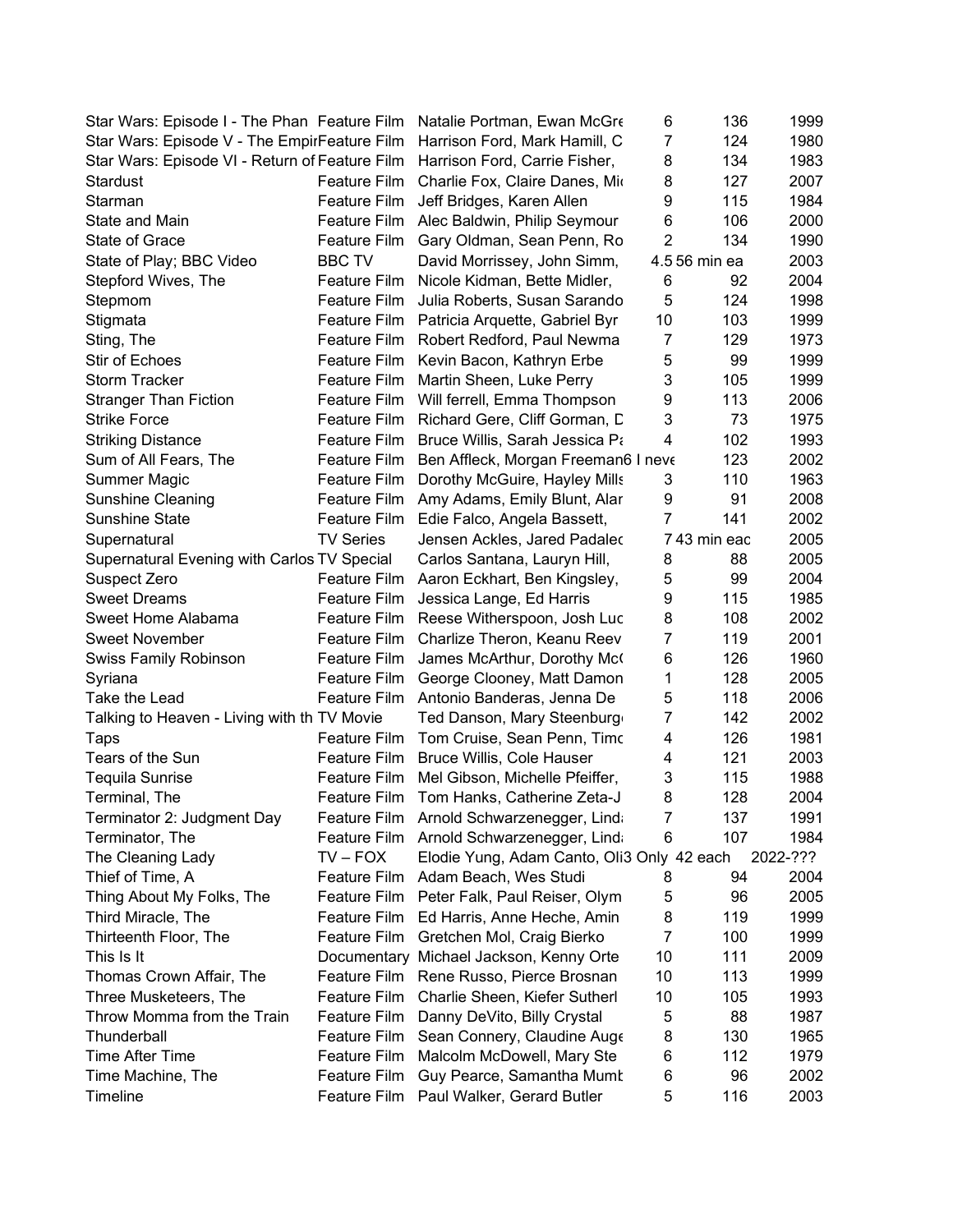| Star Wars: Episode I - The Phan Feature Film   |                              | Natalie Portman, Ewan McGre                | 6              | 136           | 1999     |
|------------------------------------------------|------------------------------|--------------------------------------------|----------------|---------------|----------|
| Star Wars: Episode V - The EmpirFeature Film   |                              | Harrison Ford, Mark Hamill, C              | $\overline{7}$ | 124           | 1980     |
| Star Wars: Episode VI - Return of Feature Film |                              | Harrison Ford, Carrie Fisher,              | 8              | 134           | 1983     |
| Stardust                                       | Feature Film                 | Charlie Fox, Claire Danes, Mio             | 8              | 127           | 2007     |
| Starman                                        | Feature Film                 | Jeff Bridges, Karen Allen                  | 9              | 115           | 1984     |
| State and Main                                 |                              | Feature Film Alec Baldwin, Philip Seymour  | 6              | 106           | 2000     |
| State of Grace                                 | Feature Film                 | Gary Oldman, Sean Penn, Ro                 | $\overline{2}$ | 134           | 1990     |
| State of Play; BBC Video                       | <b>BBC TV</b>                | David Morrissey, John Simm,                |                | 4.5 56 min ea | 2003     |
| Stepford Wives, The                            | Feature Film                 | Nicole Kidman, Bette Midler,               | 6              | 92            | 2004     |
| Stepmom                                        | Feature Film                 | Julia Roberts, Susan Sarando               | 5              | 124           | 1998     |
| Stigmata                                       | Feature Film                 | Patricia Arquette, Gabriel Byr             | 10             | 103           | 1999     |
| Sting, The                                     | Feature Film                 | Robert Redford, Paul Newma                 | $\overline{7}$ | 129           | 1973     |
| Stir of Echoes                                 | Feature Film                 | Kevin Bacon, Kathryn Erbe                  | 5              | 99            | 1999     |
| <b>Storm Tracker</b>                           | Feature Film                 | Martin Sheen, Luke Perry                   | 3              | 105           | 1999     |
| <b>Stranger Than Fiction</b>                   | Feature Film                 | Will ferrell, Emma Thompson                | 9              | 113           | 2006     |
| <b>Strike Force</b>                            | <b>Feature Film</b>          | Richard Gere, Cliff Gorman, D              | 3              | 73            | 1975     |
| <b>Striking Distance</b>                       | Feature Film                 | Bruce Willis, Sarah Jessica Pa             | 4              | 102           | 1993     |
| Sum of All Fears, The                          | Feature Film                 | Ben Affleck, Morgan Freeman6 I neve        |                | 123           | 2002     |
| Summer Magic                                   | Feature Film                 | Dorothy McGuire, Hayley Mills              | 3              | 110           | 1963     |
| Sunshine Cleaning                              |                              | Feature Film Amy Adams, Emily Blunt, Alar  | 9              | 91            | 2008     |
| Sunshine State                                 |                              | Feature Film Edie Falco, Angela Bassett,   | $\overline{7}$ | 141           | 2002     |
| Supernatural                                   | <b>TV Series</b>             | Jensen Ackles, Jared Padaled               |                | 743 min eac   | 2005     |
| Supernatural Evening with Carlos TV Special    |                              | Carlos Santana, Lauryn Hill,               | 8              | 88            | 2005     |
| Suspect Zero                                   | Feature Film                 |                                            | 5              | 99            | 2004     |
| <b>Sweet Dreams</b>                            |                              | Aaron Eckhart, Ben Kingsley,               | 9              | 115           | 1985     |
| Sweet Home Alabama                             | Feature Film                 | Jessica Lange, Ed Harris                   | 8              | 108           | 2002     |
|                                                | Feature Film<br>Feature Film | Reese Witherspoon, Josh Luc                | $\overline{7}$ | 119           | 2001     |
| Sweet November                                 | Feature Film                 | Charlize Theron, Keanu Reev                | 6              | 126           | 1960     |
| <b>Swiss Family Robinson</b>                   |                              | James McArthur, Dorothy Mc                 | 1              | 128           | 2005     |
| Syriana                                        | Feature Film                 | George Clooney, Matt Damon                 | 5              | 118           | 2006     |
| Take the Lead                                  | Feature Film                 | Antonio Banderas, Jenna De                 | 7              | 142           | 2002     |
| Talking to Heaven - Living with th TV Movie    |                              | Ted Danson, Mary Steenburg                 |                |               |          |
| Taps<br>Tears of the Sun                       | <b>Feature Film</b>          | Tom Cruise, Sean Penn, Timo                | 4              | 126           | 1981     |
|                                                | Feature Film                 | Bruce Willis, Cole Hauser                  | 4              | 121           | 2003     |
| Tequila Sunrise                                | Feature Film                 | Mel Gibson, Michelle Pfeiffer,             | 3              | 115           | 1988     |
| Terminal, The                                  | Feature Film                 | Tom Hanks, Catherine Zeta-J                | 8              | 128           | 2004     |
| Terminator 2: Judgment Day                     |                              | Feature Film Arnold Schwarzenegger, Lind   | 7              | 137           | 1991     |
| Terminator, The                                | Feature Film                 | Arnold Schwarzenegger, Lind                | 6              | 107           | 1984     |
| The Cleaning Lady                              | $TV - FOX$                   | Elodie Yung, Adam Canto, Oli3 Only 42 each |                |               | 2022-??? |
| Thief of Time, A                               | Feature Film                 | Adam Beach, Wes Studi                      | 8              | 94            | 2004     |
| Thing About My Folks, The                      | <b>Feature Film</b>          | Peter Falk, Paul Reiser, Olym              | 5              | 96            | 2005     |
| Third Miracle, The                             | Feature Film                 | Ed Harris, Anne Heche, Amin                | 8              | 119           | 1999     |
| Thirteenth Floor, The                          | Feature Film                 | Gretchen Mol, Craig Bierko                 | 7              | 100           | 1999     |
| This Is It                                     |                              | Documentary Michael Jackson, Kenny Orte    | 10             | 111           | 2009     |
| Thomas Crown Affair, The                       |                              | Feature Film Rene Russo, Pierce Brosnan    | 10             | 113           | 1999     |
| Three Musketeers, The                          | Feature Film                 | Charlie Sheen, Kiefer Sutherl              | 10             | 105           | 1993     |
| Throw Momma from the Train                     | <b>Feature Film</b>          | Danny DeVito, Billy Crystal                | 5              | 88            | 1987     |
| Thunderball                                    | Feature Film                 | Sean Connery, Claudine Auge                | 8              | 130           | 1965     |
| <b>Time After Time</b>                         | Feature Film                 | Malcolm McDowell, Mary Ste                 | 6              | 112           | 1979     |
| Time Machine, The                              | Feature Film                 | Guy Pearce, Samantha Mumt                  | 6              | 96            | 2002     |
| Timeline                                       | Feature Film                 | Paul Walker, Gerard Butler                 | 5              | 116           | 2003     |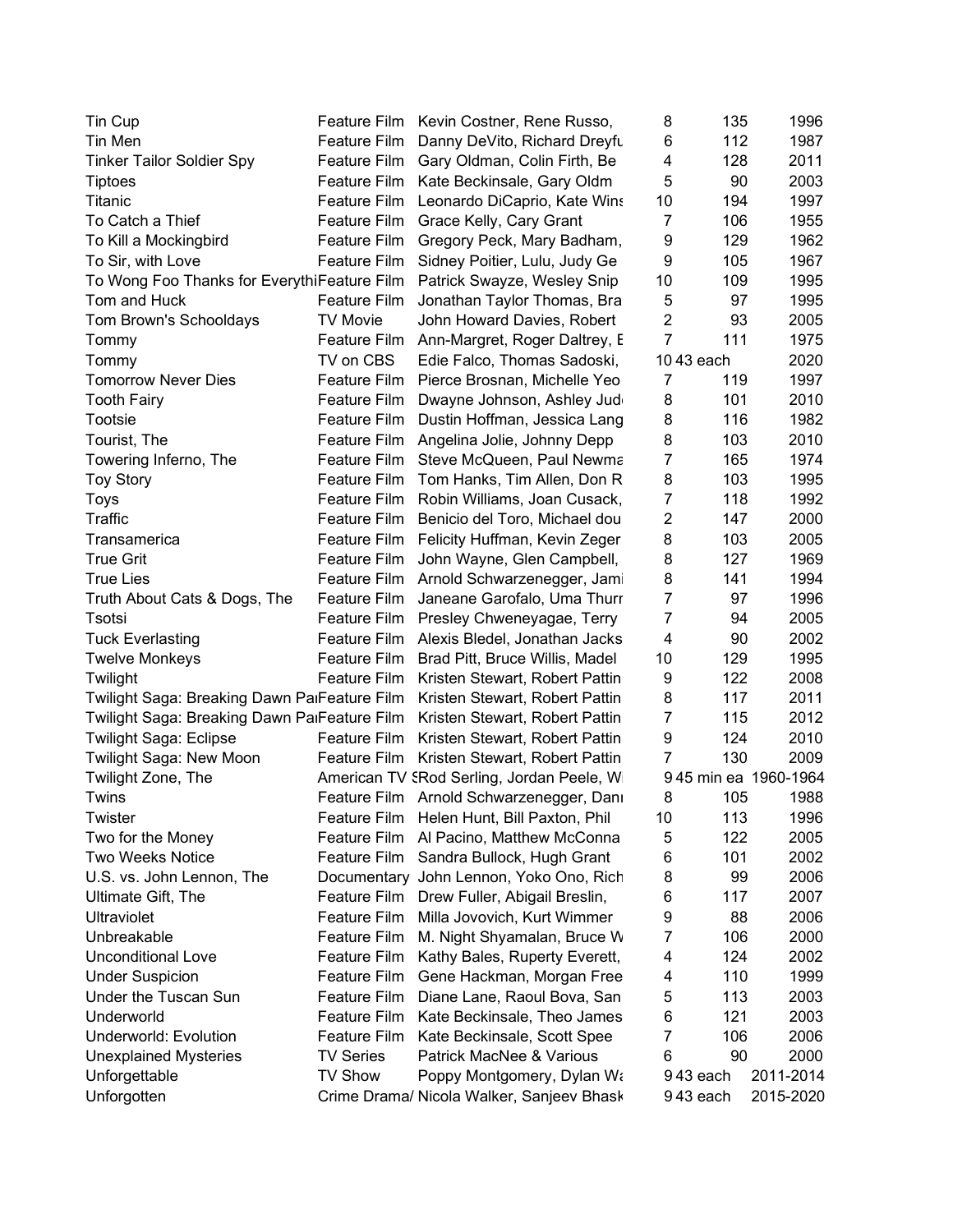| Tin Cup                                      |                     | Feature Film Kevin Costner, Rene Russo,     | 8              | 135        | 1996                 |
|----------------------------------------------|---------------------|---------------------------------------------|----------------|------------|----------------------|
| Tin Men                                      | <b>Feature Film</b> | Danny DeVito, Richard Dreyfu                | 6              | 112        | 1987                 |
| <b>Tinker Tailor Soldier Spy</b>             | Feature Film        | Gary Oldman, Colin Firth, Be                | 4              | 128        | 2011                 |
| <b>Tiptoes</b>                               | Feature Film        | Kate Beckinsale, Gary Oldm                  | 5              | 90         | 2003                 |
| Titanic                                      | Feature Film        | Leonardo DiCaprio, Kate Wins                | 10             | 194        | 1997                 |
| To Catch a Thief                             |                     | Feature Film Grace Kelly, Cary Grant        | 7              | 106        | 1955                 |
| To Kill a Mockingbird                        | Feature Film        | Gregory Peck, Mary Badham,                  | 9              | 129        | 1962                 |
| To Sir, with Love                            | <b>Feature Film</b> | Sidney Poitier, Lulu, Judy Ge               | 9              | 105        | 1967                 |
| To Wong Foo Thanks for EverythiFeature Film  |                     | Patrick Swayze, Wesley Snip                 | 10             | 109        | 1995                 |
| Tom and Huck                                 | <b>Feature Film</b> | Jonathan Taylor Thomas, Bra                 | 5              | 97         | 1995                 |
| Tom Brown's Schooldays                       | <b>TV Movie</b>     | John Howard Davies, Robert                  | $\overline{2}$ | 93         | 2005                 |
| Tommy                                        |                     | Feature Film Ann-Margret, Roger Daltrey, E  | $\overline{7}$ | 111        | 1975                 |
| Tommy                                        | TV on CBS           | Edie Falco, Thomas Sadoski,                 |                | 10 43 each | 2020                 |
| <b>Tomorrow Never Dies</b>                   |                     | Feature Film Pierce Brosnan, Michelle Yeo   | 7              | 119        | 1997                 |
| <b>Tooth Fairy</b>                           | Feature Film        | Dwayne Johnson, Ashley Jud                  | 8              | 101        | 2010                 |
| Tootsie                                      | Feature Film        | Dustin Hoffman, Jessica Lang                | 8              | 116        | 1982                 |
| Tourist, The                                 | Feature Film        | Angelina Jolie, Johnny Depp                 | 8              | 103        | 2010                 |
| Towering Inferno, The                        | Feature Film        | Steve McQueen, Paul Newma                   | 7              | 165        | 1974                 |
| <b>Toy Story</b>                             | Feature Film        | Tom Hanks, Tim Allen, Don R                 | 8              | 103        | 1995                 |
| Toys                                         | Feature Film        | Robin Williams, Joan Cusack,                | $\overline{7}$ | 118        | 1992                 |
| Traffic                                      | Feature Film        | Benicio del Toro, Michael dou               | $\overline{2}$ | 147        | 2000                 |
|                                              | Feature Film        | Felicity Huffman, Kevin Zeger               | 8              | 103        | 2005                 |
| Transamerica<br><b>True Grit</b>             |                     |                                             | 8              | 127        | 1969                 |
|                                              | Feature Film        | John Wayne, Glen Campbell,                  |                |            |                      |
| <b>True Lies</b>                             | Feature Film        | Arnold Schwarzenegger, Jam                  | 8              | 141        | 1994                 |
| Truth About Cats & Dogs, The                 | Feature Film        | Janeane Garofalo, Uma Thurr                 | 7              | 97         | 1996                 |
| Tsotsi                                       | Feature Film        | Presley Chweneyagae, Terry                  | $\overline{7}$ | 94         | 2005                 |
| <b>Tuck Everlasting</b>                      | Feature Film        | Alexis Bledel, Jonathan Jacks               | 4              | 90         | 2002                 |
| <b>Twelve Monkeys</b>                        | Feature Film        | Brad Pitt, Bruce Willis, Madel              | 10             | 129        | 1995                 |
| Twilight                                     | Feature Film        | Kristen Stewart, Robert Pattin              | 9              | 122        | 2008                 |
| Twilight Saga: Breaking Dawn PalFeature Film |                     | Kristen Stewart, Robert Pattin              | 8              | 117        | 2011                 |
| Twilight Saga: Breaking Dawn PalFeature Film |                     | Kristen Stewart, Robert Pattin              | $\overline{7}$ | 115        | 2012                 |
| <b>Twilight Saga: Eclipse</b>                | Feature Film        | Kristen Stewart, Robert Pattin              | 9              | 124        | 2010                 |
| Twilight Saga: New Moon                      |                     | Feature Film Kristen Stewart, Robert Pattin | 7              | 130        | 2009                 |
| Twilight Zone, The                           |                     | American TV SRod Serling, Jordan Peele, W   |                |            | 945 min ea 1960-1964 |
| Twins                                        |                     | Feature Film Arnold Schwarzenegger, Dani    | 8              | 105        | 1988                 |
| Twister                                      | Feature Film        | Helen Hunt, Bill Paxton, Phil               | 10             | 113        | 1996                 |
| Two for the Money                            | <b>Feature Film</b> | Al Pacino, Matthew McConna                  | 5              | 122        | 2005                 |
| Two Weeks Notice                             | <b>Feature Film</b> | Sandra Bullock, Hugh Grant                  | 6              | 101        | 2002                 |
| U.S. vs. John Lennon, The                    |                     | Documentary John Lennon, Yoko Ono, Rich     | 8              | 99         | 2006                 |
| Ultimate Gift, The                           | Feature Film        | Drew Fuller, Abigail Breslin,               | 6              | 117        | 2007                 |
| Ultraviolet                                  | Feature Film        | Milla Jovovich, Kurt Wimmer                 | 9              | 88         | 2006                 |
| Unbreakable                                  | Feature Film        | M. Night Shyamalan, Bruce W.                | 7              | 106        | 2000                 |
| <b>Unconditional Love</b>                    | Feature Film        | Kathy Bales, Ruperty Everett,               | 4              | 124        | 2002                 |
| <b>Under Suspicion</b>                       | Feature Film        | Gene Hackman, Morgan Free                   | 4              | 110        | 1999                 |
| Under the Tuscan Sun                         | Feature Film        | Diane Lane, Raoul Bova, San                 | 5              | 113        | 2003                 |
| Underworld                                   | <b>Feature Film</b> | Kate Beckinsale, Theo James                 | 6              | 121        | 2003                 |
| <b>Underworld: Evolution</b>                 | Feature Film        | Kate Beckinsale, Scott Spee                 | 7              | 106        | 2006                 |
| <b>Unexplained Mysteries</b>                 | <b>TV Series</b>    | Patrick MacNee & Various                    | 6              | 90         | 2000                 |
| Unforgettable                                | <b>TV Show</b>      | Poppy Montgomery, Dylan Wa                  |                | 943 each   | 2011-2014            |
| Unforgotten                                  |                     | Crime Drama/ Nicola Walker, Sanjeev Bhask   |                | 943 each   | 2015-2020            |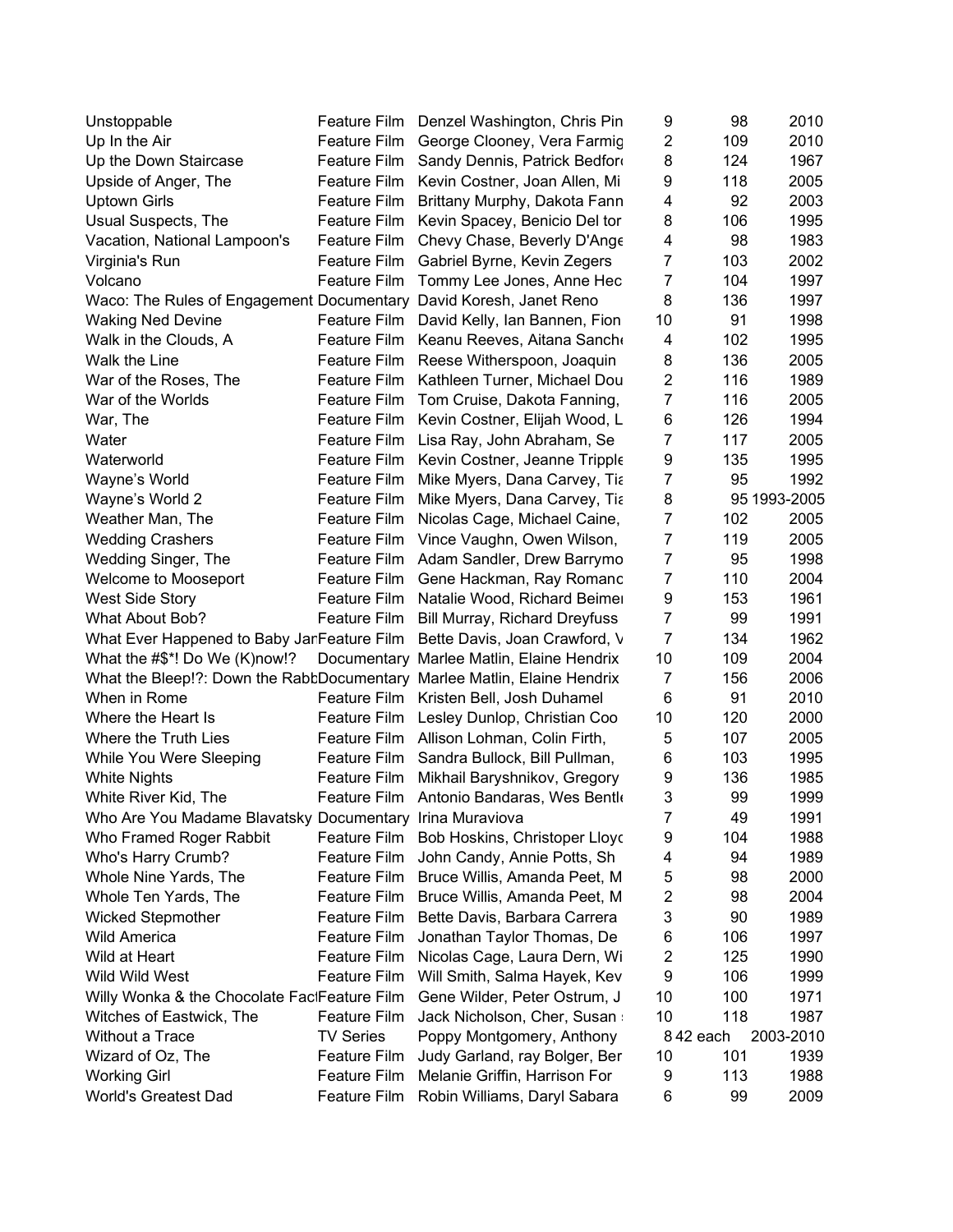| Unstoppable                                                              | Feature Film        | Denzel Washington, Chris Pin              | 9              | 98       | 2010         |
|--------------------------------------------------------------------------|---------------------|-------------------------------------------|----------------|----------|--------------|
| Up In the Air                                                            | <b>Feature Film</b> | George Clooney, Vera Farmic               | $\overline{c}$ | 109      | 2010         |
| Up the Down Staircase                                                    | Feature Film        | Sandy Dennis, Patrick Bedford             | 8              | 124      | 1967         |
| Upside of Anger, The                                                     | Feature Film        | Kevin Costner, Joan Allen, Mi             | 9              | 118      | 2005         |
| <b>Uptown Girls</b>                                                      | Feature Film        | Brittany Murphy, Dakota Fann              | 4              | 92       | 2003         |
| Usual Suspects, The                                                      | Feature Film        | Kevin Spacey, Benicio Del tor             | 8              | 106      | 1995         |
| Vacation, National Lampoon's                                             | Feature Film        | Chevy Chase, Beverly D'Ange               | 4              | 98       | 1983         |
| Virginia's Run                                                           | Feature Film        | Gabriel Byrne, Kevin Zegers               | 7              | 103      | 2002         |
| Volcano                                                                  | Feature Film        | Tommy Lee Jones, Anne Hec                 | 7              | 104      | 1997         |
| Waco: The Rules of Engagement Documentary David Koresh, Janet Reno       |                     |                                           | 8              | 136      | 1997         |
| <b>Waking Ned Devine</b>                                                 | Feature Film        | David Kelly, Ian Bannen, Fion             | 10             | 91       | 1998         |
| Walk in the Clouds, A                                                    | Feature Film        | Keanu Reeves, Aitana Sancho               | 4              | 102      | 1995         |
| Walk the Line                                                            | Feature Film        | Reese Witherspoon, Joaquin                | 8              | 136      | 2005         |
| War of the Roses, The                                                    | Feature Film        | Kathleen Turner, Michael Dou              | $\overline{c}$ | 116      | 1989         |
| War of the Worlds                                                        | Feature Film        | Tom Cruise, Dakota Fanning,               | $\overline{7}$ | 116      | 2005         |
| War, The                                                                 | Feature Film        | Kevin Costner, Elijah Wood, L             | 6              | 126      | 1994         |
| Water                                                                    | Feature Film        | Lisa Ray, John Abraham, Se                | 7              | 117      | 2005         |
| Waterworld                                                               | Feature Film        | Kevin Costner, Jeanne Tripple             | 9              | 135      | 1995         |
| Wayne's World                                                            | Feature Film        | Mike Myers, Dana Carvey, Tia              | $\overline{7}$ | 95       | 1992         |
| Wayne's World 2                                                          | Feature Film        | Mike Myers, Dana Carvey, Tia              | 8              |          | 95 1993-2005 |
| Weather Man, The                                                         | Feature Film        | Nicolas Cage, Michael Caine,              | $\overline{7}$ | 102      | 2005         |
|                                                                          |                     |                                           | $\overline{7}$ | 119      | 2005         |
| <b>Wedding Crashers</b>                                                  | Feature Film        | Vince Vaughn, Owen Wilson,                |                |          |              |
| Wedding Singer, The                                                      |                     | Feature Film Adam Sandler, Drew Barrymo   | 7              | 95       | 1998         |
| Welcome to Mooseport                                                     | Feature Film        | Gene Hackman, Ray Romanc                  | 7              | 110      | 2004         |
| West Side Story                                                          | Feature Film        | Natalie Wood, Richard Beimer              | 9              | 153      | 1961         |
| What About Bob?                                                          | Feature Film        | <b>Bill Murray, Richard Dreyfuss</b>      | $\overline{7}$ | 99       | 1991         |
| What Ever Happened to Baby JarFeature Film                               |                     | Bette Davis, Joan Crawford, V             | $\overline{7}$ | 134      | 1962         |
| What the #\$*! Do We (K)now!?                                            |                     | Documentary Marlee Matlin, Elaine Hendrix | 10             | 109      | 2004         |
| What the Bleep!?: Down the RabtDocumentary Marlee Matlin, Elaine Hendrix |                     |                                           | 7              | 156      | 2006         |
| When in Rome                                                             | Feature Film        | Kristen Bell, Josh Duhamel                | 6              | 91       | 2010         |
| Where the Heart Is                                                       | Feature Film        | Lesley Dunlop, Christian Coo              | 10             | 120      | 2000         |
| Where the Truth Lies                                                     | Feature Film        | Allison Lohman, Colin Firth,              | 5              | 107      | 2005         |
| While You Were Sleeping                                                  | Feature Film        | Sandra Bullock, Bill Pullman,             | 6              | 103      | 1995         |
| <b>White Nights</b>                                                      | Feature Film        | Mikhail Baryshnikov, Gregory              | 9              | 136      | 1985         |
| White River Kid, The                                                     | Feature Film        | Antonio Bandaras, Wes Bentlo              | 3              | 99       | 1999         |
| Who Are You Madame Blavatsky Documentary Irina Muraviova                 |                     |                                           | 7              | 49       | 1991         |
| Who Framed Roger Rabbit                                                  | Feature Film        | Bob Hoskins, Christoper Lloyo             | 9              | 104      | 1988         |
| Who's Harry Crumb?                                                       | Feature Film        | John Candy, Annie Potts, Sh               | 4              | 94       | 1989         |
| Whole Nine Yards, The                                                    | <b>Feature Film</b> | Bruce Willis, Amanda Peet, M              | 5              | 98       | 2000         |
| Whole Ten Yards, The                                                     | <b>Feature Film</b> | Bruce Willis, Amanda Peet, M              | 2              | 98       | 2004         |
| <b>Wicked Stepmother</b>                                                 | <b>Feature Film</b> | Bette Davis, Barbara Carrera              | 3              | 90       | 1989         |
| <b>Wild America</b>                                                      | <b>Feature Film</b> | Jonathan Taylor Thomas, De                | 6              | 106      | 1997         |
| Wild at Heart                                                            | Feature Film        | Nicolas Cage, Laura Dern, Wi              | 2              | 125      | 1990         |
| Wild Wild West                                                           | Feature Film        | Will Smith, Salma Hayek, Kev              | 9              | 106      | 1999         |
| Willy Wonka & the Chocolate FactFeature Film                             |                     | Gene Wilder, Peter Ostrum, J              | 10             | 100      | 1971         |
| Witches of Eastwick, The                                                 | Feature Film        | Jack Nicholson, Cher, Susan               | 10             | 118      | 1987         |
| Without a Trace                                                          | <b>TV Series</b>    | Poppy Montgomery, Anthony                 |                | 842 each | 2003-2010    |
| Wizard of Oz, The                                                        | <b>Feature Film</b> | Judy Garland, ray Bolger, Ber             | 10             | 101      | 1939         |
| <b>Working Girl</b>                                                      | <b>Feature Film</b> | Melanie Griffin, Harrison For             | 9              | 113      | 1988         |
| <b>World's Greatest Dad</b>                                              | Feature Film        | Robin Williams, Daryl Sabara              | 6              | 99       | 2009         |